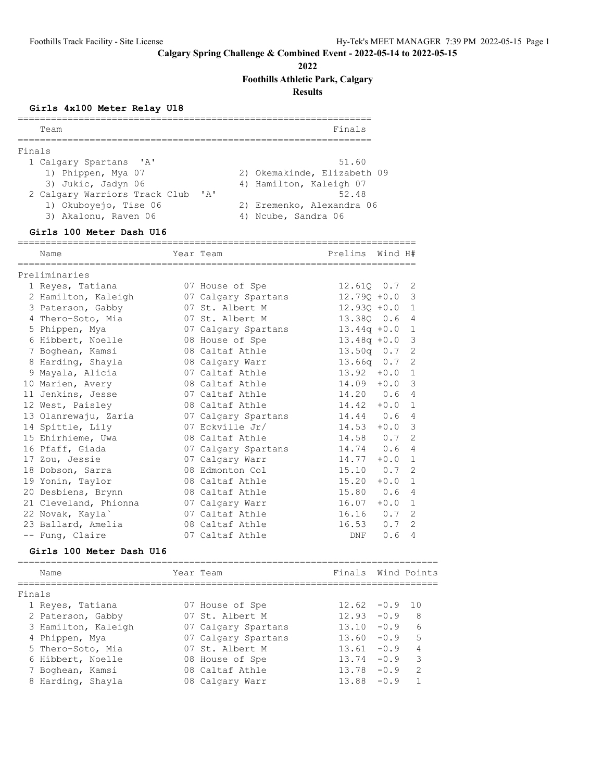**2022**

**Foothills Athletic Park, Calgary**

**Results**

# **Girls 4x100 Meter Relay U18**

| Team                          |              | Finals                      |
|-------------------------------|--------------|-----------------------------|
|                               |              |                             |
| Finals                        |              |                             |
| 1 Calgary Spartans 'A'        |              | 51.60                       |
| 1) Phippen, Mya 07            |              | 2) Okemakinde, Elizabeth 09 |
| 3) Jukic, Jadyn 06            |              | 4) Hamilton, Kaleigh 07     |
| 2 Calgary Warriors Track Club | $\mathsf{A}$ | 52.48                       |
| 1) Okuboyejo, Tise 06         |              | 2) Eremenko, Alexandra 06   |
| 3) Akalonu, Raven 06          |              | 4) Noube, Sandra 06         |
|                               |              |                             |

### **Girls 100 Meter Dash U16**

| ====================================<br>Name | Year Team           | Prelims Wind H# |     |                |
|----------------------------------------------|---------------------|-----------------|-----|----------------|
| Preliminaries                                |                     |                 |     |                |
| 1 Reyes, Tatiana                             | 07 House of Spe     | 12.610 0.7 2    |     |                |
| 2 Hamilton, Kaleigh                          | 07 Calgary Spartans | $12.790 + 0.0$  |     | 3              |
| 3 Paterson, Gabby                            | 07 St. Albert M     | $12.930 + 0.0$  |     | 1              |
| 4 Thero-Soto, Mia                            | 07 St. Albert M     | 13.380 0.6      |     | $\overline{4}$ |
| 5 Phippen, Mya                               | 07 Calgary Spartans | $13.44q +0.0$   |     | $\mathbf{1}$   |
| 6 Hibbert, Noelle                            | 08 House of Spe     | $13.48q +0.0$   |     | 3              |
| 7 Boghean, Kamsi                             | 08 Caltaf Athle     | $13.50q$ 0.7    |     | 2              |
| 8 Harding, Shayla                            | 08 Calgary Warr     | $13.66q$ $0.7$  |     | 2              |
| 9 Mayala, Alicia                             | 07 Caltaf Athle     | $13.92 + 0.0 1$ |     |                |
| 10 Marien, Avery                             | 08 Caltaf Athle     | $14.09 + 0.0$   |     | 3              |
| 11 Jenkins, Jesse                            | 07 Caltaf Athle     | 14.20 0.6       |     | $\overline{4}$ |
| 12 West, Paisley                             | 08 Caltaf Athle     | $14.42 + 0.0$   |     | $\mathbf{1}$   |
| 13 Olanrewaju, Zaria                         | 07 Calgary Spartans | $14.44$ 0.6     |     | 4              |
| 14 Spittle, Lily                             | 07 Eckville Jr/     | $14.53 + 0.0$   |     | 3              |
| 15 Ehirhieme, Uwa                            | 08 Caltaf Athle     | 14.58 0.7       |     | 2              |
| 16 Pfaff, Giada                              | 07 Calgary Spartans | $14.74$ 0.6     |     | $\overline{4}$ |
| 17 Zou, Jessie                               | 07 Calgary Warr     | $14.77 + 0.0$   |     | $\mathbf{1}$   |
| 18 Dobson, Sarra                             | 08 Edmonton Col     | 15.10           | 0.7 | 2              |
| 19 Yonin, Taylor                             | 08 Caltaf Athle     | $15.20 + 0.0$   |     | $\mathbf{1}$   |
| 20 Desbiens, Brynn                           | 08 Caltaf Athle     | 15.80 0.6       |     | 4              |
| 21 Cleveland, Phionna                        | 07 Calgary Warr     | $16.07 + 0.0 1$ |     |                |
| 22 Novak, Kayla`                             | 07 Caltaf Athle     | 16.16           | 0.7 | 2              |
| 23 Ballard, Amelia                           | 08 Caltaf Athle     | 16.53           | 0.7 | 2              |
| -- Fung, Claire                              | 07 Caltaf Athle     | DNF             | 0.6 | 4              |
| Girls 100 Mater Dash II16                    |                     |                 |     |                |

#### **Girls 100 Meter Dash U16**

| Name              |                     | Year Team           | Finals Wind Points |        |               |
|-------------------|---------------------|---------------------|--------------------|--------|---------------|
| Finals            |                     |                     |                    |        |               |
|                   |                     |                     |                    |        |               |
| 1 Reyes, Tatiana  |                     | 07 House of Spe     | $12.62 - 0.9$      |        | 1 N           |
| 2 Paterson, Gabby |                     | 07 St. Albert M     | 12.93              | $-0.9$ | 8             |
|                   | 3 Hamilton, Kaleigh | 07 Calgary Spartans | 13.10              | $-0.9$ | 6             |
| 4 Phippen, Mya    |                     | 07 Calgary Spartans | 13.60              | $-0.9$ | 5             |
| 5 Thero-Soto, Mia |                     | 07 St. Albert M     | 13.61              | $-0.9$ |               |
| 6 Hibbert, Noelle |                     | 08 House of Spe     | 13.74              | $-0.9$ | २             |
| 7 Boghean, Kamsi  |                     | 08 Caltaf Athle     | 13.78              | $-0.9$ | $\mathcal{D}$ |
| 8 Harding, Shayla |                     | 08 Calgary Warr     | 13.88              | $-0.9$ |               |
|                   |                     |                     |                    |        |               |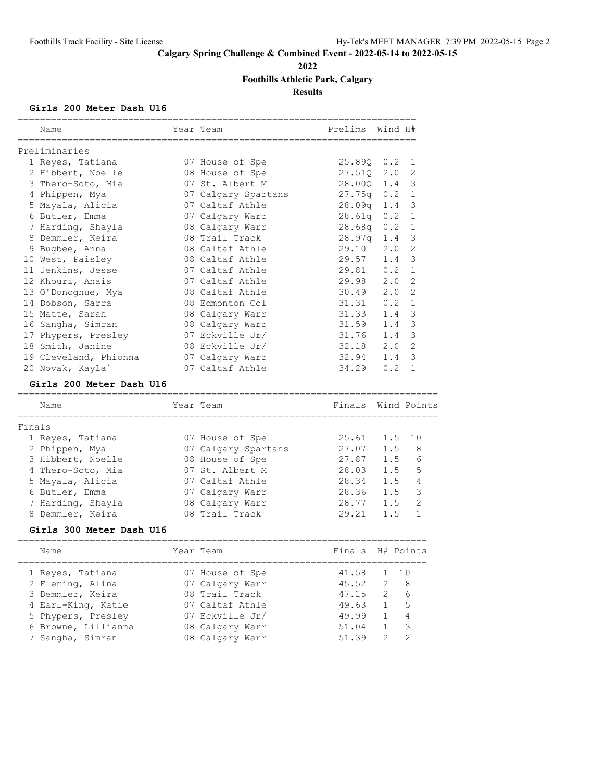**2022**

# **Foothills Athletic Park, Calgary**

**Results**

### **Girls 200 Meter Dash U16**

|        | Name                                     | Year Team<br>;============================ | Prelims         | Wind H#                      |                     |
|--------|------------------------------------------|--------------------------------------------|-----------------|------------------------------|---------------------|
|        | Preliminaries                            |                                            |                 |                              |                     |
|        | 1 Reyes, Tatiana                         | 07 House of Spe                            | $25.890 \t 0.2$ |                              | 1                   |
|        | 2 Hibbert, Noelle                        | 08 House of Spe                            | 27.51Q          | 2.0                          | 2                   |
|        | 3 Thero-Soto, Mia                        | 07 St. Albert M                            | 28.00Q          | 1.4                          | 3                   |
|        | 4 Phippen, Mya                           | 07 Calgary Spartans                        | $27.75q$ 0.2    |                              | $\mathbf{1}$        |
|        | 5 Mayala, Alicia                         | 07 Caltaf Athle                            | 28.09q          | 1.4                          | 3                   |
|        | 6 Butler, Emma                           | 07 Calgary Warr                            | 28.61q          | 0.2                          | 1                   |
|        | 7 Harding, Shayla                        | 08 Calgary Warr                            | 28.68q          | 0.2                          | 1                   |
|        | 8 Demmler, Keira                         | 08 Trail Track                             | 28.97q          | 1.4                          | 3                   |
|        | 9 Bugbee, Anna                           | 08 Caltaf Athle                            | 29.10           | 2.0                          | $\mathbf{2}$        |
|        | 10 West, Paisley                         | 08 Caltaf Athle                            | 29.57           | 1.4                          | 3                   |
|        | 11 Jenkins, Jesse                        | 07 Caltaf Athle                            | 29.81           | 0.2                          | $\mathbf{1}$        |
|        | 12 Khouri, Anais                         | 07 Caltaf Athle                            | 29.98           | 2.0                          | 2                   |
|        | 13 O'Donoghue, Mya                       | 08 Caltaf Athle                            | 30.49           | 2.0                          | 2                   |
|        | 14 Dobson, Sarra                         | 08 Edmonton Col                            | 31.31           | 0.2                          | $\mathbf{1}$        |
|        | 15 Matte, Sarah                          | 08 Calgary Warr                            | 31.33           | 1.4                          | 3                   |
|        | 16 Sangha, Simran                        | 08 Calgary Warr                            | 31.59           | 1.4                          | 3                   |
|        | 17 Phypers, Presley                      | 07 Eckville Jr/                            | 31.76           | 1.4                          | 3                   |
|        | 18 Smith, Janine                         | 08 Eckville Jr/                            | 32.18           | 2.0                          | 2                   |
|        | 19 Cleveland, Phionna                    | 07 Calgary Warr                            | 32.94           | 1.4                          | 3                   |
|        | 20 Novak, Kayla`                         | 07 Caltaf Athle                            | 34.29           | 0.2                          | 1                   |
|        | Girls 200 Meter Dash U16                 |                                            |                 |                              |                     |
|        |                                          |                                            |                 |                              |                     |
|        |                                          |                                            |                 |                              |                     |
|        | Name                                     | Year Team                                  | Finals          |                              | Wind Points         |
| Finals |                                          |                                            |                 |                              |                     |
|        | 1 Reyes, Tatiana                         | 07 House of Spe                            | 25.61           | 1.5                          | 10                  |
|        | 2 Phippen, Mya                           | 07 Calgary Spartans                        | 27.07           | 1.5                          | 8                   |
|        | 3 Hibbert, Noelle                        | 08 House of Spe                            | 27.87           | 1.5                          | 6                   |
|        | 4 Thero-Soto, Mia                        | 07 St. Albert M                            | 28.03           | 1.5                          | 5                   |
|        | 5 Mayala, Alicia                         | 07 Caltaf Athle                            | 28.34           | 1.5                          | $\overline{4}$      |
|        | 6 Butler, Emma                           | 07 Calgary Warr                            | 28.36           | 1.5                          | 3                   |
|        | 7 Harding, Shayla                        | 08 Calgary Warr                            | 28.77           | 1.5                          | $\overline{2}$      |
|        | 8 Demmler, Keira                         | 08 Trail Track                             | 29.21           | 1.5                          | $\mathbf{1}$        |
|        | Girls 300 Meter Dash U16                 |                                            |                 |                              |                     |
|        | Name                                     | Year Team                                  | Finals          | H# Points                    |                     |
|        |                                          |                                            |                 |                              |                     |
|        | 1 Reyes, Tatiana                         | 07 House of Spe                            | 41.58           | 1                            | 10                  |
|        | 2 Fleming, Alina                         | 07 Calgary Warr                            | 45.52           | 2                            | 8                   |
|        | 3 Demmler, Keira                         | 08 Trail Track                             | 47.15           | 2                            | 6                   |
|        | 4 Earl-King, Katie<br>5 Phypers, Presley | 07 Caltaf Athle<br>07 Eckville Jr/         | 49.63<br>49.99  | $\mathbf{1}$<br>$\mathbf{1}$ | 5<br>$\overline{4}$ |

7 Sangha, Simran 08 Calgary Warr 51.39 2 2

========================================================================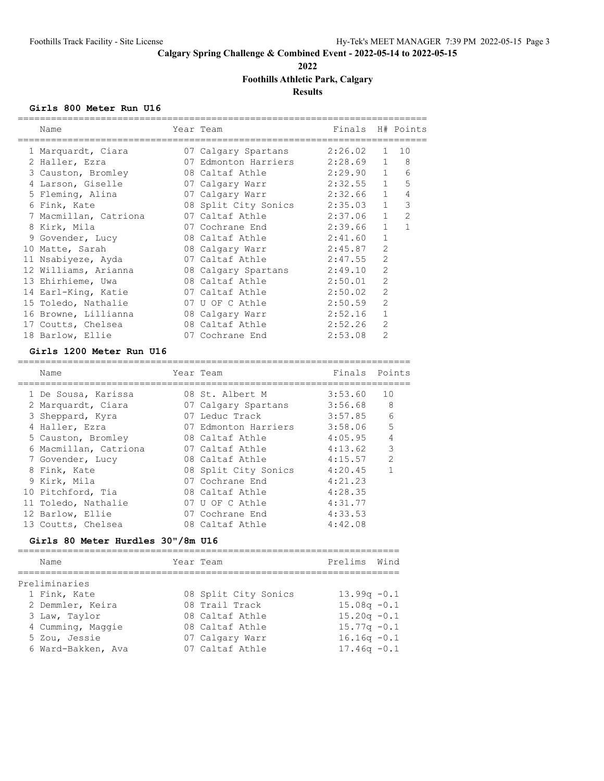**2022**

# **Foothills Athletic Park, Calgary**

**Results**

### **Girls 800 Meter Run U16**

| Name<br>======================               | Year Team                        | Finals H# Points |                |                            |
|----------------------------------------------|----------------------------------|------------------|----------------|----------------------------|
| 1 Marquardt, Ciara                           | 07 Calgary Spartans 2:26.02      |                  |                | $1 \quad 10$               |
| 2 Haller, Ezra                               | 07 Edmonton Harriers 2:28.69 1 8 |                  |                |                            |
| 3 Causton, Bromley                           | 08 Caltaf Athle 2:29.90 1        |                  |                | 6                          |
| 4 Larson, Giselle                            | 07 Calgary Warr 2:32.55 1        |                  |                | 5                          |
| 5 Fleming, Alina                             | 07 Calgary Warr 2:32.66 1        |                  |                | 4                          |
| 6 Fink, Kate                                 | 08 Split City Sonics 2:35.03 1   |                  |                | $\overline{\phantom{a}}$ 3 |
| 7 Macmillan, Catriona                        | 07 Caltaf Athle 2:37.06 1        |                  |                | $\overline{2}$             |
| 8 Kirk, Mila                                 | 07 Cochrane End 2:39.66          |                  | $\mathbf{1}$   | $\mathbf{1}$               |
| 9 Govender, Lucy                             | 08 Caltaf Athle 2:41.60          |                  | $\mathbf{1}$   |                            |
| 10 Matte, Sarah                              | 08 Calgary Warr 2:45.87          |                  | $\overline{2}$ |                            |
| 11 Nsabiyeze, Ayda                           | $07$ Caltaf Athle $2:47.55$      |                  | $\overline{2}$ |                            |
| 12 Williams, Arianna                         | 08 Calgary Spartans 2:49.10      |                  | $\overline{2}$ |                            |
| 13 Ehirhieme, Uwa                            | 08 Caltaf Athle 2:50.01          |                  | $\overline{2}$ |                            |
| 14 Earl-King, Katie                          | 07 Caltaf Athle                  | 2:50.02          | $\overline{2}$ |                            |
| 15 Toledo, Nathalie                          | 07 U OF C Athle                  | 2:50.59          | $\overline{2}$ |                            |
| 16 Browne, Lillianna                         | 08 Calgary Warr 2:52.16          |                  | $\mathbf{1}$   |                            |
| 17 Coutts, Chelsea                           | 08 Caltaf Athle                  | 2:52.26          | $\overline{2}$ |                            |
| 18 Barlow, Ellie                             | 07 Cochrane End                  | 2:53.08          | $\mathfrak{D}$ |                            |
| $C1$ $\sim$ 1200 Matan Dun $\overline{11}$ C |                                  |                  |                |                            |

#### **Girls 1200 Meter Run U16**

| Name                  | Year Team            | Finals Points |                |
|-----------------------|----------------------|---------------|----------------|
| 1 De Sousa, Karissa   | 08 St. Albert M      | 3:53.60       | 10             |
| 2 Marquardt, Ciara    | 07 Calgary Spartans  | 3:56.68       | 8              |
| 3 Sheppard, Kyra      | 07 Leduc Track       | 3:57.85       | 6              |
| 4 Haller, Ezra        | 07 Edmonton Harriers | 3:58.06       | 5              |
| 5 Causton, Bromley    | 08 Caltaf Athle      | 4:05.95       | 4              |
| 6 Macmillan, Catriona | 07 Caltaf Athle      | 4:13.62       | 3              |
| 7 Govender, Lucy      | 08 Caltaf Athle      | 4:15.57       | $\overline{2}$ |
| 8 Fink, Kate          | 08 Split City Sonics | 4:20.45       | $\mathbf{1}$   |
| 9 Kirk, Mila          | 07 Cochrane End      | 4:21.23       |                |
| 10 Pitchford, Tia     | 08 Caltaf Athle      | 4:28.35       |                |
| 11 Toledo, Nathalie   | 07 U OF C Athle      | 4:31.77       |                |
| 12 Barlow, Ellie      | 07 Cochrane End      | 4:33.53       |                |
| 13 Coutts, Chelsea    | 08 Caltaf Athle      | 4:42.08       |                |

### **Girls 80 Meter Hurdles 30"/8m U16**

| Name               | Year Team            | Prelims Wind   |  |
|--------------------|----------------------|----------------|--|
| Preliminaries      |                      |                |  |
| 1 Fink, Kate       | 08 Split City Sonics | $13.99q - 0.1$ |  |
| 2 Demmler, Keira   | 08 Trail Track       | $15.08q - 0.1$ |  |
| 3 Law, Taylor      | 08 Caltaf Athle      | $15.20q - 0.1$ |  |
| 4 Cumming, Maggie  | 08 Caltaf Athle      | $15.77q - 0.1$ |  |
| 5 Zou, Jessie      | 07 Calgary Warr      | $16.16q - 0.1$ |  |
| 6 Ward-Bakken, Ava | 07 Caltaf Athle      | $17.46q - 0.1$ |  |
|                    |                      |                |  |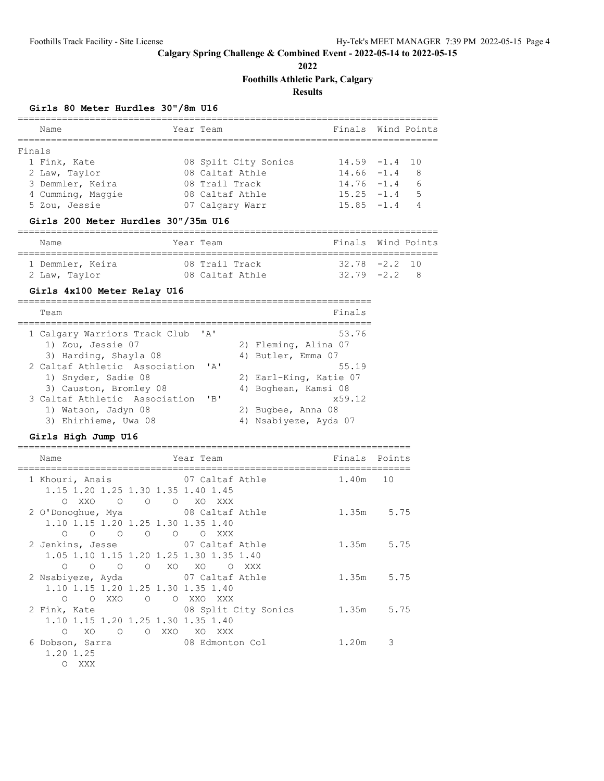**2022**

**Foothills Athletic Park, Calgary**

# **Results**

### **Girls 80 Meter Hurdles 30"/8m U16**

| Name                                | Year Team    |                        | Finals Wind Points |                |
|-------------------------------------|--------------|------------------------|--------------------|----------------|
| =====================<br>Finals     |              |                        |                    |                |
| 1 Fink, Kate                        |              | 08 Split City Sonics   | $14.59 - 1.4$ 10   |                |
| 2 Law, Taylor                       |              | 08 Caltaf Athle        | $14.66 - 1.4$ 8    |                |
| 3 Demmler, Keira                    |              | 08 Trail Track         | $14.76 - 1.4$ 6    |                |
| 4 Cumming, Maggie                   |              | 08 Caltaf Athle        | $15.25 - 1.4$      | 5              |
| 5 Zou, Jessie                       |              | 07 Calgary Warr        | $15.85 -1.4$       | $\overline{4}$ |
| Girls 200 Meter Hurdles 30"/35m U16 |              |                        |                    |                |
| Name                                | Year Team    |                        | Finals Wind Points |                |
| 1 Demmler, Keira                    |              | 08 Trail Track         | $32.78 - 2.2$ 10   |                |
| 2 Law, Taylor                       |              | 08 Caltaf Athle        | $32.79 - 2.2$ 8    |                |
| Girls 4x100 Meter Relay U16         |              |                        |                    |                |
| Team                                |              |                        | Finals             |                |
| 1 Calgary Warriors Track Club 'A'   |              |                        | 53.76              |                |
| 1) Zou, Jessie 07                   |              | 2) Fleming, Alina 07   |                    |                |
| 3) Harding, Shayla 08               |              | 4) Butler, Emma 07     |                    |                |
| 2 Caltaf Athletic Association       | $\mathbf{A}$ |                        | 55.19              |                |
| 1) Snyder, Sadie 08                 |              | 2) Earl-King, Katie 07 |                    |                |
| 3) Causton, Bromley 08              |              | 4) Boghean, Kamsi 08   |                    |                |
| 3 Caltaf Athletic Association       | $'$ B $'$    |                        | x59.12             |                |
| 1) Watson, Jadyn 08                 |              | 2) Bugbee, Anna 08     |                    |                |
| 3) Ehirhieme, Uwa 08                |              | 4) Nsabiyeze, Ayda 07  |                    |                |

**Girls High Jump U16**

| Name                               |                                                                  | Year Team                               | Finals Points |            |
|------------------------------------|------------------------------------------------------------------|-----------------------------------------|---------------|------------|
|                                    |                                                                  | 1 Khouri, Anais 67 Caltaf Athle         | 1.40m 10      |            |
| 1.15 1.20 1.25 1.30 1.35 1.40 1.45 | OXXO O O O XOXXX                                                 |                                         |               |            |
|                                    |                                                                  | 2 O'Donoghue, Mya 68 Caltaf Athle       | 1.35m 5.75    |            |
| 1.10 1.15 1.20 1.25 1.30 1.35 1.40 |                                                                  |                                         |               |            |
|                                    | $\begin{matrix} 0 & 0 & 0 & 0 & 0 & 0 & \text{XXX} \end{matrix}$ |                                         |               |            |
|                                    |                                                                  | 2 Jenkins, Jesse 67 Caltaf Athle        |               | 1.35m 5.75 |
|                                    |                                                                  | 1.05 1.10 1.15 1.20 1.25 1.30 1.35 1.40 |               |            |
| $\bigcirc$                         |                                                                  | O O O XO XO O XXX                       |               |            |
|                                    |                                                                  | 2 Nsabiyeze, Ayda 67 Caltaf Athle       | 1.35m 5.75    |            |
| 1.10 1.15 1.20 1.25 1.30 1.35 1.40 |                                                                  |                                         |               |            |
|                                    | 0 0 XXO 0 0 XXO XXX                                              |                                         |               |            |
|                                    |                                                                  | 2 Fink, Kate 68 Split City Sonics       | 1.35m 5.75    |            |
| 1.10 1.15 1.20 1.25 1.30 1.35 1.40 |                                                                  |                                         |               |            |
| XO<br>$\overline{O}$<br>$\bigcirc$ |                                                                  | O XXO XO XXX                            |               |            |
|                                    |                                                                  | 6 Dobson, Sarra 68 Edmonton Col         | 1.20m         | 3          |
| 1.20 1.25                          |                                                                  |                                         |               |            |
| $\bigcirc$<br>XXX X                |                                                                  |                                         |               |            |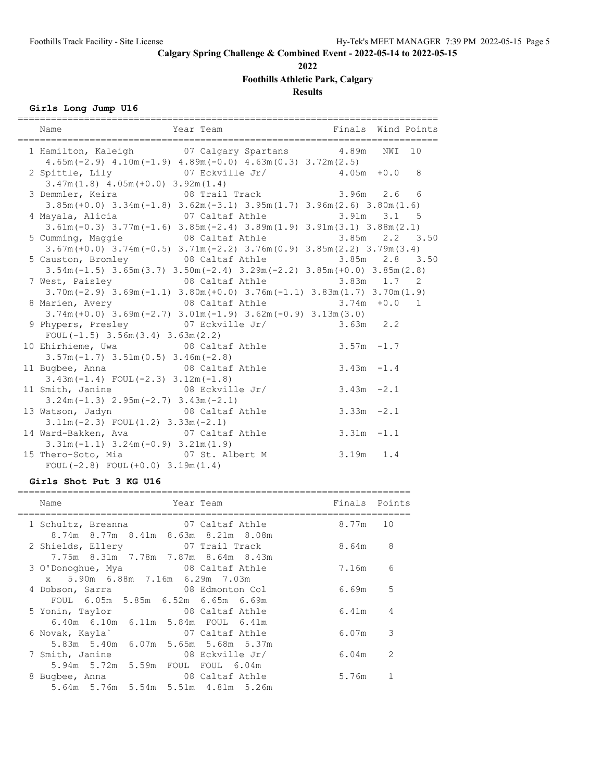**2022**

**Foothills Athletic Park, Calgary**

**Results**

# **Girls Long Jump U16**

| 1 Hamilton, Kaleigh 07 Calgary Spartans 4.89m NWI 10<br>$4.65m(-2.9)$ $4.10m(-1.9)$ $4.89m(-0.0)$ $4.63m(0.3)$ $3.72m(2.5)$                                           |              |  |
|-----------------------------------------------------------------------------------------------------------------------------------------------------------------------|--------------|--|
| 2 Spittle, Lily $07$ Eckville Jr/ $4.05m + 0.0$ 8<br>$3.47m(1.8)$ $4.05m(+0.0)$ $3.92m(1.4)$                                                                          |              |  |
| 3 Demmler, Keira 6 08 Trail Track 3.96m 2.6 6<br>$3.85m (+0.0)$ $3.34m (-1.8)$ $3.62m (-3.1)$ $3.95m (1.7)$ $3.96m (2.6)$ $3.80m (1.6)$                               |              |  |
| 4 Mayala, Alicia (a) 07 Caltaf Athle (a) 3.91m 3.1 5<br>$3.61m(-0.3)$ $3.77m(-1.6)$ $3.85m(-2.4)$ $3.89m(1.9)$ $3.91m(3.1)$ $3.88m(2.1)$                              |              |  |
| 5 Cumming, Maggie 6 108 Caltaf Athle 3.85m 2.2 3.50<br>$3.67m (+0.0)$ $3.74m (-0.5)$ $3.71m (-2.2)$ $3.76m (0.9)$ $3.85m (2.2)$ $3.79m (3.4)$                         |              |  |
| 5 Causton, Bromley 68 Caltaf Athle 3.85m 2.8 3.50<br>$3.54m(-1.5)$ $3.65m(3.7)$ $3.50m(-2.4)$ $3.29m(-2.2)$ $3.85m(+0.0)$ $3.85m(2.8)$                                |              |  |
| 7 West, Paisley                 08 Caltaf Athle                  3.83m   1.7   2<br>$3.70m(-2.9)$ $3.69m(-1.1)$ $3.80m(+0.0)$ $3.76m(-1.1)$ $3.83m(1.7)$ $3.70m(1.9)$ |              |  |
| 8 Marien, Avery 08 Caltaf Athle 3.74m +0.0 1<br>$3.74m (+0.0)$ $3.69m (-2.7)$ $3.01m (-1.9)$ $3.62m (-0.9)$ $3.13m (3.0)$                                             |              |  |
| 9 Phypers, Presley 07 Eckville Jr/ 3.63m 2.2<br>FOUL $(-1.5)$ 3.56m $(3.4)$ 3.63m $(2.2)$                                                                             |              |  |
| 10 Ehirhieme, Uwa (2008) 08 Caltaf Athle 3.57m -1.7<br>$3.57m(-1.7)$ $3.51m(0.5)$ $3.46m(-2.8)$                                                                       |              |  |
| 11 Bugbee, Anna $\begin{array}{ccc} 0.6 & -1.6 \\ 0.6 & 0.7 \end{array}$ Athle 3.43m -1.4<br>$3.43m(-1.4)$ FOUL $(-2.3)$ $3.12m(-1.8)$                                |              |  |
| 11 Smith, Janine 08 Eckville Jr/ 3.43m -2.1<br>$3.24m(-1.3)$ $2.95m(-2.7)$ $3.43m(-2.1)$                                                                              |              |  |
| 13 Watson, Jadyn 08 Caltaf Athle<br>$3.11m(-2.3)$ FOUL $(1.2)$ $3.33m(-2.1)$                                                                                          | $3.33m -2.1$ |  |
| 14 Ward-Bakken, Ava and 07 Caltaf Athle 3.31m -1.1<br>$3.31m(-1.1)$ $3.24m(-0.9)$ $3.21m(1.9)$                                                                        |              |  |
| 15 Thero-Soto, Mia 67 St. Albert M<br>$FOUL(-2.8)$ $FOUL(+0.0)$ $3.19m(1.4)$                                                                                          | $3.19m$ 1.4  |  |

#### **Girls Shot Put 3 KG U16**

| Name                                                                | Year Team                           | Finals Points |               |
|---------------------------------------------------------------------|-------------------------------------|---------------|---------------|
| 1 Schultz, Breanna 67 Caltaf Athle                                  | 8.74m 8.77m 8.41m 8.63m 8.21m 8.08m | 8.77m         | 10            |
| 2 Shields, Ellery 07 Trail Track                                    | 7.75m 8.31m 7.78m 7.87m 8.64m 8.43m | 8.64m         | 8             |
| 3 O'Donoghue, Mya 68 Caltaf Athle                                   |                                     | 7.16m         | 6             |
| x 5.90m 6.88m 7.16m 6.29m 7.03m<br>4 Dobson, Sarra 68 Edmonton Col  |                                     | 6.69m         | 5             |
| 5 Yonin, Taylor 68 Caltaf Athle                                     | FOUL 6.05m 5.85m 6.52m 6.65m 6.69m  | 6.41m         | 4             |
| 6 Novak, Kayla` 07 Caltaf Athle                                     | 6.40m 6.10m 6.11m 5.84m FOUL 6.41m  | 6.07m         | 3             |
| 7 Smith, Janine 08 Eckville Jr/                                     | 5.83m 5.40m 6.07m 5.65m 5.68m 5.37m | 6.04m         | $\mathcal{L}$ |
| 5.94m 5.72m 5.59m FOUL FOUL 6.04m<br>8 Bugbee, Anna 68 Caltaf Athle |                                     | 5.76m         |               |
|                                                                     | 5.64m 5.76m 5.54m 5.51m 4.81m 5.26m |               |               |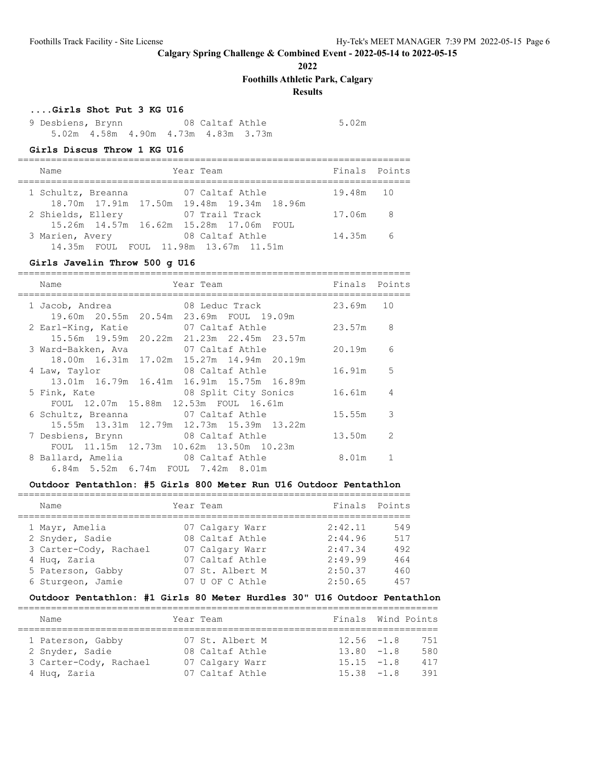**2022**

**Foothills Athletic Park, Calgary**

# **Results**

#### **....Girls Shot Put 3 KG U16**

9 Desbiens, Brynn 08 Caltaf Athle 5.02m 5.02m 4.58m 4.90m 4.73m 4.83m 3.73m

#### **Girls Discus Throw 1 KG U16**

| Name                                                              | Year Team       | Finals Points |  |
|-------------------------------------------------------------------|-----------------|---------------|--|
| 1 Schultz, Breanna<br>18.70m 17.91m 17.50m 19.48m 19.34m 18.96m   | 07 Caltaf Athle | 19.48m 10     |  |
| 2 Shields, Ellery<br>15.26m  14.57m  16.62m  15.28m  17.06m  FOUL | 07 Trail Track  | 17.06m 8      |  |
| 3 Marien, Avery<br>14.35m FOUL FOUL 11.98m 13.67m 11.51m          | 08 Caltaf Athle | 14.35m 6      |  |

### **Girls Javelin Throw 500 g U16**

| Name<br>Year Team                                                                                  |                      | Finals Points |  |
|----------------------------------------------------------------------------------------------------|----------------------|---------------|--|
| 1 Jacob, Andrea 68 Leduc Track 23.69m 10<br>19.60m  20.55m  20.54m  23.69m  FOUL  19.09m           |                      |               |  |
| 2 Earl-King, Katie 67 Caltaf Athle 23.57m 8<br>15.56m 19.59m 20.22m 21.23m 22.45m 23.57m           |                      |               |  |
| 3 Ward-Bakken, Ava               07 Caltaf Athle<br>18.00m  16.31m  17.02m  15.27m  14.94m  20.19m |                      | 20.19m 6      |  |
| 4 Law, Taylor<br>13.01m 16.79m 16.41m 16.91m 15.75m 16.89m                                         | 08 Caltaf Athle      | 16.91m 5      |  |
| 5 Fink, Kate<br>FOUL 12.07m 15.88m 12.53m FOUL 16.61m                                              | 08 Split City Sonics | 16.61m 4      |  |
| 6 Schultz, Breanna and 07 Caltaf Athle<br>15.55m 13.31m 12.79m 12.73m 15.39m 13.22m                |                      | $15.55m$ 3    |  |
| 7 Desbiens, Brynn 68 Caltaf Athle<br>FOUL 11.15m 12.73m 10.62m 13.50m 10.23m                       |                      | 13.50m 2      |  |
| 8 Ballard, Amelia 68 Caltaf Athle<br>6.84m 5.52m 6.74m FOUL 7.42m 8.01m                            |                      | 8.01m         |  |

#### **Outdoor Pentathlon: #5 Girls 800 Meter Run U16 Outdoor Pentathlon**

| Name                   | Year Team       | Finals Points |     |
|------------------------|-----------------|---------------|-----|
|                        |                 |               |     |
| 1 Mayr, Amelia         | 07 Calgary Warr | 2:42.11       | 549 |
| 2 Snyder, Sadie        | 08 Caltaf Athle | 2:44.96       | 517 |
| 3 Carter-Cody, Rachael | 07 Calgary Warr | 2:47.34       | 492 |
| 4 Huq, Zaria           | 07 Caltaf Athle | 2:49.99       | 464 |
| 5 Paterson, Gabby      | 07 St. Albert M | 2:50.37       | 460 |
| 6 Sturgeon, Jamie      | 07 U OF C Athle | 2:50.65       | 457 |

### **Outdoor Pentathlon: #1 Girls 80 Meter Hurdles 30" U16 Outdoor Pentathlon**

| Name                   | Year Team       | Finals Wind Points |     |
|------------------------|-----------------|--------------------|-----|
| 1 Paterson, Gabby      | 07 St. Albert M | $12.56 - 1.8$      | 751 |
| 2 Snyder, Sadie        | 08 Caltaf Athle | $13.80 - 1.8$      | 580 |
| 3 Carter-Cody, Rachael | 07 Calgary Warr | $15.15 - 1.8$      | 417 |
| 4 Hug, Zaria           | 07 Caltaf Athle | $15.38 - 1.8$      | 391 |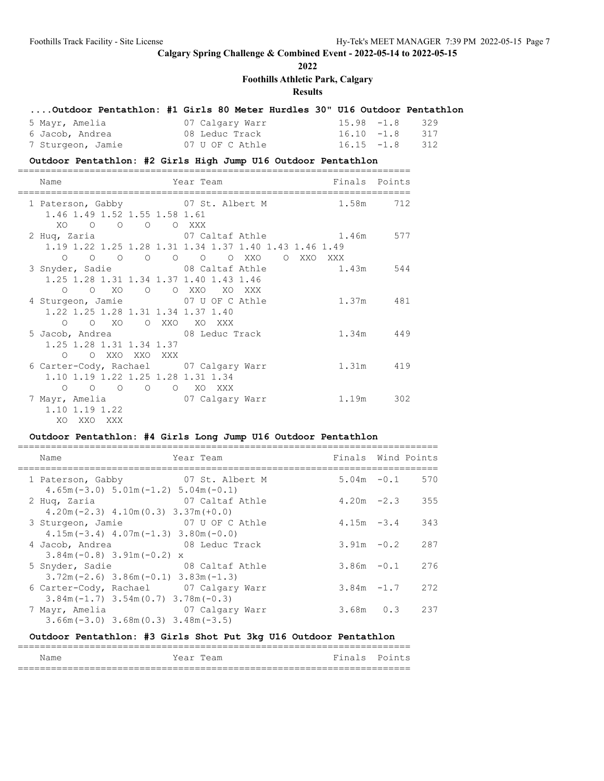# **2022**

**Foothills Athletic Park, Calgary**

# **Results**

### **....Outdoor Pentathlon: #1 Girls 80 Meter Hurdles 30" U16 Outdoor Pentathlon**

| 5 Mayr, Amelia    | 07 Calgary Warr | $15.98 - 1.8$ 329 |  |
|-------------------|-----------------|-------------------|--|
| 6 Jacob, Andrea   | 08 Leduc Track  | $16.10 - 1.8$ 317 |  |
| 7 Sturgeon, Jamie | 07 U OF C Athle | $16.15 - 1.8$ 312 |  |

#### **Outdoor Pentathlon: #2 Girls High Jump U16 Outdoor Pentathlon**

| Name                                                                                        |                | Year Team                                                                                         | Finals Points |           |
|---------------------------------------------------------------------------------------------|----------------|---------------------------------------------------------------------------------------------------|---------------|-----------|
| 1 Paterson, Gabby 07 St. Albert M<br>1.46 1.49 1.52 1.55 1.58 1.61                          |                |                                                                                                   |               | 1.58m 712 |
| XO O O O O XXX                                                                              |                | 2 Huq, Zaria (07 Caltaf Athle 1.46m 577<br>1.19 1.22 1.25 1.28 1.31 1.34 1.37 1.40 1.43 1.46 1.49 |               |           |
| $\circ$ $\circ$<br>$\circ$<br>1.25 1.28 1.31 1.34 1.37 1.40 1.43 1.46                       | $\overline{O}$ | O O O XXO O XXO XXX<br>3 Snyder, Sadie 68 Caltaf Athle 61.43m 544                                 |               |           |
| $O$ $O$ $XO$ $O$<br>4 Sturgeon, Jamie 67 U OF C Athle<br>1.22 1.25 1.28 1.31 1.34 1.37 1.40 |                | O XXO XO XXX                                                                                      |               | 1.37m 481 |
| $\Omega$<br>5 Jacob, Andrea 68 Leduc Track<br>1.25 1.28 1.31 1.34 1.37                      |                | O XO O XXO XO XXX                                                                                 |               | 1.34m 449 |
| $\circ$<br>6 Carter-Cody, Rachael 07 Calgary Warr                                           | O XXO XXO XXX  |                                                                                                   |               | 1.31m 419 |
| 1.10 1.19 1.22 1.25 1.28 1.31 1.34<br>$\Omega$<br>7 Mayr, Amelia 67 Calgary Warr            |                | 0 0 0 0 XOXXX                                                                                     | 1.19m 302     |           |
| 1.10 1.19 1.22<br>XO XXO XXX                                                                |                |                                                                                                   |               |           |

### **Outdoor Pentathlon: #4 Girls Long Jump U16 Outdoor Pentathlon**

| Name                                                                               | Year Team       | Finals Wind Points |                   |
|------------------------------------------------------------------------------------|-----------------|--------------------|-------------------|
| 1 Paterson, Gabby 07 St. Albert M<br>$4.65m(-3.0)$ $5.01m(-1.2)$ $5.04m(-0.1)$     |                 |                    | $5.04m - 0.1$ 570 |
| 2 Huq, Zaria<br>$4.20m(-2.3)$ $4.10m(0.3)$ $3.37m(+0.0)$                           | 07 Caltaf Athle |                    | $4.20m -2.3$ 355  |
| 3 Sturgeon, Jamie<br>$4.15m(-3.4)$ $4.07m(-1.3)$ $3.80m(-0.0)$                     | 07 U OF C Athle | $4.15m - 3.4$      | 343               |
| 4 Jacob, Andrea 68 Leduc Track<br>$3.84m(-0.8)$ 3.91m $(-0.2)$ x                   |                 | $3.91m - 0.2$      | 287               |
| 5 Snyder, Sadie<br>$3.72$ m (-2.6) $3.86$ m (-0.1) $3.83$ m (-1.3)                 | 08 Caltaf Athle | $3.86m - 0.1$      | 276               |
| 6 Carter-Cody, Rachael 07 Calgary Warr<br>$3.84m(-1.7)$ $3.54m(0.7)$ $3.78m(-0.3)$ |                 |                    | $3.84m - 1.7$ 272 |
| 7 Mayr, Amelia<br>$3.66m(-3.0)$ $3.68m(0.3)$ $3.48m(-3.5)$                         | 07 Calgary Warr |                    | $3.68m$ 0.3 237   |

#### **Outdoor Pentathlon: #3 Girls Shot Put 3kg U16 Outdoor Pentathlon**

| Name | Year Team | Finals Points |  |
|------|-----------|---------------|--|
|      |           |               |  |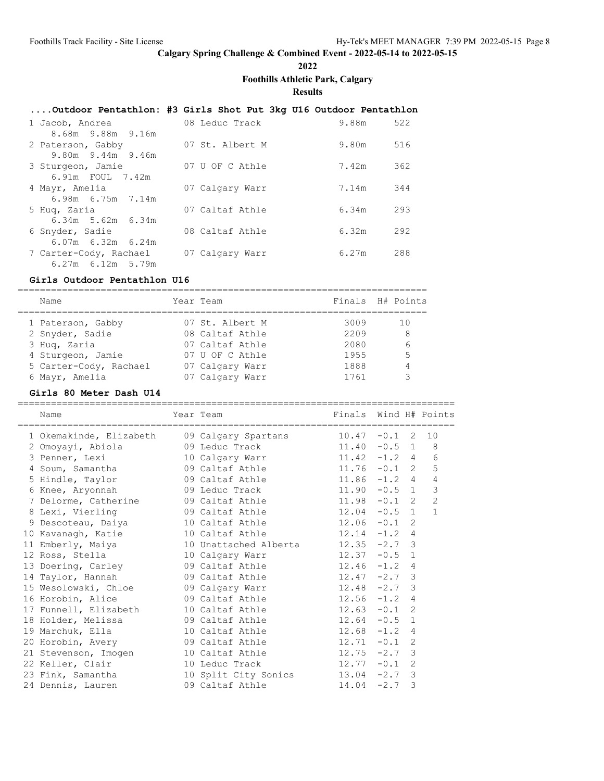**2022**

**Foothills Athletic Park, Calgary**

**Results**

#### **....Outdoor Pentathlon: #3 Girls Shot Put 3kg U16 Outdoor Pentathlon**

| 1 Jacob, Andrea         | 08 Leduc Track  | 9.88m | 522 |
|-------------------------|-----------------|-------|-----|
| 8.68m 9.88m 9.16m       |                 |       |     |
| 2 Paterson, Gabby       | 07 St. Albert M | 9.80m | 516 |
| 9.80m 9.44m 9.46m       |                 |       |     |
| 3 Sturgeon, Jamie       | 07 U OF C Athle | 7.42m | 362 |
| 6.91m FOUL 7.42m        |                 |       |     |
| 4 Mayr, Amelia          | 07 Calgary Warr | 7.14m | 344 |
| $6.98m$ $6.75m$ $7.14m$ |                 |       |     |
| 5 Huq, Zaria            | 07 Caltaf Athle | 6.34m | 293 |
| $6.34m$ 5.62m $6.34m$   |                 |       |     |
| 6 Snyder, Sadie         | 08 Caltaf Athle | 6.32m | 292 |
| 6.07m 6.32m 6.24m       |                 |       |     |
| 7 Carter-Cody, Rachael  | 07 Calgary Warr | 6.27m | 288 |
| $6.27m$ $6.12m$ $5.79m$ |                 |       |     |

#### **Girls Outdoor Pentathlon U16**

========================================================================== Name Year Team Finals H# Points ========================================================================== 1 Paterson, Gabby 07 St. Albert M 3009 10 2 Snyder, Sadie 08 Caltaf Athle 2209 8 3 Huq, Zaria 07 Caltaf Athle 2080 6 4 Sturgeon, Jamie 07 U OF C Athle 1955 5 5 Carter-Cody, Rachael 07 Calgary Warr 1888 4 6 Mayr, Amelia 07 Calgary Warr 1761 3

#### **Girls 80 Meter Dash U14**

Name Tear Team Team Finals Wind H# Points =============================================================================== 1 Okemakinde, Elizabeth 09 Calgary Spartans 10.47 -0.1 2 10 2 Omoyayi, Abiola 09 Leduc Track 11.40 -0.5 1 8 3 Penner, Lexi 10 Calgary Warr 11.42 -1.2 4 6 4 Soum, Samantha 09 Caltaf Athle 11.76 -0.1 2 5 5 Hindle, Taylor 09 Caltaf Athle 11.86 -1.2 4 4 6 Knee, Aryonnah 09 Leduc Track 11.90 -0.5 1 3

===============================================================================

| 5 Hindle, Taylor                                      | 09 Caltaf Athle the control of the control of the control of the control of the control of the control of the c | $11.86 - 1.2 4$ |  | $\overline{4}$ |
|-------------------------------------------------------|-----------------------------------------------------------------------------------------------------------------|-----------------|--|----------------|
| 6 Knee, Aryonnah 19 09 Leduc Track                    |                                                                                                                 | $11.90 -0.5 1$  |  | 3              |
| 7 Delorme, Catherine $09$ Caltaf Athle $11.98$ -0.1 2 |                                                                                                                 |                 |  | $\overline{2}$ |
| 8 Lexi, Vierling 69 Caltaf Athle                      |                                                                                                                 | $12.04 -0.5$ 1  |  | $\mathbf{1}$   |
|                                                       |                                                                                                                 |                 |  |                |
| 10 Kavanagh, Katie 10 Caltaf Athle 12.14 -1.2 4       |                                                                                                                 |                 |  |                |
| 11 Emberly, Maiya 10 Unattached Alberta 12.35 -2.7 3  |                                                                                                                 |                 |  |                |
|                                                       |                                                                                                                 | $12.37 -0.5$ 1  |  |                |
| 13 Doering, Carley 69 Caltaf Athle                    |                                                                                                                 | $12.46 - 1.2 4$ |  |                |
| 14 Taylor, Hannah                     09 Caltaf Athle |                                                                                                                 | $12.47 - 2.7$ 3 |  |                |
| 15 Wesolowski, Chloe 69 Calgary Warr                  |                                                                                                                 | $12.48 - 2.7$ 3 |  |                |
| 16 Horobin, Alice 69 Caltaf Athle                     |                                                                                                                 | $12.56 -1.2 4$  |  |                |
| 17 Funnell, Elizabeth 10 Caltaf Athle                 |                                                                                                                 | $12.63 - 0.1$ 2 |  |                |
| 18 Holder, Melissa                   09 Caltaf Athle  |                                                                                                                 | $12.64 - 0.5$ 1 |  |                |
| 19 Marchuk, Ella 10 Caltaf Athle                      |                                                                                                                 | $12.68 - 1.2 4$ |  |                |
| 20 Horobin, Avery 69 Caltaf Athle                     |                                                                                                                 | $12.71 - 0.1$ 2 |  |                |
| 21 Stevenson, Imogen 10 Caltaf Athle                  |                                                                                                                 | $12.75 -2.7$ 3  |  |                |
| 22 Keller, Clair and 10 Leduc Track                   |                                                                                                                 | $12.77 - 0.1$ 2 |  |                |
| 23 Fink, Samantha 10 Split City Sonics 13.04 -2.7 3   |                                                                                                                 |                 |  |                |
| 24 Dennis, Lauren and O9 Caltaf Athle 14.04 -2.7 3    |                                                                                                                 |                 |  |                |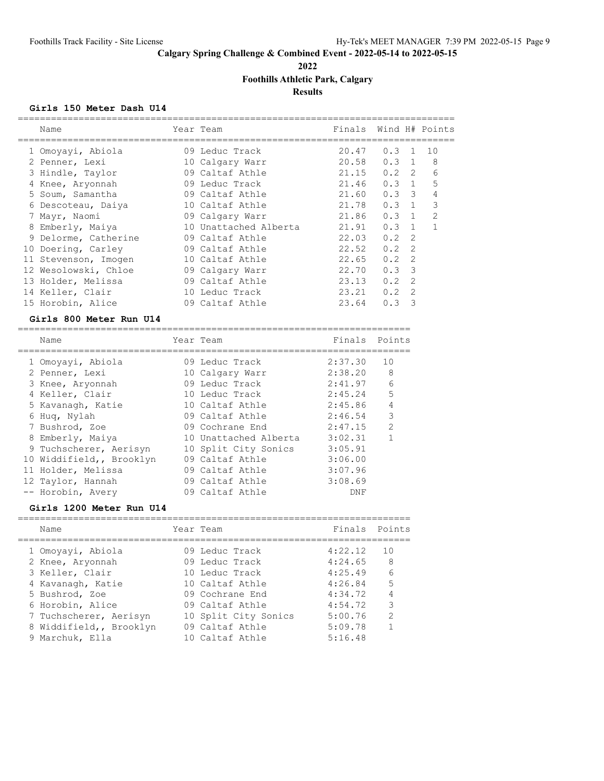**2022**

**Foothills Athletic Park, Calgary**

**Results**

### **Girls 150 Meter Dash U14**

| Name                 | Year Team             | Finals Wind H# Points |               |                |                |
|----------------------|-----------------------|-----------------------|---------------|----------------|----------------|
| 1 Omoyayi, Abiola    | 09 Leduc Track        | 20.47                 | 0.3           | $\overline{1}$ | 10             |
| 2 Penner, Lexi       | 10 Calgary Warr       | 20.58                 | $0.3 \quad 1$ |                | 8              |
| 3 Hindle, Taylor     | 09 Caltaf Athle       | 21.15                 | $0.2 \quad 2$ |                | 6              |
| 4 Knee, Aryonnah     | 09 Leduc Track        | 21.46                 | 0.3           | 1              | 5              |
| 5 Soum, Samantha     | 09 Caltaf Athle       | 21.60                 | $0.3 \quad 3$ |                | 4              |
| 6 Descoteau, Daiya   | 10 Caltaf Athle       | 21.78                 | 0.3           | $\overline{1}$ | 3              |
| 7 Mayr, Naomi        | 09 Calgary Warr       | 21.86                 | $0.3 \quad 1$ |                | $\overline{2}$ |
| 8 Emberly, Maiya     | 10 Unattached Alberta | 21.91                 | $0.3 \quad 1$ |                |                |
| 9 Delorme, Catherine | 09 Caltaf Athle       | 22.03                 | 0.2           | $\mathcal{L}$  |                |
| 10 Doering, Carley   | 09 Caltaf Athle       | 22.52                 | 0.2           | 2              |                |
| 11 Stevenson, Imogen | 10 Caltaf Athle       | 22.65                 | 0.2           | 2              |                |
| 12 Wesolowski, Chloe | 09 Calgary Warr       | 22.70                 | 0.3           | $\mathcal{B}$  |                |
| 13 Holder, Melissa   | 09 Caltaf Athle       | 23.13                 | 0.2           | $\mathcal{L}$  |                |
| 14 Keller, Clair     | 10 Leduc Track        | 23.21                 | 0.2           | $\mathcal{L}$  |                |
| 15 Horobin, Alice    | 09 Caltaf Athle       | 23.64                 | 0.3           | 3              |                |

# **Girls 800 Meter Run U14**

| Name                     | Year Team             | Finals  | Points        |
|--------------------------|-----------------------|---------|---------------|
| 1 Omoyayi, Abiola        | 09 Leduc Track        | 2:37.30 | 10            |
| 2 Penner, Lexi           | 10 Calgary Warr       | 2:38.20 | 8             |
| 3 Knee, Aryonnah         | 09 Leduc Track        | 2:41.97 | 6             |
| 4 Keller, Clair          | 10 Leduc Track        | 2:45.24 | 5             |
| 5 Kavanagh, Katie        | 10 Caltaf Athle       | 2:45.86 | 4             |
| 6 Huq, Nylah             | 09 Caltaf Athle       | 2:46.54 | 3             |
| 7 Bushrod, Zoe           | 09 Cochrane End       | 2:47.15 | $\mathcal{P}$ |
| 8 Emberly, Maiya         | 10 Unattached Alberta | 3:02.31 |               |
| 9 Tuchscherer, Aerisyn   | 10 Split City Sonics  | 3:05.91 |               |
| 10 Widdifield,, Brooklyn | 09 Caltaf Athle       | 3:06.00 |               |
| 11 Holder, Melissa       | 09 Caltaf Athle       | 3:07.96 |               |
| 12 Taylor, Hannah        | 09 Caltaf Athle       | 3:08.69 |               |
| -- Horobin, Avery        | 09 Caltaf Athle       | DNF     |               |

#### **Girls 1200 Meter Run U14**

| Finals Points<br>1 O |
|----------------------|
|                      |
|                      |
| 8                    |
| $6\overline{6}$      |
| 5                    |
| 4                    |
| 3                    |
| 2                    |
|                      |
|                      |
|                      |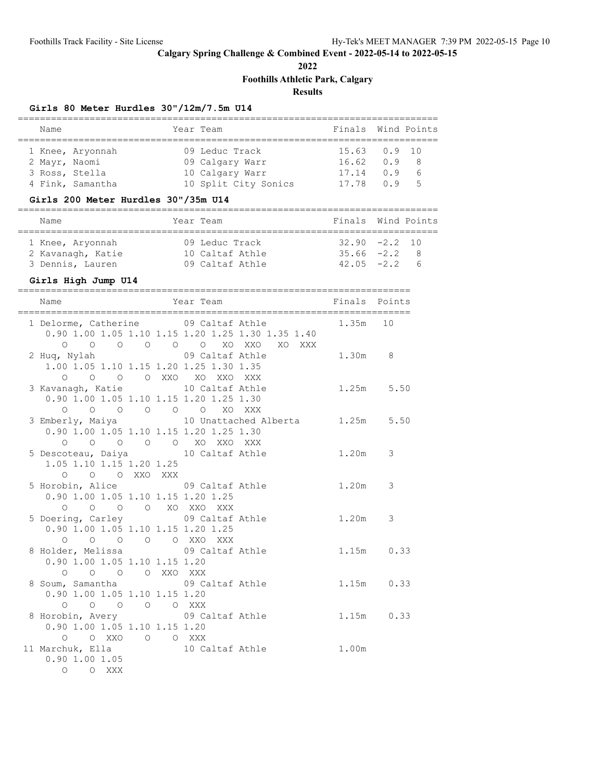**2022**

**Foothills Athletic Park, Calgary**

# **Results**

# **Girls 80 Meter Hurdles 30"/12m/7.5m U14**

| Name |  |                                                                         |  |                                                                                           |  |                                                                          |
|------|--|-------------------------------------------------------------------------|--|-------------------------------------------------------------------------------------------|--|--------------------------------------------------------------------------|
|      |  |                                                                         |  |                                                                                           |  |                                                                          |
|      |  |                                                                         |  |                                                                                           |  |                                                                          |
|      |  |                                                                         |  |                                                                                           |  | - 8                                                                      |
|      |  |                                                                         |  | 17.14                                                                                     |  | $\overline{6}$                                                           |
|      |  |                                                                         |  |                                                                                           |  | $-5$                                                                     |
|      |  | 1 Knee, Aryonnah<br>2 Mayr, Naomi<br>3 Ross, Stella<br>4 Fink, Samantha |  | Year Team<br>09 Leduc Track<br>09 Calgary Warr<br>10 Calgary Warr<br>10 Split City Sonics |  | Finals Wind Points<br>15.63 0.9 10<br>$16.62 \t 0.9$<br>0.9<br>17.78 0.9 |

# **Girls 200 Meter Hurdles 30"/35m U14**

| Name              | Year Team       | Finals Wind Points |                 |          |
|-------------------|-----------------|--------------------|-----------------|----------|
|                   |                 |                    |                 |          |
| 1 Knee, Aryonnah  | 09 Leduc Track  |                    | $32.90 -2.2 10$ |          |
| 2 Kavanagh, Katie | 10 Caltaf Athle |                    | $35.66 -2.2 8$  |          |
| 3 Dennis, Lauren  | 09 Caltaf Athle |                    | $42.05 -2.2$    | $\kappa$ |

# **Girls High Jump U14**

|                                         |               | ------------------------ | Name<br>Finals Points Year Team Finals Points        |           |  |
|-----------------------------------------|---------------|--------------------------|------------------------------------------------------|-----------|--|
|                                         |               |                          | 1 Delorme, Catherine 09 Caltaf Athle 1.35m 10        |           |  |
|                                         |               |                          | 0.90 1.00 1.05 1.10 1.15 1.20 1.25 1.30 1.35 1.40    |           |  |
|                                         |               |                          | 0 0 0 0 0 0 0 XO XXO XO XXX                          |           |  |
|                                         |               |                          | 2 Huq, Nylah (09 Caltaf Athle 1.30m 8)               |           |  |
| 1.00 1.05 1.10 1.15 1.20 1.25 1.30 1.35 |               |                          |                                                      |           |  |
|                                         |               | 0 0 0 0 XXO XO XXO XXX   |                                                      |           |  |
|                                         |               |                          | 3 Kavanagh, Katie 10 Caltaf Athle 1.25m 5.50         |           |  |
| 0.90 1.00 1.05 1.10 1.15 1.20 1.25 1.30 |               |                          |                                                      |           |  |
| 0 0 0 0 0 0 XO XXX                      |               |                          |                                                      |           |  |
|                                         |               |                          | 3 Emberly, Maiya 10 Unattached Alberta 1.25m 5.50    |           |  |
| 0.90 1.00 1.05 1.10 1.15 1.20 1.25 1.30 |               |                          |                                                      |           |  |
| O O O O O XO XXO XXX                    |               |                          |                                                      |           |  |
| 5 Descoteau, Daiya 10 Caltaf Athle      |               |                          |                                                      | 1.20m 3   |  |
| 1.05 1.10 1.15 1.20 1.25                |               |                          |                                                      |           |  |
|                                         | O O O XXO XXX |                          |                                                      |           |  |
|                                         |               |                          | 5 Horobin, Alice 69 Caltaf Athle                     | $1.20m$ 3 |  |
| 0.90 1.00 1.05 1.10 1.15 1.20 1.25      |               |                          |                                                      |           |  |
| O O O O XO XXO XXX                      |               |                          |                                                      |           |  |
| 5 Doering, Carley 09 Caltaf Athle       |               |                          | 1.20m 3                                              |           |  |
| $0.90$ 1.00 1.05 1.10 1.15 1.20 1.25    |               |                          |                                                      |           |  |
| O O O O O XXO XXX                       |               |                          |                                                      |           |  |
|                                         |               |                          | 8 Holder, Melissa<br>09 Caltaf Athle<br>1.15m  0.33  |           |  |
| 0.90 1.00 1.05 1.10 1.15 1.20           |               |                          |                                                      |           |  |
| 0 0 0 0 XXO XXX                         |               |                          | 8 Soum, Samantha<br>09 Caltaf Athle<br>1.15m<br>0.33 |           |  |
|                                         |               |                          |                                                      |           |  |
| 0.90 1.00 1.05 1.10 1.15 1.20           | 0 0 0 0 0 XXX |                          |                                                      |           |  |
|                                         |               |                          | 8 Horobin, Avery 09 Caltaf Athle 1.15m 0.33          |           |  |
| 0.90 1.00 1.05 1.10 1.15 1.20           |               |                          |                                                      |           |  |
| O OXXO O OXXX                           |               |                          |                                                      |           |  |
|                                         |               |                          |                                                      | 1.00m     |  |
|                                         |               |                          | 11 Marchuk, Ella 10 Caltaf Athle<br>0.90 1.00 1.05   |           |  |
| O O XXX                                 |               |                          |                                                      |           |  |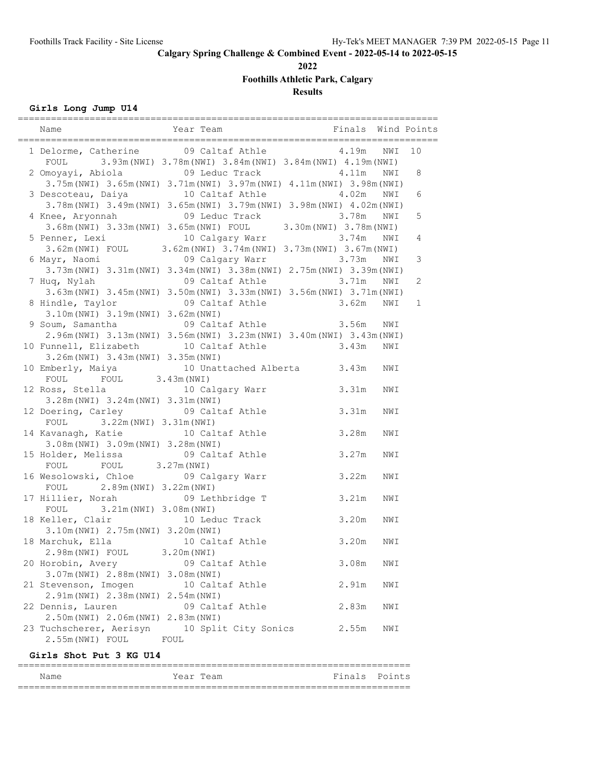**2022**

**Foothills Athletic Park, Calgary**

# **Results**

# **Girls Long Jump U14**

|                                                                                                                                                           |                       |           |            | Wind Points |
|-----------------------------------------------------------------------------------------------------------------------------------------------------------|-----------------------|-----------|------------|-------------|
| 1 Delorme, Catherine 09 Caltaf Athle 4.19m<br>FOUL 3.93m (NWI) 3.78m (NWI) 3.84m (NWI) 3.84m (NWI) 4.19m (NWI)                                            |                       |           | NWI        | 10          |
| 2 Omoyayi, Abiola 69 Leduc Track<br>3.75m (NWI) 3.65m (NWI) 3.71m (NWI) 3.97m (NWI) 4.11m (NWI) 3.98m (NWI)                                               |                       | 4.11m NWI |            | 8           |
| 10 Caltaf Athle<br>3 Descoteau, Daiya<br>3.78m (NWI) 3.49m (NWI) 3.65m (NWI) 3.79m (NWI) 3.98m (NWI) 4.02m (NWI)                                          |                       | 4.02m     | NWI        | 6           |
| 4 Knee, Aryonnah 09 Leduc Track 3.78m NWI<br>3.68m (NWI) 3.33m (NWI) 3.65m (NWI) FOUL 3.30m (NWI) 3.78m (NWI)<br>5 Penner, Lexi 10 Calgary Warr 3.74m NWI |                       |           | NWI        | 5           |
| 3.62m (NWI) FOUL 3.62m (NWI) $3.74$ m (NWI) 3.73m (NWI) 3.67m (NWI)                                                                                       |                       | 3.74m NWI |            | 4           |
| 6 Mayr, Naomi                         09 Calgary Warr               3.73m<br>3.73m (NWI) 3.31m (NWI) 3.34m (NWI) 3.38m (NWI) 2.75m (NWI) 3.39m (NWI)      |                       |           | NWI        | 3           |
| 7 Huq, Nylah<br>3.63m (NWI) 3.45m (NWI) 3.50m (NWI) 3.33m (NWI) 3.56m (NWI) 3.71m (NWI)                                                                   | 09 Caltaf Athle 3.71m |           | NWI        | 2           |
| 8 Hindle, Taylor 69 Caltaf Athle 3.62m NWI<br>3.10m (NWI) 3.19m (NWI) 3.62m (NWI)                                                                         |                       |           |            | 1           |
| 9 Soum, Samantha (1986) 09 Caltaf Athle (2.56m)<br>2.96m (NWI) 3.13m (NWI) 3.56m (NWI) 3.23m (NWI) 3.40m (NWI) 3.43m (NWI)                                |                       |           | NWI        |             |
| 10 Funnell, Elizabeth 10 Caltaf Athle 3.43m<br>3.26m (NWI) 3.43m (NWI) 3.35m (NWI)                                                                        |                       |           | NWI        |             |
| 10 Emberly, Maiya 10 Unattached Alberta 3.43m<br>FOUL FOUL 3.43m (NWI)<br>12 Ross, Stella 10 Calgary Warr                                                 | 3.31m                 |           | NWI        |             |
| 3.28m (NWI) 3.24m (NWI) 3.31m (NWI)<br>12 Doering, Carley 09 Caltaf Athle                                                                                 | 3.31m                 |           | NWI<br>NWI |             |
| FOUL 3.22m (NWI) 3.31m (NWI)<br>14 Kavanagh, Katie 10 Caltaf Athle                                                                                        | 3.28m                 |           | NWI        |             |
| 3.08m (NWI) 3.09m (NWI) 3.28m (NWI)<br>15 Holder, Melissa 69 Caltaf Athle                                                                                 | 3.27m                 |           | NWI        |             |
| FOUL 3.27m (NWI)<br>FOUL<br>16 Wesolowski, Chloe 69 Calgary Warr                                                                                          | 3.22m                 |           | NWI        |             |
| 2.89m (NWI) 3.22m (NWI)<br>FOUL<br>09 Lethbridge T<br>17 Hillier, Norah                                                                                   |                       | 3.21m     | NWI        |             |
| FOUL 3.21m (NWI) 3.08m (NWI)<br>18 Keller, Clair<br>10 Leduc Track                                                                                        | 3.20m                 |           | NWI        |             |
| 3.10m (NWI) 2.75m (NWI) 3.20m (NWI)<br>18 Marchuk, Ella 10 Caltaf Athle<br>2.98m (NWI) FOUL 3.20m (NWI)                                                   | 3.20m                 |           | NWI        |             |
| 20 Horobin, Avery                                                                                                                                         | 09 Caltaf Athle       | 3.08m     | NWI        |             |
| 3.07m (NWI) 2.88m (NWI) 3.08m (NWI)<br>21 Stevenson, Imogen                                                                                               | 10 Caltaf Athle       | 2.91m     | NWI        |             |
| 2.91m (NWI) 2.38m (NWI) 2.54m (NWI)<br>22 Dennis, Lauren                                                                                                  | 09 Caltaf Athle       | 2.83m     | NWI        |             |
| 2.50m (NWI) 2.06m (NWI) 2.83m (NWI)<br>23 Tuchscherer, Aerisyn 10 Split City Sonics<br>2.55m (NWI) FOUL<br>FOUL                                           |                       | 2.55m     | NWI        |             |
|                                                                                                                                                           |                       |           |            |             |

### **Girls Shot Put 3 KG U14**

| Name | Year Team | Finals Points |  |
|------|-----------|---------------|--|
|      |           |               |  |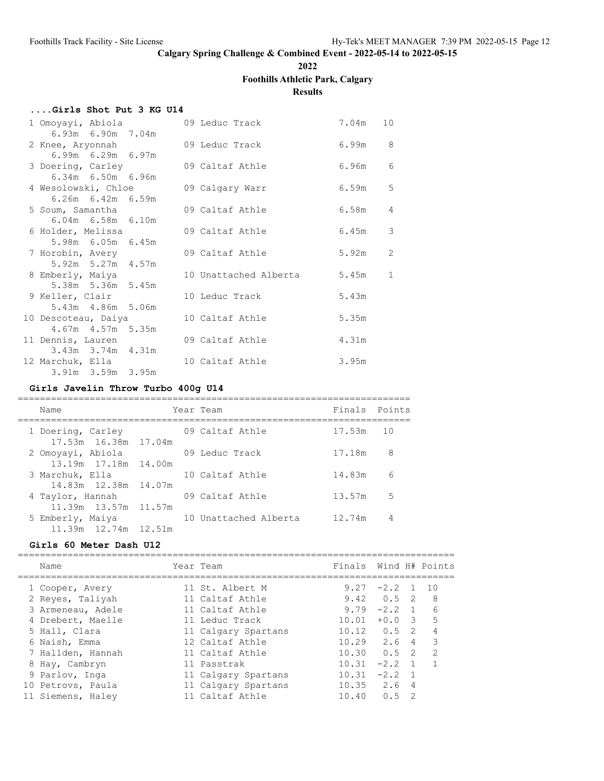**2022**

# **Foothills Athletic Park, Calgary**

**Results**

# **....Girls Shot Put 3 KG U14**

| 1 Omoyayi, Abiola<br>6.93m 6.90m 7.04m |  | 09 Leduc Track        | 7.04m | 10             |
|----------------------------------------|--|-----------------------|-------|----------------|
| 2 Knee, Aryonnah                       |  | 09 Leduc Track        |       | 6.99m 8        |
| $6.99m$ $6.29m$ $6.97m$                |  |                       |       |                |
| 3 Doering, Carley                      |  | 09 Caltaf Athle       |       | 6.96m 6        |
| 6.34m 6.50m 6.96m                      |  |                       |       |                |
| 4 Wesolowski, Chloe 69 Calgary Warr    |  |                       | 6.59m | 5              |
| $6.26m$ $6.42m$ $6.59m$                |  |                       |       |                |
| 5 Soum, Samantha                       |  | 09 Caltaf Athle       | 6.58m | $\overline{4}$ |
| $6.04m$ $6.58m$ $6.10m$                |  |                       |       |                |
| 6 Holder, Melissa                      |  | 09 Caltaf Athle       | 6.45m | 3              |
| 5.98m 6.05m 6.45m                      |  |                       |       |                |
| 7 Horobin, Avery                       |  | 09 Caltaf Athle       |       | 2<br>5.92m     |
| 5.92m 5.27m 4.57m                      |  |                       |       |                |
| 8 Emberly, Maiya                       |  | 10 Unattached Alberta |       | 5.45m 1        |
| 5.38m 5.36m 5.45m                      |  |                       |       |                |
| 9 Keller, Clair                        |  | 10 Leduc Track        | 5.43m |                |
| 5.43m 4.86m 5.06m                      |  |                       |       |                |
| 10 Descoteau, Daiya                    |  | 10 Caltaf Athle       | 5.35m |                |
| 4.67m  4.57m  5.35m                    |  |                       |       |                |
| 11 Dennis, Lauren                      |  | 09 Caltaf Athle       | 4.31m |                |
| 3.43m 3.74m 4.31m                      |  |                       |       |                |
| 12 Marchuk, Ella                       |  | 10 Caltaf Athle       | 3.95m |                |
| 3.91m 3.59m 3.95m                      |  |                       |       |                |

# **Girls Javelin Throw Turbo 400g U14**

| Name                                      | Year Team             | Finals Points |    |
|-------------------------------------------|-----------------------|---------------|----|
| 1 Doering, Carley<br>17.53m 16.38m 17.04m | 09 Caltaf Athle       | 17.53m 10     |    |
| 2 Omoyayi, Abiola                         | 09 Leduc Track        | 17.18m        | 8  |
| 13.19m 17.18m 14.00m                      |                       |               |    |
| 3 Marchuk, Ella                           | 10 Caltaf Athle       | 14.83m        | 6  |
| 14.83m 12.38m 14.07m                      |                       |               |    |
| 4 Taylor, Hannah                          | 09 Caltaf Athle       | 13.57m        | .5 |
| 11.39m 13.57m 11.57m                      |                       |               |    |
| 5 Emberly, Maiya                          | 10 Unattached Alberta | 12.74m        | 4  |
| 11.39m 12.74m 12.51m                      |                       |               |    |

### **Girls 60 Meter Dash U12**

| Name              | Year Team           | Finals      |               |                | Wind H# Points |
|-------------------|---------------------|-------------|---------------|----------------|----------------|
| 1 Cooper, Avery   | 11 St. Albert M     |             | $9.27 -2.2$ 1 |                | 1 O            |
| 2 Reyes, Taliyah  | 11 Caltaf Athle     | 9.42        | $0.5 \quad 2$ |                | 8              |
| 3 Armeneau, Adele | 11 Caltaf Athle     | 9.79        | $-2.2$        | $\overline{1}$ | 6              |
| 4 Drebert, Maelle | 11 Leduc Track      | 10.01       | $+0.0$        | -3             | 5              |
| 5 Hall, Clara     | 11 Calgary Spartans | 10.12       | 0.5           | - 2            | 4              |
| 6 Naish, Emma     | 12 Caltaf Athle     | $10.29$ 2.6 |               | 4              | Κ              |
| 7 Hallden, Hannah | 11 Caltaf Athle     | 10.30       | 0.5           | -2             | $\mathcal{P}$  |
| 8 Hay, Cambryn    | 11 Passtrak         | 10.31       | $-2.2$        | $\sqrt{1}$     |                |
| 9 Parlov, Inga    | 11 Calgary Spartans | 10.31       | $-2.2$        |                |                |
| 10 Petrovs, Paula | 11 Calgary Spartans | 10.35       | 2.6           | 4              |                |
| 11 Siemens, Haley | 11 Caltaf Athle     | 10.40       | 0.5           | 2              |                |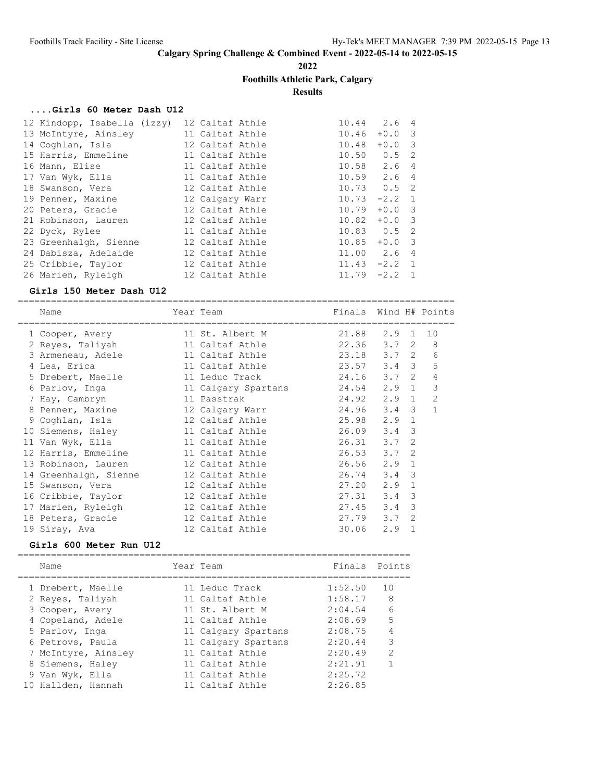**2022**

# **Foothills Athletic Park, Calgary**

**Results**

### **....Girls 60 Meter Dash U12**

| 12 Kindopp, Isabella (izzy) | 12 Caltaf Athle | 10.44           | 2.6 4          |  |
|-----------------------------|-----------------|-----------------|----------------|--|
| 13 McIntyre, Ainsley        | 11 Caltaf Athle | 10.46           | $+0.0$ 3       |  |
| 14 Coghlan, Isla            | 12 Caltaf Athle | 10.48           | $+0.0$ 3       |  |
| 15 Harris, Emmeline         | 11 Caltaf Athle | $10.50$ $0.5$ 2 |                |  |
| 16 Mann, Elise              | 11 Caltaf Athle | $10.58$ 2.6 4   |                |  |
| 17 Van Wyk, Ella            | 11 Caltaf Athle | $10.59$ $2.6$ 4 |                |  |
| 18 Swanson, Vera            | 12 Caltaf Athle | $10.73$ $0.5$ 2 |                |  |
| 19 Penner, Maxine           | 12 Calgary Warr | 10.73           | $-2.2 \quad 1$ |  |
| 20 Peters, Gracie           | 12 Caltaf Athle | 10.79           | $+0.0$ 3       |  |
| 21 Robinson, Lauren         | 12 Caltaf Athle | 10.82           | $+0.0$ 3       |  |
| 22 Dyck, Rylee              | 11 Caltaf Athle | $10.83$ $0.5$ 2 |                |  |
| 23 Greenhalgh, Sienne       | 12 Caltaf Athle | 10.85           | $+0.0$ 3       |  |
| 24 Dabisza, Adelaide        | 12 Caltaf Athle | 11.00 2.6 4     |                |  |
| 25 Cribbie, Taylor          | 12 Caltaf Athle | $11.43 -2.2$ 1  |                |  |
| 26 Marien, Ryleigh          | 12 Caltaf Athle | 11.79           | $-2.2$ 1       |  |
|                             |                 |                 |                |  |

#### **Girls 150 Meter Dash U12**

===============================================================================

| Name<br>------------- | Year Team<br>--------- | Finals Wind H# Points |               |               |              |
|-----------------------|------------------------|-----------------------|---------------|---------------|--------------|
| 1 Cooper, Avery       | 11 St. Albert M        | 21.88                 | $2.9 \quad 1$ |               | 10           |
| 2 Reyes, Taliyah      | 11 Caltaf Athle        | 22.36                 | $3.7 \quad 2$ |               | 8            |
| 3 Armeneau, Adele     | 11 Caltaf Athle        | 23.18                 | $3.7 \quad 2$ |               | 6            |
| 4 Lea, Erica          | 11 Caltaf Athle        | 23.57                 | $3.4 \quad 3$ |               | 5            |
| 5 Drebert, Maelle     | 11 Leduc Track         | 24.16                 | $3.7 \quad 2$ |               | 4            |
| 6 Parlov, Inga        | 11 Calgary Spartans    | 24.54                 | $2.9$ 1       |               | 3            |
| 7 Hay, Cambryn        | 11 Passtrak            | 24.92                 | $2.9 \quad 1$ |               | 2            |
| 8 Penner, Maxine      | 12 Calgary Warr        | 24.96                 | $3.4 \quad 3$ |               | $\mathbf{1}$ |
| 9 Coghlan, Isla       | 12 Caltaf Athle        | 25.98                 | 2.9           | $\mathbf{1}$  |              |
| 10 Siemens, Haley     | 11 Caltaf Athle        | 26.09                 | 3.4           | $\mathcal{E}$ |              |
| 11 Van Wyk, Ella      | 11 Caltaf Athle        | 26.31                 | 3.7           | $\mathcal{L}$ |              |
| 12 Harris, Emmeline   | 11 Caltaf Athle        | 26.53                 | 3.7           | $\mathcal{L}$ |              |
| 13 Robinson, Lauren   | 12 Caltaf Athle        | 26.56                 | 2.9           | $\mathbf{1}$  |              |
| 14 Greenhalgh, Sienne | 12 Caltaf Athle        | 26.74                 | 3.4           | 3             |              |
| 15 Swanson, Vera      | 12 Caltaf Athle        | 27.20                 | 2.9           | $\mathbf{1}$  |              |
| 16 Cribbie, Taylor    | 12 Caltaf Athle        | 27.31                 | 3.4           | 3             |              |
| 17 Marien, Ryleigh    | 12 Caltaf Athle        | 27.45                 | 3.4           | 3             |              |
| 18 Peters, Gracie     | 12 Caltaf Athle        | 27.79                 | 3.7           | $\mathcal{L}$ |              |
| 19 Siray, Ava         | 12 Caltaf Athle        | 30.06                 | 2.9           | 1             |              |

### **Girls 600 Meter Run U12**

|  | Name                | Year Team           | Finals Points |               |
|--|---------------------|---------------------|---------------|---------------|
|  | 1 Drebert, Maelle   | 11 Leduc Track      | 1:52.50       | 10            |
|  | 2 Reyes, Taliyah    | 11 Caltaf Athle     | 1:58.17       | 8             |
|  | 3 Cooper, Avery     | 11 St. Albert M     | 2:04.54       | 6             |
|  | 4 Copeland, Adele   | 11 Caltaf Athle     | 2:08.69       | 5             |
|  | 5 Parlov, Inga      | 11 Calgary Spartans | 2:08.75       |               |
|  | 6 Petrovs, Paula    | 11 Calgary Spartans | 2:20.44       | 3             |
|  | 7 McIntyre, Ainsley | 11 Caltaf Athle     | 2:20.49       | $\mathcal{P}$ |
|  | 8 Siemens, Haley    | 11 Caltaf Athle     | 2:21.91       |               |
|  | 9 Van Wyk, Ella     | 11 Caltaf Athle     | 2:25.72       |               |
|  | 10 Hallden, Hannah  | 11 Caltaf Athle     | 2:26.85       |               |
|  |                     |                     |               |               |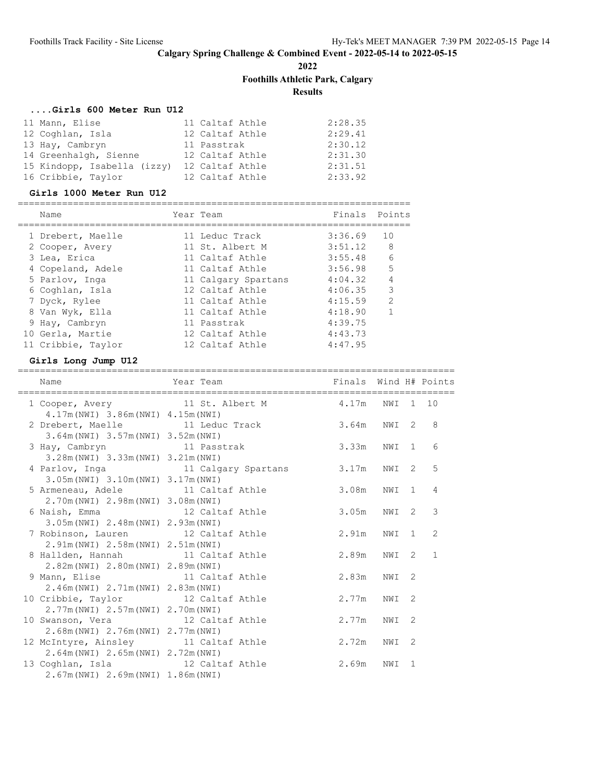**2022**

**Foothills Athletic Park, Calgary**

**Results**

### **....Girls 600 Meter Run U12**

| 11 Mann, Elise              | 11 Caltaf Athle | 2:28.35 |
|-----------------------------|-----------------|---------|
| 12 Coghlan, Isla            | 12 Caltaf Athle | 2:29.41 |
| 13 Hay, Cambryn             | 11 Passtrak     | 2:30.12 |
| 14 Greenhalgh, Sienne       | 12 Caltaf Athle | 2:31.30 |
| 15 Kindopp, Isabella (izzy) | 12 Caltaf Athle | 2:31.51 |
| 16 Cribbie, Taylor          | 12 Caltaf Athle | 2:33.92 |

#### **Girls 1000 Meter Run U12**

| Name               | Year Team           | Finals Points |                |
|--------------------|---------------------|---------------|----------------|
| 1 Drebert, Maelle  | 11 Leduc Track      | 3:36.69       | 10             |
| 2 Cooper, Avery    | 11 St. Albert M     | 3:51.12       | 8              |
| 3 Lea, Erica       | 11 Caltaf Athle     | 3:55.48       | 6              |
| 4 Copeland, Adele  | 11 Caltaf Athle     | 3:56.98       | 5              |
| 5 Parlov, Inga     | 11 Calgary Spartans | 4:04.32       | $\overline{4}$ |
| 6 Coghlan, Isla    | 12 Caltaf Athle     | 4:06.35       | 3              |
| 7 Dyck, Rylee      | 11 Caltaf Athle     | 4:15.59       | $\mathcal{L}$  |
| 8 Van Wyk, Ella    | 11 Caltaf Athle     | 4:18.90       | 1              |
| 9 Hay, Cambryn     | 11 Passtrak         | 4:39.75       |                |
| 10 Gerla, Martie   | 12 Caltaf Athle     | 4:43.73       |                |
| 11 Cribbie, Taylor | 12 Caltaf Athle     | 4:47.95       |                |

#### **Girls Long Jump U12**

=============================================================================== Name Year Team Finals Wind H# Points

| Name                                     | Year Team                                      | Finals Wind H# Points |       |   |              |
|------------------------------------------|------------------------------------------------|-----------------------|-------|---|--------------|
| $4.17m(NWI)$ 3.86 $m(NWI)$ 4.15 $m(NWI)$ | 1 Cooper, Avery 11 St. Albert M 4.17m NWI 1 10 |                       |       |   |              |
|                                          | 2 Drebert, Maelle 11 Leduc Track 3.64m NWI 2   |                       |       |   | 8            |
| 3.64m (NWI) 3.57m (NWI) 3.52m (NWI)      |                                                |                       |       |   |              |
| 3 Hay, Cambryn 11 Passtrak               |                                                | 3.33m NWI 1           |       |   | 6            |
| 3.28m (NWI) 3.33m (NWI) 3.21m (NWI)      |                                                |                       |       |   |              |
|                                          | 4 Parlov, Inga 11 Calgary Spartans             | 3.17m                 | NWI 2 |   | 5            |
| 3.05m (NWI) 3.10m (NWI) 3.17m (NWI)      |                                                |                       |       |   |              |
|                                          | 5 Armeneau, Adele 11 Caltaf Athle              | 3.08m                 | NWI 1 |   | 4            |
| 2.70m (NWI) 2.98m (NWI) 3.08m (NWI)      |                                                |                       |       |   |              |
| 6 Naish, Emma<br>12 Caltaf Athle         |                                                | 3.05m NWI 2           |       |   | 3            |
| 3.05m (NWI) 2.48m (NWI) 2.93m (NWI)      |                                                |                       |       |   |              |
| 7 Robinson, Lauren 12 Caltaf Athle       | 2.91m                                          |                       | NWI 1 |   | 2            |
| 2.91m (NWI) 2.58m (NWI) 2.51m (NWI)      |                                                |                       |       |   |              |
| 8 Hallden, Hannah 11 Caltaf Athle        |                                                | 2.89m NWI 2           |       |   | $\mathbf{1}$ |
| 2.82m (NWI) 2.80m (NWI) 2.89m (NWI)      |                                                |                       |       |   |              |
| 9 Mann, Elise 11 Caltaf Athle            |                                                | 2.83m                 | NWI 2 |   |              |
| 2.46m (NWI) 2.71m (NWI) 2.83m (NWI)      |                                                |                       |       |   |              |
| 10 Cribbie, Taylor 12 Caltaf Athle       |                                                | 2.77m NWI             |       | 2 |              |
| 2.77m (NWI) 2.57m (NWI) 2.70m (NWI)      |                                                |                       |       |   |              |
| 10 Swanson, Vera 12 Caltaf Athle         |                                                | 2.77m                 | NWI   | 2 |              |
| 2.68m (NWI) 2.76m (NWI) 2.77m (NWI)      |                                                |                       |       |   |              |
| 12 McIntyre, Ainsley 11 Caltaf Athle     | 2.72m                                          |                       | NWI   | 2 |              |
| 2.64m (NWI) 2.65m (NWI) 2.72m (NWI)      |                                                |                       |       |   |              |
| 13 Coghlan, Isla 12 Caltaf Athle         |                                                | 2.69m                 | NWI 1 |   |              |
| 2.67m (NWI) 2.69m (NWI) 1.86m (NWI)      |                                                |                       |       |   |              |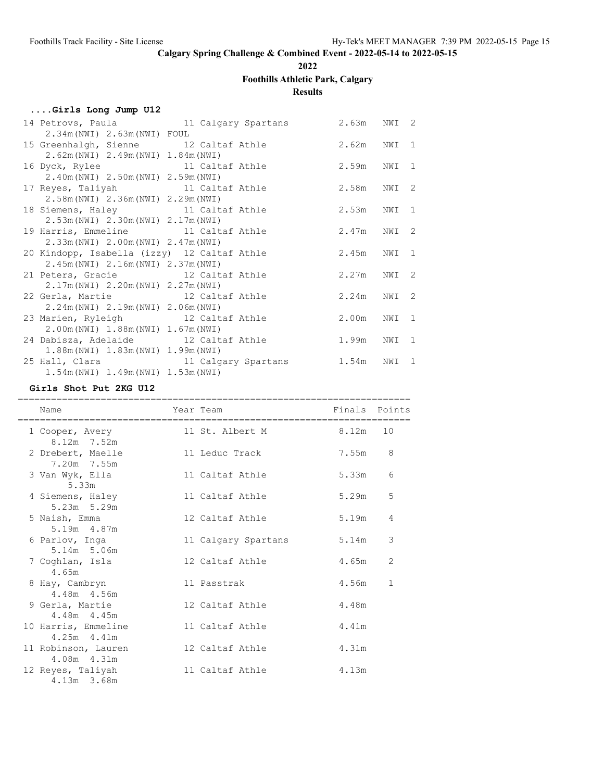**2022**

# **Foothills Athletic Park, Calgary**

# **Results**

|  |  |  | Girls Long Jump U12 |  |  |  |
|--|--|--|---------------------|--|--|--|
|--|--|--|---------------------|--|--|--|

|                                                                         | 14 Petrovs, Paula 11 Calgary Spartans                          | 2.63m       | NWI 2 |   |
|-------------------------------------------------------------------------|----------------------------------------------------------------|-------------|-------|---|
| 2.34m (NWI) 2.63m (NWI) FOUL                                            |                                                                |             |       |   |
| 15 Greenhalgh, Sienne 12 Caltaf Athle                                   |                                                                | 2.62m NWI 1 |       |   |
| 2.62m (NWI) 2.49m (NWI) 1.84m (NWI)                                     |                                                                |             |       |   |
| 16 Dyck, Rylee                                                          | 11 Caltaf Athle                                                | 2.59m NWI 1 |       |   |
| 2.40m (NWI) 2.50m (NWI) 2.59m (NWI)                                     |                                                                |             |       |   |
| 17 Reyes, Taliyah 11 Caltaf Athle                                       |                                                                | 2.58m NWI 2 |       |   |
| 2.58m (NWI) 2.36m (NWI) 2.29m (NWI)                                     |                                                                |             |       |   |
| 18 Siemens, Haley 11 Caltaf Athle                                       |                                                                | 2.53m       | NWI 1 |   |
| 2.53m (NWI) 2.30m (NWI) 2.17m (NWI)                                     |                                                                |             |       |   |
| 19 Harris, Emmeline 11 Caltaf Athle                                     |                                                                | 2.47m       | NWI 2 |   |
| 2.33m (NWI) 2.00m (NWI) 2.47m (NWI)                                     |                                                                |             |       |   |
| 20 Kindopp, Isabella (izzy) 12 Caltaf Athle                             |                                                                | 2.45m       | NWI 1 |   |
| 2.45m (NWI) 2.16m (NWI) 2.37m (NWI)                                     |                                                                |             |       |   |
| 21 Peters, Gracie 12 Caltaf Athle                                       |                                                                | 2.27m       | NWI 2 |   |
| 2.17m (NWI) 2.20m (NWI) 2.27m (NWI)                                     |                                                                |             | NWI 2 |   |
| 22 Gerla, Martie 12 Caltaf Athle<br>2.24m (NWI) 2.19m (NWI) 2.06m (NWI) |                                                                | 2.24m       |       |   |
| 23 Marien, Ryleigh 12 Caltaf Athle                                      |                                                                | 2.00m       | NWI 1 |   |
| 2.00m (NWI) 1.88m (NWI) 1.67m (NWI)                                     |                                                                |             |       |   |
| 24 Dabisza, Adelaide 12 Caltaf Athle                                    |                                                                | 1.99m       | NWI   | 1 |
| 1.88m(NWI) 1.83m(NWI) 1.99m(NWI)                                        |                                                                |             |       |   |
|                                                                         | 25 Hall, Clara                             11 Calgary Spartans | 1.54m       | NWI 1 |   |
| $1.54m(NWI)$ $1.49m(NWI)$ $1.53m(NWI)$                                  |                                                                |             |       |   |
|                                                                         |                                                                |             |       |   |

#### **Girls Shot Put 2KG U12**

| Name                                   | Year Team             | Finals Points |              |
|----------------------------------------|-----------------------|---------------|--------------|
| 1 Cooper, Avery<br>8.12m 7.52m         | 11 St. Albert M 8.12m |               | 10           |
| 2 Drebert, Maelle<br>7.20m 7.55m       | 11 Leduc Track        | 7.55m         | 8            |
| 3 Van Wyk, Ella<br>5.33m               | 11 Caltaf Athle       | 5.33m         | 6            |
| 4 Siemens, Haley<br>$5.23m$ $5.29m$    | 11 Caltaf Athle       | 5.29m         | 5            |
| 5 Naish, Emma<br>5.19m 4.87m           | 12 Caltaf Athle       | 5.19m         | 4            |
| 6 Parlov, Inga<br>5.14m 5.06m          | 11 Calgary Spartans   | 5.14m         | 3            |
| 7 Coghlan, Isla<br>4.65m               | 12 Caltaf Athle 4.65m |               | 2            |
| 8 Hay, Cambryn<br>4.48m 4.56m          | 11 Passtrak           | 4.56m         | $\mathbf{1}$ |
| 9 Gerla, Martie<br>4.48m 4.45m         | 12 Caltaf Athle       | 4.48m         |              |
| 10 Harris, Emmeline<br>$4.25m$ $4.41m$ | 11 Caltaf Athle       | 4.41m         |              |
| 11 Robinson, Lauren<br>4.08m 4.31m     | 12 Caltaf Athle       | 4.31m         |              |
| 12 Reyes, Taliyah<br>4.13m 3.68m       | 11 Caltaf Athle       | 4.13m         |              |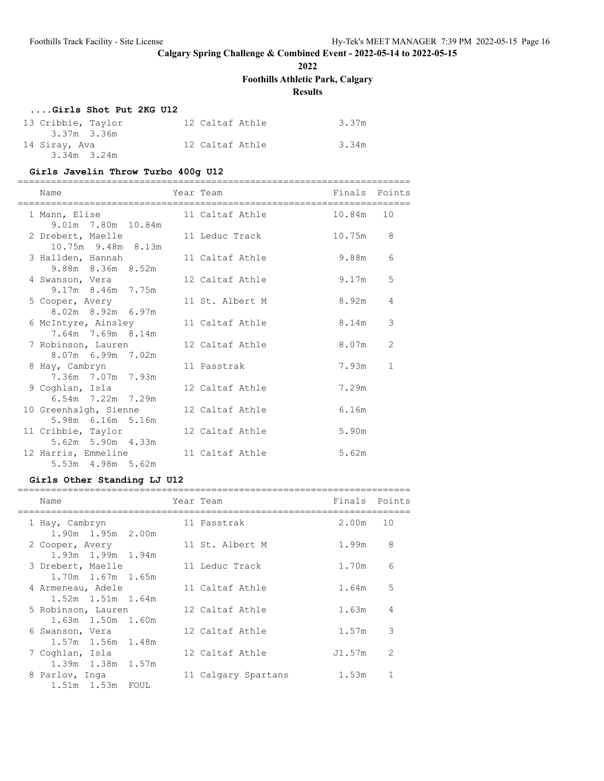**2022**

**Foothills Athletic Park, Calgary**

**Results**

# **....Girls Shot Put 2KG U12**

| 13 Cribbie, Taylor<br>3.37m 3.36m | 12 Caltaf Athle | 3.37m |
|-----------------------------------|-----------------|-------|
| 14 Siray, Ava<br>$3.34m$ $3.24m$  | 12 Caltaf Athle | 3.34m |

#### **Girls Javelin Throw Turbo 400g U12**

=======================================================================

|  | Name                                             | Year Team |                 | Finals Points |               |
|--|--------------------------------------------------|-----------|-----------------|---------------|---------------|
|  | 1 Mann, Elise                                    |           | 11 Caltaf Athle | 10.84m 10     |               |
|  | 9.01m 7.80m 10.84m<br>2 Drebert, Maelle          |           | 11 Leduc Track  | 10.75m        | 8             |
|  | 10.75m 9.48m 8.13m                               |           | 11 Caltaf Athle | 9.88m         | 6             |
|  | 3 Hallden, Hannah<br>9.88m 8.36m 8.52m           |           |                 |               |               |
|  | 4 Swanson, Vera                                  |           | 12 Caltaf Athle | 9.17m         | 5             |
|  | 9.17m 8.46m 7.75m<br>5 Cooper, Avery             |           | 11 St. Albert M | 8.92m         | 4             |
|  | 8.02m 8.92m 6.97m                                |           |                 |               |               |
|  | 6 McIntyre, Ainsley<br>7.64m 7.69m 8.14m         |           | 11 Caltaf Athle | 8.14m         | 3             |
|  | 7 Robinson, Lauren                               |           | 12 Caltaf Athle | 8.07m         | $\mathcal{L}$ |
|  | 8.07m 6.99m 7.02m                                |           |                 |               |               |
|  | 8 Hay, Cambryn<br>7.36m 7.07m 7.93m              |           | 11 Passtrak     | 7.93m         | $\mathbf{1}$  |
|  | 9 Coghlan, Isla                                  |           | 12 Caltaf Athle | 7.29m         |               |
|  | $6.54m$ $7.22m$ $7.29m$<br>10 Greenhalgh, Sienne |           | 12 Caltaf Athle | 6.16m         |               |
|  | 5.98m 6.16m 5.16m                                |           |                 |               |               |
|  | 11 Cribbie, Taylor                               |           | 12 Caltaf Athle | 5.90m         |               |
|  | 5.62m 5.90m 4.33m<br>12 Harris, Emmeline         |           | 11 Caltaf Athle | 5.62m         |               |
|  | 5.53m 4.98m 5.62m                                |           |                 |               |               |

# **Girls Other Standing LJ U12**

| Name                    | Year Team           | Finals | Points        |
|-------------------------|---------------------|--------|---------------|
| 1 Hay, Cambryn          | 11 Passtrak         | 2.00m  | 10            |
| 1.90m 1.95m 2.00m       |                     |        |               |
| 2 Cooper, Avery         | 11 St. Albert M     | 1.99m  | 8             |
| 1.93m 1.99m 1.94m       |                     |        |               |
| 3 Drebert, Maelle       | 11 Leduc Track      | 1.70m  | 6             |
| 1.70m 1.67m 1.65m       |                     |        |               |
| 4 Armeneau, Adele       | 11 Caltaf Athle     | 1.64m  | 5             |
| $1.52m$ $1.51m$ $1.64m$ |                     |        |               |
| 5 Robinson, Lauren      | 12 Caltaf Athle     | 1.63m  | 4             |
| 1.63m 1.50m 1.60m       |                     |        |               |
| 6 Swanson, Vera         | 12 Caltaf Athle     | 1.57m  | 3             |
| $1.57m$ $1.56m$ $1.48m$ |                     |        |               |
| 7 Coghlan, Isla         | 12 Caltaf Athle     | J1.57m | $\mathcal{L}$ |
| 1.39m 1.38m 1.57m       |                     |        |               |
| 8 Parlov, Inga          | 11 Calgary Spartans | 1.53m  |               |
| 1.51m 1.53m FOUL        |                     |        |               |
|                         |                     |        |               |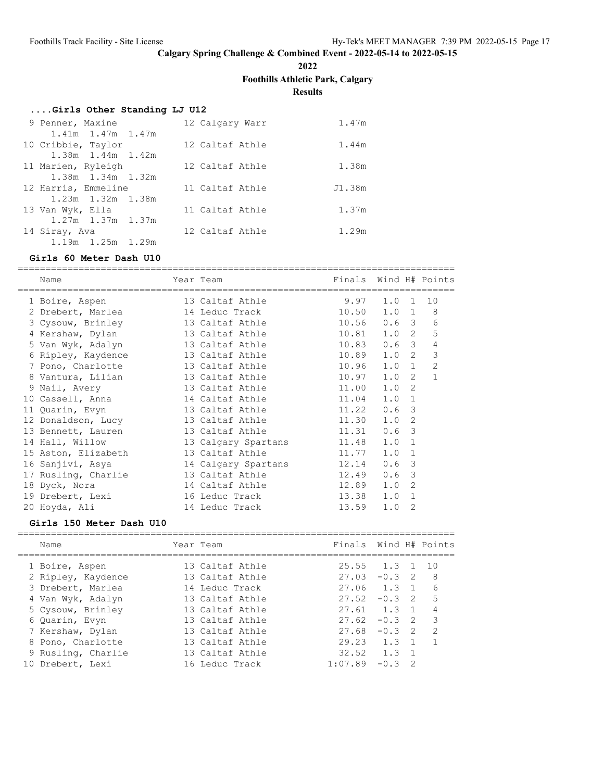**2022**

**Foothills Athletic Park, Calgary**

**Results**

### **....Girls Other Standing LJ U12**

| 9 Penner, Maxine        |  | 12 Calgary Warr | 1.47m  |
|-------------------------|--|-----------------|--------|
| $1.41m$ $1.47m$ $1.47m$ |  |                 |        |
| 10 Cribbie, Taylor      |  | 12 Caltaf Athle | 1.44m  |
| 1.38m 1.44m 1.42m       |  |                 |        |
| 11 Marien, Ryleigh      |  | 12 Caltaf Athle | 1.38m  |
| 1.38m 1.34m 1.32m       |  |                 |        |
| 12 Harris, Emmeline     |  | 11 Caltaf Athle | J1.38m |
| 1.23m 1.32m 1.38m       |  |                 |        |
| 13 Van Wyk, Ella        |  | 11 Caltaf Athle | 1.37m  |
| $1.27m$ $1.37m$ $1.37m$ |  |                 |        |
| 14 Siray, Ava           |  | 12 Caltaf Athle | 1.29m  |
| 1.19m 1.25m 1.29m       |  |                 |        |

#### **Girls 60 Meter Dash U10**

===============================================================================

| Name                | Year Team                 | Finals |                  |              | Wind H# Points |
|---------------------|---------------------------|--------|------------------|--------------|----------------|
| 1 Boire, Aspen      | 13 Caltaf Athle           | 9.97   | $1.0 \quad 1$    |              | 10             |
| 2 Drebert, Marlea   | 14 Leduc Track            | 10.50  | $1.0 \t1 \t8$    |              |                |
| 3 Cysouw, Brinley   | 13 Caltaf Athle           | 10.56  | 0.6 <sup>3</sup> |              | 6              |
| 4 Kershaw, Dylan    | 13 Caltaf Athle           | 10.81  | 1.0 <sub>2</sub> |              | 5              |
| 5 Van Wyk, Adalyn   | 13 Caltaf Athle           | 10.83  | $0.6-3$          |              | 4              |
| 6 Ripley, Kaydence  | 13 Caltaf Athle           | 10.89  | $1.0 \t2$        |              | 3              |
| 7 Pono, Charlotte   | 13 Caltaf Athle           | 10.96  | $1.0 \t1$        |              | 2              |
| 8 Vantura, Lilian   | 13 Caltaf Athle           | 10.97  | 1.0              | 2            | $\mathbf{1}$   |
| 9 Nail, Avery       | 13 Caltaf Athle           | 11.00  | 1.0              | 2            |                |
| 10 Cassell, Anna    | 14 Caltaf Athle           | 11.04  | 1.0 1            |              |                |
| 11 Quarin, Evyn     | 13 Caltaf Athle           | 11.22  | $0.6-3$          |              |                |
| 12 Donaldson, Lucy  | 13 Caltaf Athle           | 11.30  | 1.0              | 2            |                |
| 13 Bennett, Lauren  | 13 Caltaf Athle           | 11.31  | $0.6-3$          |              |                |
| 14 Hall, Willow     | 13 Calgary Spartans 11.48 |        | 1.0              | $\mathbf{1}$ |                |
| 15 Aston, Elizabeth | 13 Caltaf Athle           | 11.77  | 1.0              | 1            |                |
| 16 Sanjivi, Asya    | 14 Calgary Spartans       | 12.14  | $0.6-3$          |              |                |
| 17 Rusling, Charlie | 13 Caltaf Athle           | 12.49  | 0.6              | 3            |                |
| 18 Dyck, Nora       | 14 Caltaf Athle           | 12.89  | 1.0              | 2            |                |
| 19 Drebert, Lexi    | 16 Leduc Track            | 13.38  | 1.0              | 1            |                |
| 20 Hoyda, Ali       | 14 Leduc Track            | 13.59  | 1.0              | 2            |                |

### **Girls 150 Meter Dash U10**

| Name               | Year Team       | Finals Wind H# Points |          |                |     |
|--------------------|-----------------|-----------------------|----------|----------------|-----|
| 1 Boire, Aspen     | 13 Caltaf Athle | $25.55$ $1.3$ 1       |          |                | 1 O |
| 2 Ripley, Kaydence | 13 Caltaf Athle | 27.03                 | $-0.3$ 2 |                | 8   |
| 3 Drebert, Marlea  | 14 Leduc Track  | 27.06 1.3             |          | $\overline{1}$ | 6   |
| 4 Van Wyk, Adalyn  | 13 Caltaf Athle | 27.52                 | $-0.3$   | - 2            | 5   |
| 5 Cysouw, Brinley  | 13 Caltaf Athle | 27.61                 | 1.3      | $\overline{1}$ | 4   |
| 6 Ouarin, Evyn     | 13 Caltaf Athle | 27.62                 | $-0.3$   | - 2            | 3   |
| 7 Kershaw, Dylan   | 13 Caltaf Athle | 27.68                 | $-0.3$   | - 2            | 2   |
| 8 Pono, Charlotte  | 13 Caltaf Athle | 29.23                 | 1.3      |                |     |
| 9 Rusling, Charlie | 13 Caltaf Athle | 32.52                 | 1.3      |                |     |
| 10 Drebert, Lexi   | 16 Leduc Track  | 1:07.89               | $-0.3$   |                |     |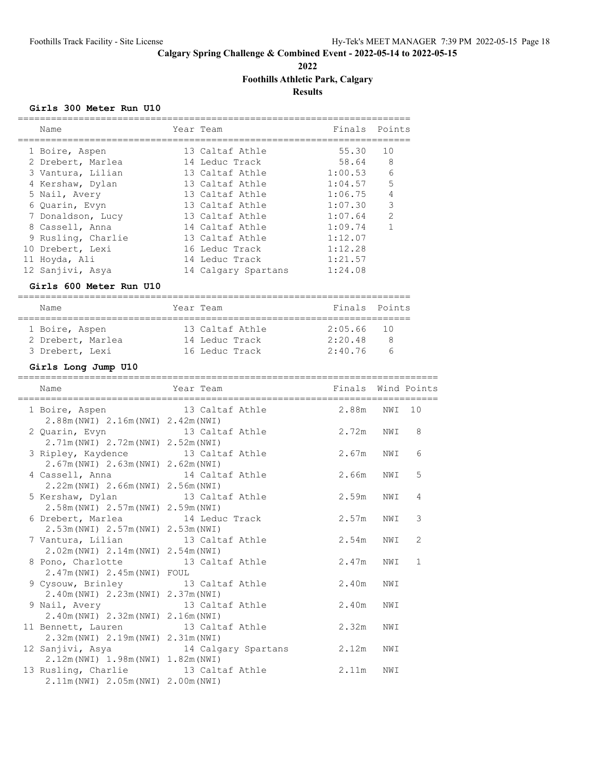**2022**

# **Foothills Athletic Park, Calgary**

**Results**

### **Girls 300 Meter Run U10**

| Name                                                      |            | Year Team                   | Finals Points      |                |    |
|-----------------------------------------------------------|------------|-----------------------------|--------------------|----------------|----|
| 1 Boire, Aspen                                            |            | 13 Caltaf Athle             | 55.30              | 10             |    |
| 2 Drebert, Marlea                                         |            | 14 Leduc Track              | 58.64              | 8              |    |
| 3 Vantura, Lilian                                         |            | 13 Caltaf Athle             | 1:00.53            | 6              |    |
| 4 Kershaw, Dylan                                          |            | 13 Caltaf Athle             | 1:04.57            | 5              |    |
| 5 Nail, Avery                                             |            | 13 Caltaf Athle             | 1:06.75            | $\overline{4}$ |    |
| 6 Quarin, Evyn                                            |            | 13 Caltaf Athle             | 1:07.30            | 3              |    |
| 7 Donaldson, Lucy                                         |            | 13 Caltaf Athle             | 1:07.64            | 2              |    |
| 8 Cassell, Anna                                           |            | 14 Caltaf Athle             | 1:09.74            | 1              |    |
| 9 Rusling, Charlie                                        |            | 13 Caltaf Athle             | 1:12.07            |                |    |
| 10 Drebert, Lexi                                          |            | 16 Leduc Track              | 1:12.28            |                |    |
| 11 Hoyda, Ali                                             |            | 14 Leduc Track              | 1:21.57            |                |    |
| 12 Sanjivi, Asya                                          |            | 14 Calgary Spartans 1:24.08 |                    |                |    |
| Girls 600 Meter Run U10                                   |            |                             |                    |                |    |
| Name                                                      |            | Year Team                   | Finals Points      |                |    |
| 1 Boire, Aspen                                            |            | 13 Caltaf Athle             | 2:05.66            | 10             |    |
| 2 Drebert, Marlea                                         |            | 14 Leduc Track              | 2:20.48            | 8              |    |
| 3 Drebert, Lexi                                           |            | 16 Leduc Track              | 2:40.76 6          |                |    |
| Girls Long Jump U10                                       |            |                             |                    |                |    |
| Name                                                      | Year Team  |                             | Finals Wind Points |                |    |
|                                                           |            |                             |                    |                |    |
| 1 Boire, Aspen                                            |            | 13 Caltaf Athle             | 2.88m              | NWI            | 10 |
| 2.88m (NWI) 2.16m (NWI) 2.42m (NWI)                       |            |                             |                    |                |    |
| 2 Quarin, Evyn                                            |            | 13 Caltaf Athle             | 2.72m              | NWI            | 8  |
| 2.71m (NWI) 2.72m (NWI) 2.52m (NWI)                       |            |                             |                    |                |    |
| 3 Ripley, Kaydence                                        |            | 13 Caltaf Athle             | 2.67m              | NWI            | 6  |
| 2.67m (NWI) 2.63m (NWI) 2.62m (NWI)                       |            | 14 Caltaf Athle             | 2.66m              | NWI            | 5  |
| 4 Cassell, Anna                                           |            |                             |                    |                |    |
| 2.22m (NWI) 2.66m (NWI) 2.56m (NWI)                       |            | 13 Caltaf Athle             | 2.59m              | NWI            | 4  |
| 5 Kershaw, Dylan<br>2.58m (NWI) 2.57m (NWI) 2.59m (NWI)   |            |                             |                    |                |    |
| 6 Drebert, Marlea                                         |            | 14 Leduc Track              | 2.57m              | NWI            | 3  |
| 2.53m (NWI) 2.57m (NWI) 2.53m (NWI)                       |            |                             |                    |                |    |
| 7 Vantura, Lilian                                         |            | 13 Caltaf Athle             | 2.54m              | NWI            | 2  |
| 2.02m (NWI) 2.14m (NWI) 2.54m (NWI)                       |            |                             |                    |                |    |
| 8 Pono, Charlotte                                         |            | 13 Caltaf Athle             | 2.47m              | NWI            | 1  |
| 2.47m (NWI) 2.45m (NWI) FOUL                              |            |                             |                    |                |    |
| 9 Cysouw, Brinley                                         |            | 13 Caltaf Athle             | 2.40m              | NWI            |    |
| 2.40m (NWI) 2.23m (NWI) 2.37m (NWI)                       |            |                             |                    |                |    |
| 9 Nail, Avery                                             |            | 13 Caltaf Athle             | 2.40m              | NWI            |    |
| 2.40m (NWI) 2.32m (NWI)                                   | 2.16m(NWI) |                             |                    |                |    |
|                                                           |            | 13 Caltaf Athle             | 2.32m              | NWI            |    |
| 11 Bennett, Lauren<br>2.32m (NWI) 2.19m (NWI) 2.31m (NWI) |            |                             |                    |                |    |
| 12 Sanjivi, Asya                                          |            | 14 Calgary Spartans         | 2.12m              | NWI            |    |
| 2.12m (NWI) 1.98m (NWI) 1.82m (NWI)                       |            |                             |                    |                |    |
| 13 Rusling, Charlie                                       |            | 13 Caltaf Athle             | 2.11m              | NWI            |    |
| 2.11m (NWI) 2.05m (NWI) 2.00m (NWI)                       |            |                             |                    |                |    |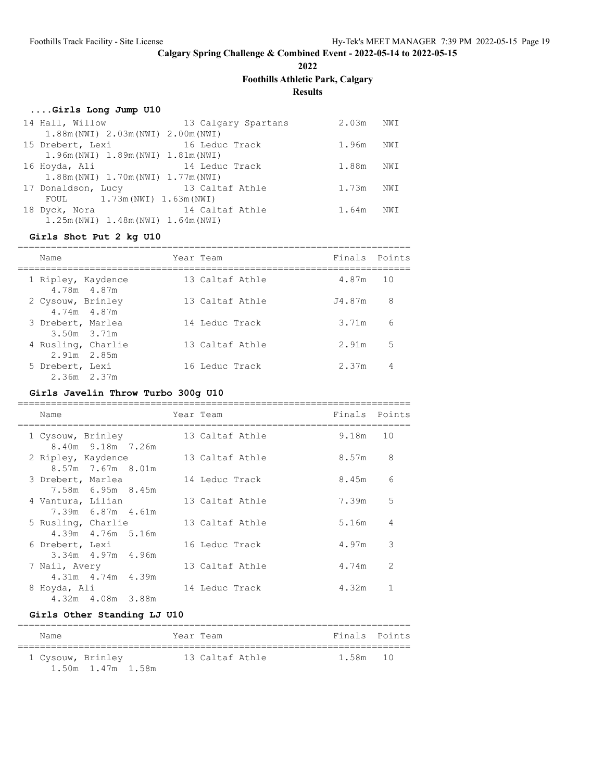**2022**

**Foothills Athletic Park, Calgary**

**Results**

# **....Girls Long Jump U10**

| 14 Hall, Willow                        | 13 Calgary Spartans | $2.03m$ NWI |     |
|----------------------------------------|---------------------|-------------|-----|
| 1.88m (NWI) 2.03m (NWI) 2.00m (NWI)    |                     |             |     |
| 15 Drebert, Lexi                       | 16 Leduc Track      | 1.96m       | NWI |
| 1.96m (NWI) 1.89m (NWI) 1.81m (NWI)    |                     |             |     |
| 16 Hoyda, Ali                          | 14 Leduc Track      | 1.88m       | NWI |
| 1.88m (NWI) 1.70m (NWI) 1.77m (NWI)    |                     |             |     |
| 17 Donaldson, Lucy 13 Caltaf Athle     |                     | 1.73m       | NWI |
| FOUL $1.73m(NWI) 1.63m(NWI)$           |                     |             |     |
| 18 Dyck, Nora                          | 14 Caltaf Athle     | 1.64m       | NWI |
| $1.25m(NWI)$ $1.48m(NWI)$ $1.64m(NWI)$ |                     |             |     |

### **Girls Shot Put 2 kg U10**

| Name                                 | Year Team       | Finals Points |    |
|--------------------------------------|-----------------|---------------|----|
| 1 Ripley, Kaydence<br>4.78m 4.87m    | 13 Caltaf Athle | 4.87m 10      |    |
| 2 Cysouw, Brinley<br>4.74m 4.87m     | 13 Caltaf Athle | .J4.87m       | 8  |
| 3 Drebert, Marlea<br>$3.50m$ $3.71m$ | 14 Leduc Track  | 3.71m         | 6  |
| 4 Rusling, Charlie<br>2.91m 2.85m    | 13 Caltaf Athle | 2.91m         | .5 |
| 5 Drebert, Lexi<br>$2.36m$ $2.37m$   | 16 Leduc Track  | 2.37m         | 4  |

# **Girls Javelin Throw Turbo 300g U10**

| Name               |                       |  | Year Team       |       | Finals Points |
|--------------------|-----------------------|--|-----------------|-------|---------------|
| 1 Cysouw, Brinley  | 8.40m 9.18m 7.26m     |  | 13 Caltaf Athle | 9.18m | 10            |
| 2 Ripley, Kaydence | $8.57m$ 7.67m $8.01m$ |  | 13 Caltaf Athle | 8.57m | 8             |
| 3 Drebert, Marlea  | 7.58m 6.95m 8.45m     |  | 14 Leduc Track  | 8.45m | 6             |
| 4 Vantura, Lilian  | 7.39m 6.87m 4.61m     |  | 13 Caltaf Athle | 7.39m | 5             |
| 5 Rusling, Charlie | 4.39m  4.76m  5.16m   |  | 13 Caltaf Athle | 5.16m | 4             |
| 6 Drebert, Lexi    | $3.34m$ 4.97m 4.96m   |  | 16 Leduc Track  | 4.97m | 3             |
| 7 Nail, Avery      | 4.31m 4.74m 4.39m     |  | 13 Caltaf Athle | 4.74m | $\mathcal{L}$ |
| 8 Hoyda, Ali       | 4.32m  4.08m  3.88m   |  | 14 Leduc Track  | 4.32m |               |

# **Girls Other Standing LJ U10**

| Name              |                   | Year Team |                 | Finals Points |  |
|-------------------|-------------------|-----------|-----------------|---------------|--|
| 1 Cysouw, Brinley | 1.50m 1.47m 1.58m |           | 13 Caltaf Athle | 1.58m 10      |  |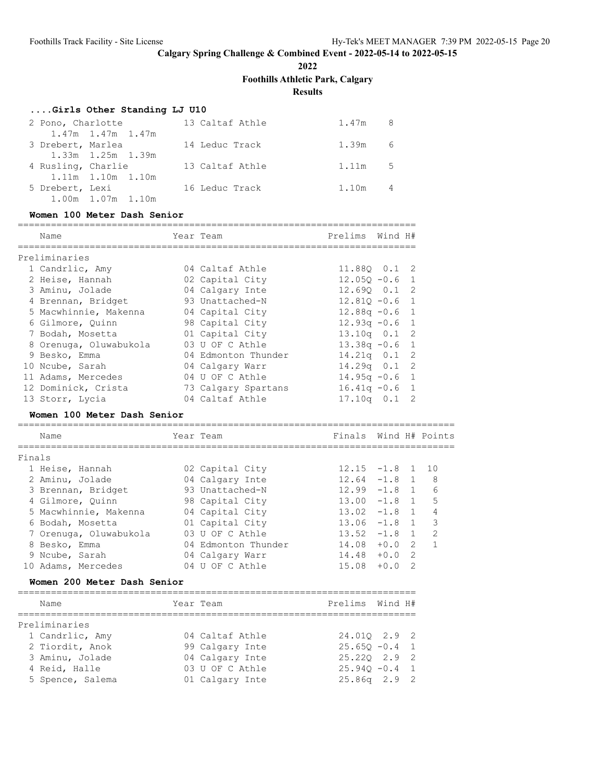**2022**

**Foothills Athletic Park, Calgary**

**Results**

### **....Girls Other Standing LJ U10**

| 2 Pono, Charlotte  |                   | 13 Caltaf Athle | 1.47m 8 |   |
|--------------------|-------------------|-----------------|---------|---|
|                    | 1.47m 1.47m 1.47m |                 |         |   |
| 3 Drebert, Marlea  |                   | 14 Leduc Track  | 1.39m 6 |   |
|                    | 1.33m 1.25m 1.39m |                 |         |   |
| 4 Rusling, Charlie |                   | 13 Caltaf Athle | 1.11m 5 |   |
|                    | 1.11m 1.10m 1.10m |                 |         |   |
| 5 Drebert, Lexi    |                   | 16 Leduc Track  | 1.10m   | 4 |
|                    | 1.00m 1.07m 1.10m |                 |         |   |

#### **Women 100 Meter Dash Senior**

| Name                   | Year Team           | Prelims          | Wind H# |                |
|------------------------|---------------------|------------------|---------|----------------|
| Preliminaries          |                     |                  |         |                |
| 1 Candrlic, Amy        | 04 Caltaf Athle     | 11.880  0.1  2   |         |                |
| 2 Heise, Hannah        | 02 Capital City     | $12.050 - 0.6$   |         | $\overline{1}$ |
| 3 Aminu, Jolade        | 04 Calgary Inte     | $12.690$ $0.1$ 2 |         |                |
| 4 Brennan, Bridget     | 93 Unattached-N     | $12.810 - 0.6$   |         | $\overline{1}$ |
| 5 Macwhinnie, Makenna  | 04 Capital City     | $12.88q - 0.6$ 1 |         |                |
| 6 Gilmore, Quinn       | 98 Capital City     | $12.93q - 0.6$ 1 |         |                |
| 7 Bodah, Mosetta       | 01 Capital City     | $13.10q$ 0.1 2   |         |                |
| 8 Orenuga, Oluwabukola | 03 U OF C Athle     | $13.38q - 0.6$   |         | $\overline{1}$ |
| 9 Besko, Emma          | 04 Edmonton Thunder | $14.21q$ 0.1 2   |         |                |
| 10 Ncube, Sarah        | 04 Calgary Warr     | $14.29q$ 0.1 2   |         |                |
| 11 Adams, Mercedes     | 04 U OF C Athle     | $14.95q - 0.6$   |         | $\overline{1}$ |
| 12 Dominick, Crista    | 73 Calgary Spartans | $16.41q - 0.6$   |         | $\overline{1}$ |
| 13 Storr, Lycia        | 04 Caltaf Athle     | $17.10q$ 0.1     |         | - 2            |

### **Women 100 Meter Dash Senior**

|        | Name                   |    | Year Team           | Finals          |        |                | Wind H# Points |
|--------|------------------------|----|---------------------|-----------------|--------|----------------|----------------|
| Finals |                        |    |                     |                 |        |                |                |
|        | 1 Heise, Hannah        |    | 02 Capital City     | $12.15 - 1.8$ 1 |        |                | 1 O            |
|        | 2 Aminu, Jolade        |    | 04 Calgary Inte     | 12.64           | $-1.8$ |                | 8              |
|        | 3 Brennan, Bridget     |    | 93 Unattached-N     | 12.99           | $-1.8$ | $\overline{1}$ | 6              |
|        | 4 Gilmore, Quinn       |    | 98 Capital City     | 13.00           | $-1.8$ |                | 5              |
|        | 5 Macwhinnie, Makenna  |    | 04 Capital City     | 13.02           | $-1.8$ | $\overline{1}$ | 4              |
|        | 6 Bodah, Mosetta       |    | 01 Capital City     | 13.06           | $-1.8$ |                | २              |
|        | 7 Orenuga, Oluwabukola | U3 | U OF C Athle        | 13.52           | $-1.8$ |                | $\mathcal{D}$  |
|        | 8 Besko, Emma          |    | 04 Edmonton Thunder | 14.08           | $+0.0$ | 2              |                |
|        | 9 Ncube, Sarah         |    | 04 Calgary Warr     | 14.48           | $+0.0$ | 2              |                |
|        | Adams, Mercedes        |    | OF C Athle          | 15.08           | $+0.0$ | 2              |                |

### **Women 200 Meter Dash Senior**

| Name             | Year Team       | Prelims Wind H#  |  |
|------------------|-----------------|------------------|--|
|                  |                 |                  |  |
| Preliminaries    |                 |                  |  |
| 1 Candrlic, Amy  | 04 Caltaf Athle | 24.010 2.9 2     |  |
| 2 Tiordit, Anok  | 99 Calgary Inte | $25.650 - 0.4$ 1 |  |
| 3 Aminu, Jolade  | 04 Calgary Inte | $25.220$ $2.9$ 2 |  |
| 4 Reid, Halle    | 03 U OF C Athle | $25.940 - 0.4$ 1 |  |
| 5 Spence, Salema | 01 Calgary Inte | $25.86q$ $2.9$ 2 |  |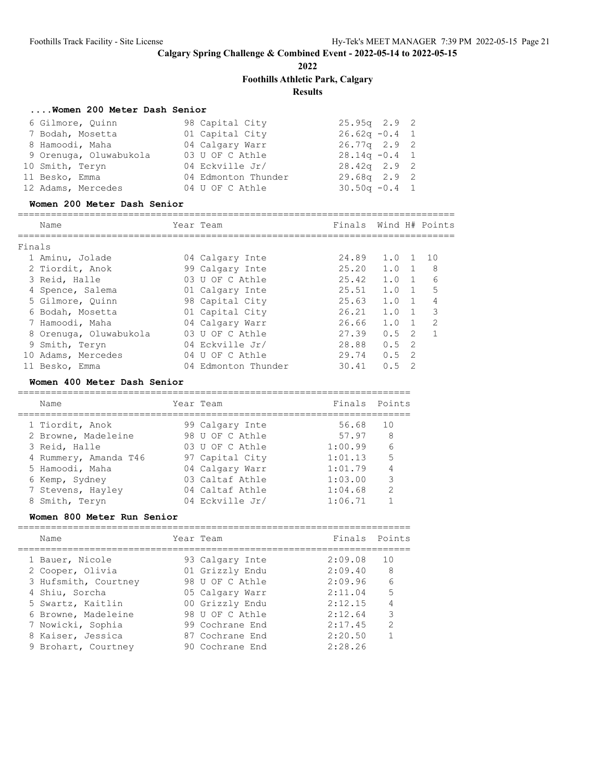**2022**

**Foothills Athletic Park, Calgary**

**Results**

# **....Women 200 Meter Dash Senior**

| 6 Gilmore, Quinn       | 98 Capital City     | $25.95q$ $2.9$ 2 |
|------------------------|---------------------|------------------|
| 7 Bodah, Mosetta       | 01 Capital City     | $26.62q - 0.4$ 1 |
| 8 Hamoodi, Maha        | 04 Calgary Warr     | $26.77q$ 2.9 2   |
| 9 Orenuga, Oluwabukola | 03 U OF C Athle     | $28.14q - 0.4$ 1 |
| 10 Smith, Teryn        | 04 Eckville Jr/     | $28.42q$ 2.9 2   |
| 11 Besko, Emma         | 04 Edmonton Thunder | $29.68q$ $2.9$ 2 |
| 12 Adams, Mercedes     | 04 U OF C Athle     | $30.50q - 0.4$ 1 |

### **Women 200 Meter Dash Senior**

|        | Name                   | Year Team           | Finals Wind H# Points |               |                |                |
|--------|------------------------|---------------------|-----------------------|---------------|----------------|----------------|
| Finals |                        |                     |                       |               |                |                |
|        | 1 Aminu, Jolade        | 04 Calgary Inte     | 24.89                 | 1.0           |                | 10             |
|        | 2 Tiordit, Anok        | 99 Calgary Inte     | 25.20                 | 1.0           |                | - 8            |
|        | 3 Reid, Halle          | 03 U OF C Athle     | 25.42                 | 1.0           | $\overline{1}$ | 6              |
|        | 4 Spence, Salema       | 01 Calgary Inte     | 25.51                 | 1.0           |                | 5              |
|        | 5 Gilmore, Quinn       | 98 Capital City     | 25.63                 | 1.0           |                | 4              |
|        | 6 Bodah, Mosetta       | 01 Capital City     | 26.21                 | 1.0           |                | 3              |
|        | 7 Hamoodi, Maha        | 04 Calgary Warr     | 26.66                 | 1.0           |                | $\overline{2}$ |
|        | 8 Orenuga, Oluwabukola | 03 U OF C Athle     | 27.39                 | 0.5           | $\overline{2}$ |                |
|        | 9 Smith, Teryn         | 04 Eckville Jr/     | 28.88                 | 0.5           | - 2            |                |
| 10     | Adams, Mercedes        | 04 U OF C Athle     | 29.74                 | $0.5 \quad 2$ |                |                |
|        | 11 Besko, Emma         | 04 Edmonton Thunder | 30.41                 | 0.5           | $\mathcal{P}$  |                |

#### **Women 400 Meter Dash Senior**

| Name                  | Year Team       | Finals Points |                |
|-----------------------|-----------------|---------------|----------------|
| 1 Tiordit, Anok       | 99 Calgary Inte | 56.68         | 1 O            |
| 2 Browne, Madeleine   | 98 U OF C Athle | 57.97         | - 8            |
| 3 Reid, Halle         | 03 U OF C Athle | 1:00.99       | 6              |
| 4 Rummery, Amanda T46 | 97 Capital City | 1:01.13       | 5              |
| 5 Hamoodi, Maha       | 04 Calgary Warr | 1:01.79       | $\overline{4}$ |
| 6 Kemp, Sydney        | 03 Caltaf Athle | 1:03.00       | 3              |
| 7 Stevens, Hayley     | 04 Caltaf Athle | 1:04.68       | $\mathcal{P}$  |
| 8 Smith, Teryn        | 04 Eckville Jr/ | 1:06.71       |                |
|                       |                 |               |                |

### **Women 800 Meter Run Senior**

| Name                                     | Year Team                          | Finals Points      |               |
|------------------------------------------|------------------------------------|--------------------|---------------|
| 1 Bauer, Nicole<br>2 Cooper, Olivia      | 93 Calgary Inte<br>01 Grizzly Endu | 2:09.08<br>2:09.40 | 1 O<br>8      |
| 3 Hufsmith, Courtney<br>4 Shiu, Sorcha   | 98 U OF C Athle<br>05 Calgary Warr | 2:09.96<br>2:11.04 | 6<br>5        |
| 5 Swartz, Kaitlin<br>6 Browne, Madeleine | 00 Grizzly Endu<br>98 U OF C Athle | 2:12.15<br>2:12.64 | 4<br>3        |
| 7 Nowicki, Sophia<br>8 Kaiser, Jessica   | 99 Cochrane End<br>87 Cochrane End | 2:17.45<br>2:20.50 | $\mathcal{L}$ |
| 9 Brohart, Courtney                      | 90 Cochrane End                    | 2:28.26            |               |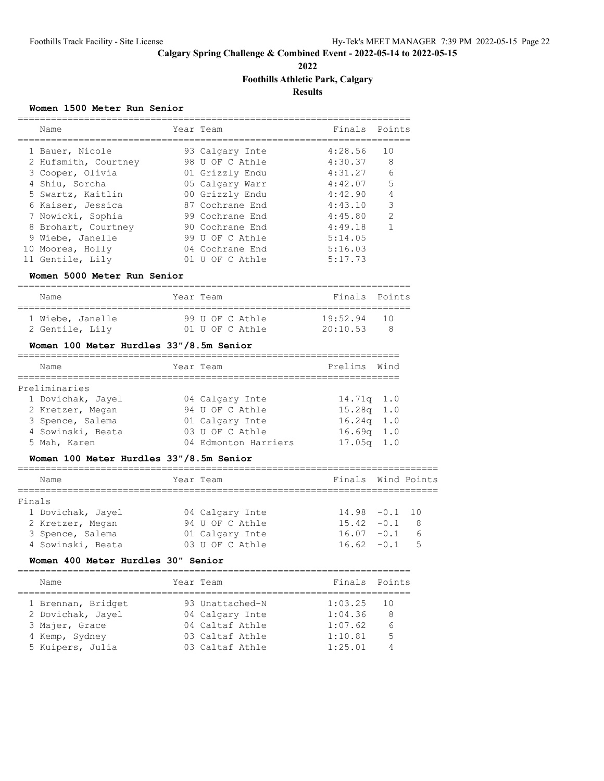**2022**

# **Foothills Athletic Park, Calgary**

**Results**

#### **Women 1500 Meter Run Senior**

| Name                 | Year Team       | Finals Points |                |
|----------------------|-----------------|---------------|----------------|
| 1 Bauer, Nicole      | 93 Calgary Inte | 4:28.56       | 10             |
| 2 Hufsmith, Courtney | 98 U OF C Athle | 4:30.37       | 8              |
| 3 Cooper, Olivia     | 01 Grizzly Endu | 4:31.27       | 6              |
| 4 Shiu, Sorcha       | 05 Calgary Warr | 4:42.07       | 5              |
| 5 Swartz, Kaitlin    | 00 Grizzly Endu | 4:42.90       | 4              |
| 6 Kaiser, Jessica    | 87 Cochrane End | 4:43.10       | 3              |
| 7 Nowicki, Sophia    | 99 Cochrane End | 4:45.80       | $\overline{2}$ |
| 8 Brohart, Courtney  | 90 Cochrane End | 4:49.18       |                |
| 9 Wiebe, Janelle     | 99 U OF C Athle | 5:14.05       |                |
| 10 Moores, Holly     | 04 Cochrane End | 5:16.03       |                |
| 11 Gentile, Lily     | 01 U OF C Athle | 5:17.73       |                |

#### **Women 5000 Meter Run Senior**

| Name                                | Year Team |                                    | Finals Points             |  |
|-------------------------------------|-----------|------------------------------------|---------------------------|--|
| 1 Wiebe, Janelle<br>2 Gentile, Lily |           | 99 U OF C Athle<br>01 U OF C Athle | $19:52.94$ 10<br>20:10.53 |  |

### **Women 100 Meter Hurdles 33"/8.5m Senior**

|  | Name              |  | Year Team            | Prelims Wind   |  |  |
|--|-------------------|--|----------------------|----------------|--|--|
|  |                   |  |                      |                |  |  |
|  | Preliminaries     |  |                      |                |  |  |
|  | 1 Dovichak, Jayel |  | 04 Calgary Inte      | $14.71q$ $1.0$ |  |  |
|  | 2 Kretzer, Megan  |  | 94 U OF C Athle      | $15.28q$ 1.0   |  |  |
|  | 3 Spence, Salema  |  | 01 Calgary Inte      | $16.24q$ 1.0   |  |  |
|  | 4 Sowinski, Beata |  | 03 U OF C Athle      | $16.69q$ 1.0   |  |  |
|  | 5 Mah, Karen      |  | 04 Edmonton Harriers | $17.05q$ 1.0   |  |  |

#### **Women 100 Meter Hurdles 33"/8.5m Senior**

|        | Name              | Year Team |                 | Finals Wind Points |                         |
|--------|-------------------|-----------|-----------------|--------------------|-------------------------|
|        |                   |           |                 |                    |                         |
| Finals |                   |           |                 |                    |                         |
|        | 1 Dovichak, Jayel |           | 04 Calgary Inte | $14.98 - 0.1$ 10   |                         |
|        | 2 Kretzer, Megan  |           | 94 U OF C Athle | $15.42 - 0.1$      | $\overline{\mathbf{8}}$ |
|        | 3 Spence, Salema  |           | 01 Calgary Inte | $16.07 - 0.1$      | 6                       |
|        | 4 Sowinski, Beata |           | 03 U OF C Athle | $16.62 - 0.1$      | 5                       |

#### **Women 400 Meter Hurdles 30" Senior**

| Year Team<br>Name<br>93 Unattached-N<br>1:03.25<br>1 Brennan, Bridget<br>2 Dovichak, Jayel<br>1:04.36<br>04 Calgary Inte                       | Finals Points       |
|------------------------------------------------------------------------------------------------------------------------------------------------|---------------------|
|                                                                                                                                                |                     |
| 04 Caltaf Athle<br>1:07.62<br>3 Majer, Grace<br>1:10.81<br>03 Caltaf Athle<br>4 Kemp, Sydney<br>5 Kuipers, Julia<br>1:25.01<br>03 Caltaf Athle | - 10<br>8<br>6<br>5 |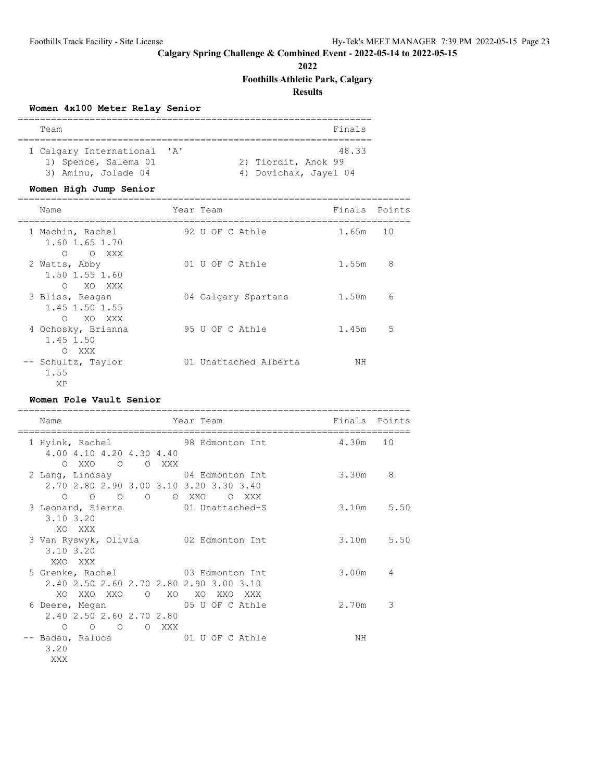**2022**

**Foothills Athletic Park, Calgary**

**Results**

# **Women 4x100 Meter Relay Senior**

| Team                        |  | Finals                |  |  |  |  |
|-----------------------------|--|-----------------------|--|--|--|--|
|                             |  |                       |  |  |  |  |
| 1 Calgary International 'A' |  | 48.33                 |  |  |  |  |
| 1) Spence, Salema 01        |  | 2) Tiordit, Anok 99   |  |  |  |  |
| 3) Aminu, Jolade 04         |  | 4) Dovichak, Jayel 04 |  |  |  |  |

# **Women High Jump Senior**

| Name                                                      | Year Team             | Finals | Points |
|-----------------------------------------------------------|-----------------------|--------|--------|
| 1 Machin, Rachel<br>1.60 1.65 1.70<br>$\Omega$<br>O XXX   | 92 U OF C Athle       | 1.65m  | 10     |
| 2 Watts, Abby<br>1.50 1.55 1.60<br>$\bigcap$<br>XO XXX    | 01 U OF C Athle       | 1.55m  | 8      |
| 3 Bliss, Reagan<br>1.45 1.50 1.55<br>$\bigcirc$<br>XO XXX | 04 Calgary Spartans   | 1.50m  | 6      |
| 4 Ochosky, Brianna<br>1.45 1.50<br>XXX<br>$\bigcirc$      | 95 U OF C Athle       | 1.45m  | .5     |
| -- Schultz, Taylor<br>1.55<br>XP                          | 01 Unattached Alberta | ΝH     |        |

### **Women Pole Vault Senior**

| Name                                                                                                                    | Year Team                   | Finals Points |                |
|-------------------------------------------------------------------------------------------------------------------------|-----------------------------|---------------|----------------|
| 1 Hyink, Rachel<br>4.00 4.10 4.20 4.30 4.40<br>OXXO O OXXX                                                              | 98 Edmonton Int<br>4.30m 10 |               |                |
| 2 Lang, Lindsay 64 Edmonton Int<br>2.70 2.80 2.90 3.00 3.10 3.20 3.30 3.40                                              |                             | 3.30m         | 8              |
| $O$ $O$ $O$ $O$ $XXO$<br>$\Omega$<br>3 Leonard, Sierra 61 Unattached-S<br>$3.10$ $3.20$                                 | O XXX                       |               | 3.10m 5.50     |
| XO XXX<br>3 Van Ryswyk, Olivia 62 Edmonton Int<br>3.10 3.20                                                             |                             |               | $3.10m$ 5.50   |
| XXO XXX<br>5 Grenke, Rachel 63 Edmonton Int<br>2.40 2.50 2.60 2.70 2.80 2.90 3.00 3.10                                  |                             | 3.00m         | $\overline{4}$ |
| XO XXO XXO O XO XO XXO<br>6 Deere, Megan 05 U OF C Athle<br>2.40 2.50 2.60 2.70 2.80                                    | XXX X                       | 2.70m         | 3              |
| $\circ$<br>$\circ$<br>O XXX<br>$\circ$ 0<br>-- Badau, Raluca                             01 U OF C Athle<br>3.20<br>XXX |                             | NΗ            |                |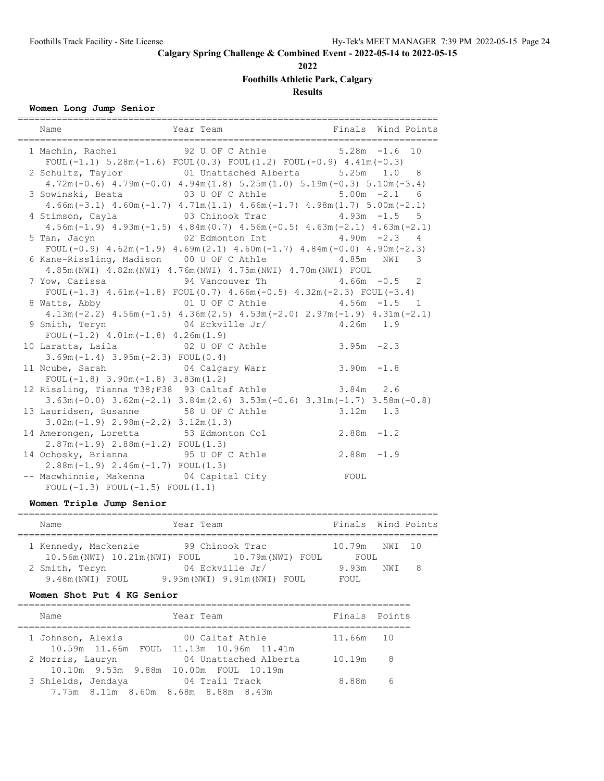**2022**

# **Foothills Athletic Park, Calgary**

**Results**

# **Women Long Jump Senior**

| --------------------------                                                                                                                                         | ==================================                                                 |
|--------------------------------------------------------------------------------------------------------------------------------------------------------------------|------------------------------------------------------------------------------------|
| Name                                                                                                                                                               | Year Team Man Finals Wind Points                                                   |
| 1 Machin, Rachel 92 U OF C Athle 5.28m -1.6 10<br>FOUL(-1.1) $5.28m(-1.6)$ FOUL(0.3) FOUL(1.2) FOUL(-0.9) $4.41m(-0.3)$                                            |                                                                                    |
| 2 Schultz, Taylor 61 Unattached Alberta 5.25m 1.0 8<br>$4.72m(-0.6)$ $4.79m(-0.0)$ $4.94m(1.8)$ $5.25m(1.0)$ $5.19m(-0.3)$ $5.10m(-3.4)$                           |                                                                                    |
| 3 Sowinski, Beata 63 U OF C Athle 5.00m -2.1 6                                                                                                                     |                                                                                    |
| $4.66m(-3.1)$ $4.60m(-1.7)$ $4.71m(1.1)$ $4.66m(-1.7)$ $4.98m(1.7)$ $5.00m(-2.1)$<br>4 Stimson, Cayla 63 Chinook Trac 4.93m -1.5 5                                 |                                                                                    |
|                                                                                                                                                                    | $4.56m(-1.9)$ $4.93m(-1.5)$ $4.84m(0.7)$ $4.56m(-0.5)$ $4.63m(-2.1)$ $4.63m(-2.1)$ |
| 5 Tan, Jacyn                   02 Edmonton Int           4.90m -2.3   4<br>FOUL $(-0.9)$ 4.62m $(-1.9)$ 4.69m $(2.1)$ 4.60m $(-1.7)$ 4.84m $(-0.0)$ 4.90m $(-2.3)$ |                                                                                    |
| 6 Kane-Rissling, Madison 00 U OF C Athle 4.85m NWI 3                                                                                                               |                                                                                    |
| 4.85m (NWI) 4.82m (NWI) 4.76m (NWI) 4.75m (NWI) 4.70m (NWI) FOUL<br>7 Yow, Carissa 54 Vancouver Th 34.66m - 0.5 2                                                  |                                                                                    |
| FOUL $(-1.3)$ 4.61m $(-1.8)$ FOUL $(0.7)$ 4.66m $(-0.5)$ 4.32m $(-2.3)$ FOUL $(-3.4)$                                                                              |                                                                                    |
| 8 Watts, Abby 01 U OF C Athle 4.56m -1.5 1                                                                                                                         | $4.13m(-2.2)$ $4.56m(-1.5)$ $4.36m(2.5)$ $4.53m(-2.0)$ $2.97m(-1.9)$ $4.31m(-2.1)$ |
| 9 Smith, Teryn $04$ Eckville Jr/ $4.26m$ 1.9<br>FOUL $(-1.2)$ 4.01m $(-1.8)$ 4.26m $(1.9)$                                                                         |                                                                                    |
| 10 Laratta, Laila $02 \text{ U OF C}$ Athle $3.95\text{ m}$ -2.3                                                                                                   |                                                                                    |
| $3.69m(-1.4)$ $3.95m(-2.3)$ FOUL $(0.4)$<br>11 Noube, Sarah 64 Calgary Warr                                                                                        | $3.90m - 1.8$                                                                      |
| FOUL $(-1.8)$ 3.90m $(-1.8)$ 3.83m $(1.2)$                                                                                                                         |                                                                                    |
| 12 Rissling, Tianna T38; F38 93 Caltaf Athle 3.84m 2.6                                                                                                             | $3.63m(-0.0)$ $3.62m(-2.1)$ $3.84m(2.6)$ $3.53m(-0.6)$ $3.31m(-1.7)$ $3.58m(-0.8)$ |
| 13 Lauridsen, Susanne 58 U OF C Athle                                                                                                                              | $3.12m$ $1.3$                                                                      |
| $3.02m(-1.9)$ $2.98m(-2.2)$ $3.12m(1.3)$<br>14 Amerongen, Loretta 53 Edmonton Col 2.88m -1.2                                                                       |                                                                                    |
| $2.87m(-1.9) 2.88m(-1.2) FOUL(1.3)$                                                                                                                                |                                                                                    |
| 14 Ochosky, Brianna 95 U OF C Athle<br>$2.88m(-1.9)$ $2.46m(-1.7)$ FOUL $(1.3)$                                                                                    | $2.88m - 1.9$                                                                      |
| -- Macwhinnie, Makenna 04 Capital City<br>$FOUL(-1.3) FOUL(-1.5) FOUL(1.1)$                                                                                        | FOUL                                                                               |
|                                                                                                                                                                    |                                                                                    |

# **Women Triple Jump Senior**

| Name                                          | Year Team |                              | Finals Wind Points |     |
|-----------------------------------------------|-----------|------------------------------|--------------------|-----|
| 1 Kennedy, Mackenzie                          |           | 99 Chinook Trac              | 10.79m NWI 10      |     |
| 10.56m(NWI) 10.21m(NWI) FOUL 10.79m(NWI) FOUL |           |                              | FOUL               |     |
| 2 Smith, Teryn                                |           | 04 Eckville Jr/              | 9.93m NWI          | - 8 |
| 9.48m (NWI) FOUL                              |           | 9.93m (NWI) 9.91m (NWI) FOUL | FOUL.              |     |

### **Women Shot Put 4 KG Senior**

| Name               | Year Team                                                      | Finals Points |     |
|--------------------|----------------------------------------------------------------|---------------|-----|
| 1 Johnson, Alexis  | 00 Caltaf Athle<br>10.59m 11.66m FOUL 11.13m 10.96m 11.41m     | 11.66m 10     |     |
| 2 Morris, Lauryn   | 04 Unattached Alberta<br>10.10m 9.53m 9.88m 10.00m FOUL 10.19m | 10.19m        | - 8 |
| 3 Shields, Jendaya | 04 Trail Track                                                 | 8.88m         | 6   |
|                    | 7.75m 8.11m 8.60m 8.68m 8.88m 8.43m                            |               |     |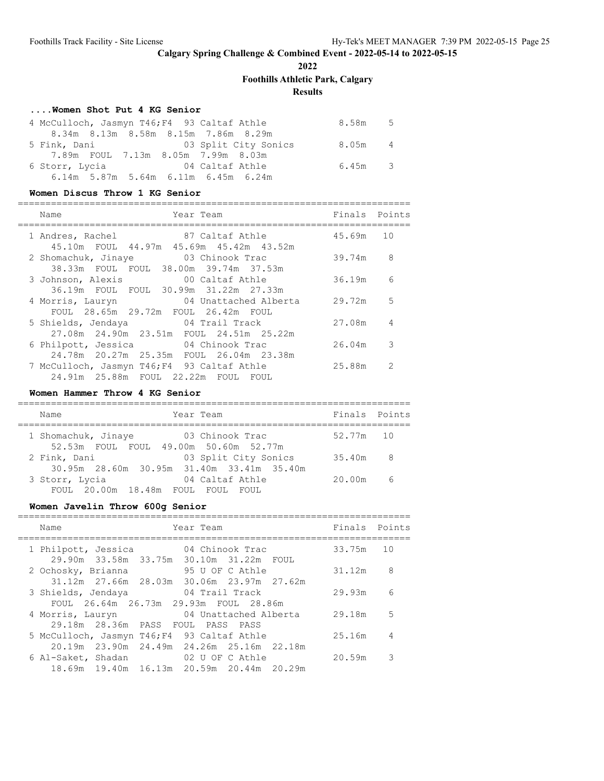**2022**

# **Foothills Athletic Park, Calgary**

# **Results**

### **....Women Shot Put 4 KG Senior**

| 4 McCulloch, Jasmyn T46; F4 93 Caltaf Athle |                                       |  |                                                         | 8.58m 5 |  |
|---------------------------------------------|---------------------------------------|--|---------------------------------------------------------|---------|--|
|                                             | 8.34m 8.13m 8.58m 8.15m 7.86m 8.29m   |  |                                                         |         |  |
|                                             |                                       |  | 5 Fink, Dani                       03 Split City Sonics | 8.05m 4 |  |
|                                             | 7.89m FOUL 7.13m 8.05m 7.99m 8.03m    |  |                                                         |         |  |
| 6 Storr, Lycia and 04 Caltaf Athle          |                                       |  |                                                         | 6.45m 3 |  |
|                                             | $6.14m$ 5.87m 5.64m 6.11m 6.45m 6.24m |  |                                                         |         |  |

#### **Women Discus Throw 1 KG Senior**

| Year Team<br>Name                                                                 | Finals     | Points                   |
|-----------------------------------------------------------------------------------|------------|--------------------------|
| 1 Andres, Rachel 87 Caltaf Athle<br>45.10m FOUL 44.97m 45.69m 45.42m 43.52m       | 45.69m 10  |                          |
| 2 Shomachuk, Jinaye 03 Chinook Trac<br>38.33m FOUL FOUL 38.00m 39.74m 37.53m      | 39.74m     | 8                        |
| 00 Caltaf Athle<br>3 Johnson, Alexis<br>36.19m FOUL FOUL 30.99m 31.22m 27.33m     | 36.19m     | 6                        |
| 04 Unattached Alberta<br>4 Morris, Lauryn<br>FOUL 28.65m 29.72m FOUL 26.42m FOUL  | $29.72m$ 5 |                          |
| 5 Shields, Jendaya 64 Trail Track<br>27.08m  24.90m  23.51m  FOUL  24.51m  25.22m | 27.08m     | $\overline{4}$           |
| 6 Philpott, Jessica<br>04 Chinook Trac<br>24.78m 20.27m 25.35m FOUL 26.04m 23.38m | 26.04m     | $\overline{\phantom{a}}$ |
| 7 McCulloch, Jasmyn T46; F4 93 Caltaf Athle                                       | 25.88m     | $\mathcal{L}$            |
| 24.91m 25.88m FOUL 22.22m FOUL FOUL                                               |            |                          |

#### **Women Hammer Throw 4 KG Senior**

| Year Team<br>Name                                                               |                      | Finals Points |
|---------------------------------------------------------------------------------|----------------------|---------------|
| 03 Chinook Trac<br>1 Shomachuk, Jinaye<br>52.53m FOUL FOUL 49.00m 50.60m 52.77m |                      | 52.77m 10     |
| 2 Fink, Dani<br>30.95m 28.60m 30.95m 31.40m 33.41m 35.40m                       | 03 Split City Sonics | 35.40m<br>- 8 |
| 3 Storr, Lycia<br>04 Caltaf Athle<br>FOUL 20.00m 18.48m FOUL FOUL               | 20.00m<br>FOUL.      | - 6           |

# **Women Javelin Throw 600g Senior**

| Name                         | Year Team                                                      | Finals | Points |
|------------------------------|----------------------------------------------------------------|--------|--------|
| 1 Philpott, Jessica          | 04 Chinook Trac<br>29.90m 33.58m 33.75m 30.10m 31.22m FOUL     | 33.75m | 10     |
| 2 Ochosky, Brianna           | 95 U OF C Athle<br>31.12m 27.66m 28.03m 30.06m 23.97m 27.62m   | 31.12m | 8      |
| 3 Shields, Jendaya           | 04 Trail Track                                                 | 29.93m | 6      |
| 4 Morris, Lauryn             | FOUL 26.64m 26.73m 29.93m FOUL 28.86m<br>04 Unattached Alberta | 29.18m | .5     |
| 29.18m 28.36m PASS FOUL PASS | PASS<br>5 McCulloch, Jasmyn T46; F4 93 Caltaf Athle            | 25.16m | 4      |
| 6 Al-Saket, Shadan           | 20.19m 23.90m 24.49m 24.26m 25.16m 22.18m<br>02 U OF C Athle   | 20.59m | 3      |
|                              | 18.69m 19.40m 16.13m 20.59m 20.44m 20.29m                      |        |        |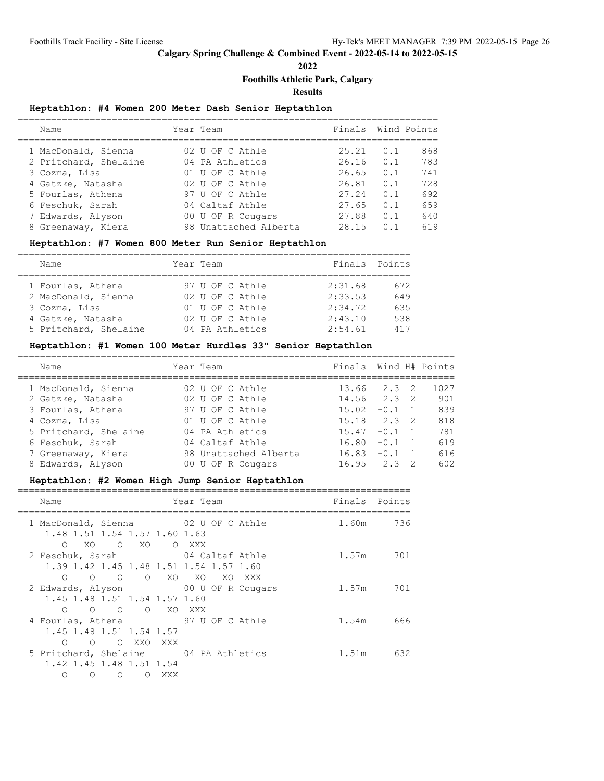**2022**

# **Foothills Athletic Park, Calgary**

**Results**

# **Heptathlon: #4 Women 200 Meter Dash Senior Heptathlon**

| Name                  | Year Team             | Finals Wind Points |     |     |
|-----------------------|-----------------------|--------------------|-----|-----|
| 1 MacDonald, Sienna   | 02 U OF C Athle       | 25.21              | 0.1 | 868 |
| 2 Pritchard, Shelaine | 04 PA Athletics       | 26.16              | 0.1 | 783 |
| 3 Cozma, Lisa         | 01 U OF C Athle       | 26.65              | 0.1 | 741 |
| 4 Gatzke, Natasha     | 02 U OF C Athle       | 26.81              | 0.1 | 728 |
| 5 Fourlas, Athena     | 97 U OF C Athle       | 27.24              | 0.1 | 692 |
| 6 Feschuk, Sarah      | 04 Caltaf Athle       | 27.65              | 0.1 | 659 |
| 7 Edwards, Alyson     | 00 U OF R Cougars     | 27.88              | 0.1 | 640 |
| 8 Greenaway, Kiera    | 98 Unattached Alberta | 28.15              | 0.1 | 619 |
|                       |                       |                    |     |     |

# **Heptathlon: #7 Women 800 Meter Run Senior Heptathlon**

| Name                  |  | Year Team       | Finals Points |     |  |  |
|-----------------------|--|-----------------|---------------|-----|--|--|
|                       |  |                 |               |     |  |  |
| 1 Fourlas, Athena     |  | 97 U OF C Athle | 2:31.68       | 672 |  |  |
| 2 MacDonald, Sienna   |  | 02 U OF C Athle | 2:33.53       | 649 |  |  |
| 3 Cozma, Lisa         |  | 01 U OF C Athle | 2:34.72       | 635 |  |  |
| 4 Gatzke, Natasha     |  | 02 U OF C Athle | 2:43.10       | 538 |  |  |
| 5 Pritchard, Shelaine |  | 04 PA Athletics | 2:54.61       | 417 |  |  |

# **Heptathlon: #1 Women 100 Meter Hurdles 33" Senior Heptathlon**

| Name                  | Year Team             | Finals Wind H# Points |               |    |      |
|-----------------------|-----------------------|-----------------------|---------------|----|------|
| 1 MacDonald, Sienna   | 02 U OF C Athle       | 13.66                 | $2.3 \quad 2$ |    | 1027 |
| 2 Gatzke, Natasha     | 02 U OF C Athle       | $14.56$ $2.3$ 2       |               |    | 901  |
| 3 Fourlas, Athena     | 97 U OF C Athle       | 15.02                 | $-0.1$ 1      |    | 839  |
| 4 Cozma, Lisa         | 01 U OF C Athle       | $15.18$ $2.3$ 2       |               |    | 818  |
| 5 Pritchard, Shelaine | 04 PA Athletics       | 15.47                 | $-0.1$        |    | 781  |
| 6 Feschuk, Sarah      | 04 Caltaf Athle       | 16.80                 | $-0.1$ 1      |    | 619  |
| 7 Greenaway, Kiera    | 98 Unattached Alberta | 16.83                 | $-0.1$        |    | 616  |
| 8 Edwards, Alyson     | 00 U OF R Cougars     | 16.95                 | 2.3           | -2 | 602  |

# **Heptathlon: #2 Women High Jump Senior Heptathlon**

| Name                                                                    | Year Team       | Finals Points |           |
|-------------------------------------------------------------------------|-----------------|---------------|-----------|
| 1 MacDonald, Sienna<br>1.48 1.51 1.54 1.57 1.60 1.63                    | 02 U OF C Athle |               | 1.60m 736 |
| $\bigcirc$<br>XO O XO O XXX                                             |                 |               |           |
| 2 Feschuk, Sarah 04 Caltaf Athle                                        |                 |               | 1.57m 701 |
| 1.39 1.42 1.45 1.48 1.51 1.54 1.57 1.60                                 |                 |               |           |
| O O O XO XO XO XXX<br>$\bigcirc$<br>2 Edwards, Alyson 00 U OF R Cougars |                 |               | 1.57m 701 |
| 1.45 1.48 1.51 1.54 1.57 1.60                                           |                 |               |           |
| O O O XO XXX<br>$\circ$                                                 |                 |               |           |
| 4 Fourlas, Athena 97 U OF C Athle                                       |                 | 1.54m         | 666       |
| 1.45 1.48 1.51 1.54 1.57                                                |                 |               |           |
| O XXO XXX<br>$\bigcirc$<br>$\circ$                                      |                 |               |           |
| 5 Pritchard, Shelaine 04 PA Athletics                                   |                 | 1.51m         | 632       |
| 1.42 1.45 1.48 1.51 1.54                                                |                 |               |           |
| $\Omega$<br>XXX X<br>$\bigcirc$<br>$\Omega$<br>$\Omega$                 |                 |               |           |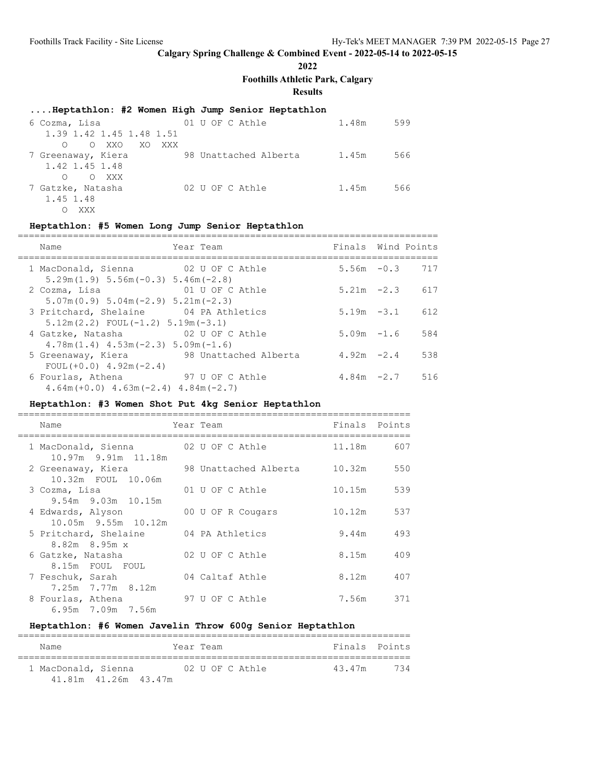# **2022**

**Foothills Athletic Park, Calgary**

# **Results**

### **....Heptathlon: #2 Women High Jump Senior Heptathlon**

| 6 Cozma, Lisa                   | 01 U OF C Athle |                       | 1.48m | 599 |
|---------------------------------|-----------------|-----------------------|-------|-----|
| 1.39 1.42 1.45 1.48 1.51        |                 |                       |       |     |
| O XXO<br>XO<br>XXX X<br>$\circ$ |                 |                       |       |     |
| 7 Greenaway, Kiera              |                 | 98 Unattached Alberta | 1.45m | 566 |
| 1.42 1.45 1.48                  |                 |                       |       |     |
| O XXX<br>$\circ$                |                 |                       |       |     |
| 7 Gatzke, Natasha               | 02 U OF C Athle |                       | 1.45m | 566 |
| 1.45 1.48                       |                 |                       |       |     |
| XXX                             |                 |                       |       |     |

### **Heptathlon: #5 Women Long Jump Senior Heptathlon**

| Name                                                                                        | Year Team             | Finals Wind Points |                   |
|---------------------------------------------------------------------------------------------|-----------------------|--------------------|-------------------|
| 1 MacDonald, Sienna 02 U OF C Athle<br>$5.29$ m $(1.9)$ $5.56$ m $(-0.3)$ $5.46$ m $(-2.8)$ |                       |                    | $5.56m - 0.3$ 717 |
| 2 Cozma, Lisa<br>$5.07m(0.9) 5.04m(-2.9) 5.21m(-2.3)$                                       | 01 U OF C Athle       | $5.21m -2.3$       | 617               |
| 3 Pritchard, Shelaine 04 PA Athletics<br>$5.12$ m $(2.2)$ FOUL $(-1.2)$ 5.19m $(-3.1)$      |                       | $5.19m - 3.1$      | 612               |
| 4 Gatzke, Natasha<br>$4.78$ m $(1.4)$ $4.53$ m $(-2.3)$ $5.09$ m $(-1.6)$                   | 02 U OF C Athle       | $5.09m - 1.6$      | 584               |
| 5 Greenaway, Kiera<br>$FOUL(+0.0)$ 4.92m(-2.4)                                              | 98 Unattached Alberta | $4.92m -2.4$       | 538               |
| 6 Fourlas, Athena<br>$4.64$ m (+0.0) $4.63$ m (-2.4) $4.84$ m (-2.7)                        | 97 U OF C Athle       |                    | $4.84m -2.7$ 516  |

### **Heptathlon: #3 Women Shot Put 4kg Senior Heptathlon**

| Name                                       | Year Team             | Finals | Points |
|--------------------------------------------|-----------------------|--------|--------|
| 1 MacDonald, Sienna<br>10.97m 9.91m 11.18m | 02 U OF C Athle       | 11.18m | 607    |
| 2 Greenaway, Kiera<br>10.32m FOUL 10.06m   | 98 Unattached Alberta | 10.32m | 550    |
| 3 Cozma, Lisa<br>$9.54m$ $9.03m$ $10.15m$  | 01 U OF C Athle       | 10.15m | 539    |
| 4 Edwards, Alyson<br>10.05m 9.55m 10.12m   | 00 U OF R Cougars     | 10.12m | 537    |
| 5 Pritchard, Shelaine<br>$8.82m$ $8.95m$ x | 04 PA Athletics       | 9.44m  | 493    |
| 6 Gatzke, Natasha<br>8.15m FOUL FOUL       | 02 U OF C Athle       | 8.15m  | 409    |
| 7 Feschuk, Sarah<br>7.25m 7.77m 8.12m      | 04 Caltaf Athle       | 8.12m  | 407    |
| 8 Fourlas, Athena<br>6.95m 7.09m 7.56m     | 97 U OF C Athle       | 7.56m  | 371    |

# **Heptathlon: #6 Women Javelin Throw 600g Senior Heptathlon**

| Name                 | Year Team |                 |        | Finals Points |
|----------------------|-----------|-----------------|--------|---------------|
| 1 MacDonald, Sienna  |           | 02 U OF C Athle | 43.47m | 734           |
| 41.81m 41.26m 43.47m |           |                 |        |               |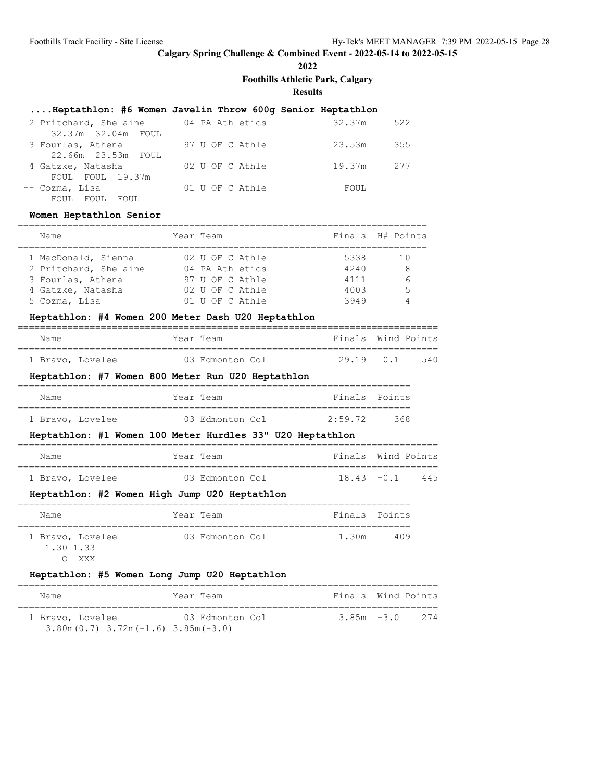**2022**

**Foothills Athletic Park, Calgary**

==========================================================================

**Results**

# **....Heptathlon: #6 Women Javelin Throw 600g Senior Heptathlon**

| 2 Pritchard, Shelaine | 04 PA Athletics | 522<br>32.37m |
|-----------------------|-----------------|---------------|
| 32.37m 32.04m FOUL    |                 |               |
| 3 Fourlas, Athena     | 97 U OF C Athle | 23.53m<br>355 |
| 22.66m 23.53m FOUL    |                 |               |
| 4 Gatzke, Natasha     | 02 U OF C Athle | 19.37m<br>277 |
| FOUL FOUL 19.37m      |                 |               |
| -- Cozma, Lisa        | 01 U OF C Athle | FOUL          |
| FOUL FOUL<br>FOUL.    |                 |               |

#### **Women Heptathlon Senior**

| Name                  | Year Team       |      | Finals H# Points |
|-----------------------|-----------------|------|------------------|
| 1 MacDonald, Sienna   | 02 U OF C Athle | 5338 | 1 O              |
| 2 Pritchard, Shelaine | 04 PA Athletics | 4240 | 8                |
| 3 Fourlas, Athena     | 97 U OF C Athle | 4111 | $\kappa$         |
| 4 Gatzke, Natasha     | 02 U OF C Athle | 4003 | Б.               |
| 5 Cozma, Lisa         | 01 U OF C Athle | 3949 |                  |

#### **Heptathlon: #4 Women 200 Meter Dash U20 Heptathlon**

| Name             | Year Team |                 | Finals Wind Points |           |     |
|------------------|-----------|-----------------|--------------------|-----------|-----|
|                  |           |                 |                    |           |     |
| 1 Bravo, Lovelee |           | 03 Edmonton Col |                    | 29.19 0.1 | 540 |

### **Heptathlon: #7 Women 800 Meter Run U20 Heptathlon**

| Name |                  |  | Year Team       |  | Finals Points |     |  |
|------|------------------|--|-----------------|--|---------------|-----|--|
|      |                  |  |                 |  |               |     |  |
|      | 1 Bravo, Lovelee |  | 03 Edmonton Col |  | 2:59.72       | 368 |  |

#### **Heptathlon: #1 Women 100 Meter Hurdles 33" U20 Heptathlon**

| Name             | Year Team       | Finals Wind Points |  |
|------------------|-----------------|--------------------|--|
|                  |                 |                    |  |
| 1 Bravo, Lovelee | 03 Edmonton Col | $18.43 - 0.1$ 445  |  |

#### **Heptathlon: #2 Women High Jump U20 Heptathlon**

| Name                                 |  | Year Team       | Finals Points |     |  |  |  |  |
|--------------------------------------|--|-----------------|---------------|-----|--|--|--|--|
| 1 Bravo, Lovelee<br>1.30 1.33<br>XXX |  | 03 Edmonton Col | 1.30m         | 409 |  |  |  |  |

#### **Heptathlon: #5 Women Long Jump U20 Heptathlon**

| Name                                                 | Year Team       | Finals Wind Points |     |
|------------------------------------------------------|-----------------|--------------------|-----|
| 1 Bravo, Lovelee                                     | 03 Edmonton Col | $3.85m - 3.0$      | 274 |
| $3.80$ m $(0.7)$ $3.72$ m $(-1.6)$ $3.85$ m $(-3.0)$ |                 |                    |     |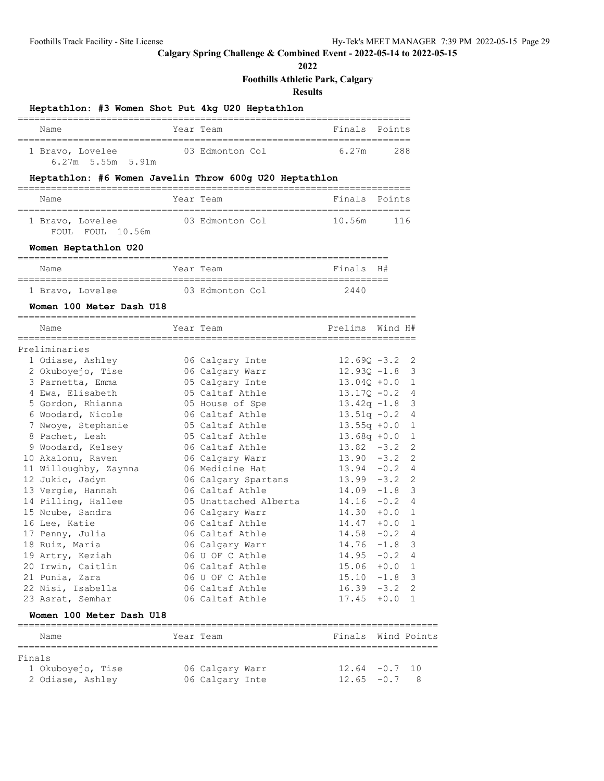**2022**

# **Foothills Athletic Park, Calgary Results Heptathlon: #3 Women Shot Put 4kg U20 Heptathlon** ======================================================================= Name **The Year Team Finals Points** ======================================================================= 1 Bravo, Lovelee 03 Edmonton Col 6.27m 288 6.27m 5.55m 5.91m **Heptathlon: #6 Women Javelin Throw 600g U20 Heptathlon** ======================================================================= Name Tear Team Constants Points Points Points Points Points ======================================================================= 1 Bravo, Lovelee 63 Edmonton Col 10.56m 116 FOUL FOUL 10.56m **Women Heptathlon U20** =================================================================== Name **Name** Year Team **Finals** H# =================================================================== 1 Bravo, Lovelee 03 Edmonton Col 2440 **Women 100 Meter Dash U18** ======================================================================== Name **Name Year Team Prelims** Wind H# ======================================================================== Preliminaries 1 Odiase, Ashley 06 Calgary Inte 12.69Q -3.2 2 2 Okuboyejo, Tise 06 Calgary Warr 12.93Q -1.8 3 3 Parnetta, Emma 05 Calgary Inte 13.04Q +0.0 1 4 Ewa, Elisabeth 05 Caltaf Athle 13.17Q -0.2 4 5 Gordon, Rhianna 05 House of Spe 13.42q -1.8 3 6 Woodard, Nicole 06 Caltaf Athle 13.51q -0.2 4 7 Nwoye, Stephanie 05 Caltaf Athle 13.55q +0.0 1 8 Pachet, Leah 05 Caltaf Athle 13.68q +0.0 1 9 Woodard, Kelsey 06 Caltaf Athle 13.82 -3.2 2 10 Akalonu, Raven 06 Calgary Warr 13.90 -3.2 2 11 Willoughby, Zaynna 06 Medicine Hat 13.94 -0.2 4 12 Jukic, Jadyn 06 Calgary Spartans 13.99 -3.2 2 13 Vergie, Hannah 06 Caltaf Athle 14.09 -1.8 3 14 Pilling, Hallee 05 Unattached Alberta 14.16 -0.2 4 15 Ncube, Sandra 06 Calgary Warr 14.30 +0.0 1 16 Lee, Katie 06 Caltaf Athle 14.47 +0.0 1 17 Penny, Julia 06 Caltaf Athle 14.58 -0.2 4 18 Ruiz, Maria 06 Calgary Warr 14.76 -1.8 3 19 Artry, Keziah 06 U OF C Athle 14.95 -0.2 4 20 Irwin, Caitlin 06 Caltaf Athle 15.06 +0.0 1 21 Punia, Zara 06 U OF C Athle 15.10 -1.8 3 22 Nisi, Isabella 06 Caltaf Athle 16.39 -3.2 2 23 Asrat, Semhar 06 Caltaf Athle 17.45 +0.0 1 **Women 100 Meter Dash U18** ============================================================================ Name Year Team Finals Wind Points ============================================================================ Finals 1 Okuboyejo, Tise 06 Calgary Warr 12.64 -0.7 10

2 Odiase, Ashley 06 Calgary Inte 12.65 -0.7 8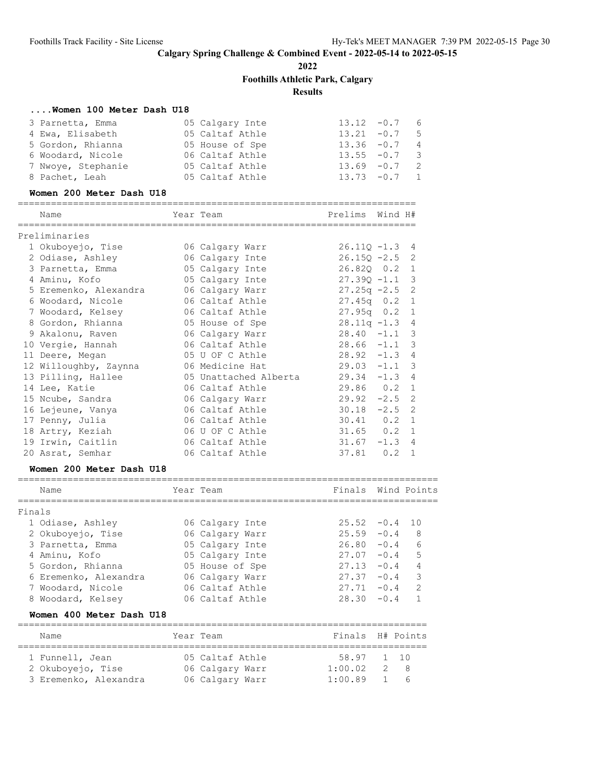**2022**

**Foothills Athletic Park, Calgary**

**Results**

# **....Women 100 Meter Dash U18**

| 3 Parnetta, Emma   | 05 Calgary Inte | $13.12 -0.7$ 6  |  |
|--------------------|-----------------|-----------------|--|
| 4 Ewa, Elisabeth   | 05 Caltaf Athle | $13.21 -0.7$ 5  |  |
| 5 Gordon, Rhianna  | 05 House of Spe | $13.36 -0.7$ 4  |  |
| 6 Woodard, Nicole  | 06 Caltaf Athle | $13.55 - 0.7$ 3 |  |
| 7 Nwoye, Stephanie | 05 Caltaf Athle | $13.69 - 0.7$ 2 |  |
| 8 Pachet, Leah     | 05 Caltaf Athle | $13.73 - 0.7$ 1 |  |

#### **Women 200 Meter Dash U18**

| Name                  | Year Team             | Prelims          | Wind H# |                |
|-----------------------|-----------------------|------------------|---------|----------------|
| Preliminaries         |                       |                  |         |                |
| 1 Okuboyejo, Tise     | 06 Calgary Warr       | $26.11Q - 1.3$   |         | 4              |
| 2 Odiase, Ashley      | 06 Calgary Inte       | $26.15Q - 2.5$ 2 |         |                |
| 3 Parnetta, Emma      | 05 Calgary Inte       | 26.820 0.2 1     |         |                |
| 4 Aminu, Kofo         | 05 Calgary Inte       | $27.390 - 1.1$   |         | -3             |
| 5 Eremenko, Alexandra | 06 Calgary Warr       | $27.25q -2.5$    |         | 2              |
| 6 Woodard, Nicole     | 06 Caltaf Athle       | $27.45q$ 0.2     |         | 1              |
| 7 Woodard, Kelsey     | 06 Caltaf Athle       | $27.95q$ 0.2     |         | 1              |
| 8 Gordon, Rhianna     | 05 House of Spe       | $28.11q - 1.3$ 4 |         |                |
| 9 Akalonu, Raven      | 06 Calgary Warr       | $28.40 -1.1$     |         | -3             |
| 10 Vergie, Hannah     | 06 Caltaf Athle       | $28.66 -1.1$ 3   |         |                |
| 11 Deere, Megan       | 05 U OF C Athle       | $28.92 -1.3$     |         | $\overline{4}$ |
| 12 Willoughby, Zaynna | 06 Medicine Hat       | $29.03 -1.1$     |         | 3              |
| 13 Pilling, Hallee    | 05 Unattached Alberta | $29.34 -1.3$     |         | $\overline{4}$ |
| 14 Lee, Katie         | 06 Caltaf Athle       | $29.86$ 0.2      |         | $\mathbf{1}$   |
| 15 Ncube, Sandra      | 06 Calgary Warr       | $29.92 - 2.5$ 2  |         |                |
| 16 Lejeune, Vanya     | 06 Caltaf Athle       | $30.18 - 2.5$ 2  |         |                |
| 17 Penny, Julia       | 06 Caltaf Athle       | $30.41$ 0.2      |         | $\overline{1}$ |
| 18 Artry, Keziah      | 06 U OF C Athle       | $31.65$ 0.2      |         | $\mathbf{1}$   |
| 19 Irwin, Caitlin     | 06 Caltaf Athle       | $31.67 - 1.3$    |         | $\overline{4}$ |
| 20 Asrat, Semhar      | 06 Caltaf Athle       | 37.81            | 0.2     | $\mathbf{1}$   |

#### **Women 200 Meter Dash U18**

|        | Name                  | Year Team       | Finals Wind Points |        |               |
|--------|-----------------------|-----------------|--------------------|--------|---------------|
| Finals |                       |                 |                    |        |               |
|        | 1 Odiase, Ashley      | 06 Calgary Inte | $25.52 -0.4$ 10    |        |               |
|        | 2 Okuboyejo, Tise     | 06 Calgary Warr | $25.59 - 0.4$      |        | 8             |
|        | 3 Parnetta, Emma      | 05 Calgary Inte | $26.80 - 0.4$      |        | 6             |
|        | 4 Aminu, Kofo         | 05 Calgary Inte | 27.07              | $-0.4$ | 5             |
|        | 5 Gordon, Rhianna     | 05 House of Spe | 27.13              | $-0.4$ | 4             |
|        | 6 Eremenko, Alexandra | 06 Calgary Warr | 27.37              | $-0.4$ | 3             |
|        | 7 Woodard, Nicole     | 06 Caltaf Athle | 27.71              | $-0.4$ | $\mathcal{D}$ |
|        | 8 Woodard, Kelsey     | 06 Caltaf Athle | 28.30              | $-0.4$ |               |
|        |                       |                 |                    |        |               |

### **Women 400 Meter Dash U18**

| Name                  | Year Team       | Finals H# Points |           |
|-----------------------|-----------------|------------------|-----------|
| 1 Funnell, Jean       | 05 Caltaf Athle | 58.97 1 10       |           |
| 2 Okuboyejo, Tise     | 06 Calgary Warr | 1:00.02          | 2 R       |
| 3 Eremenko, Alexandra | 06 Calgary Warr | 1:00.89          | $1\quad6$ |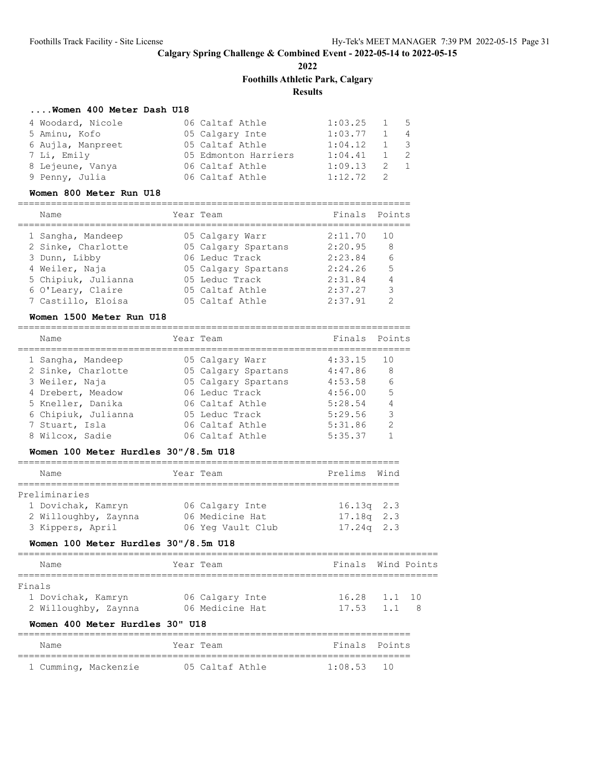**2022**

**Foothills Athletic Park, Calgary**

# **Results**

### **....Women 400 Meter Dash U18**

| 4 Woodard, Nicole | 06 Caltaf Athle      | $1:03.25$ 1 5 |             |  |
|-------------------|----------------------|---------------|-------------|--|
| 5 Aminu, Kofo     | 05 Calgary Inte      | 1:03.77       | $1 \quad 4$ |  |
| 6 Aujla, Manpreet | 05 Caltaf Athle      | 1:04.12       | $1 \quad 3$ |  |
| 7 Li, Emily       | 05 Edmonton Harriers | 1:04.41       | $1 \quad 2$ |  |
| 8 Lejeune, Vanya  | 06 Caltaf Athle      | 1:09.13       | 2 1         |  |
| 9 Penny, Julia    | 06 Caltaf Athle      | $1:12.72$ 2   |             |  |

#### **Women 800 Meter Run U18**

#### ======================================================================= Name **The Year Team Finals** Points

| -------             |                     |         |               |
|---------------------|---------------------|---------|---------------|
| 1 Sangha, Mandeep   | 05 Calgary Warr     | 2:11.70 | 10            |
| 2 Sinke, Charlotte  | 05 Calgary Spartans | 2:20.95 | 8             |
| 3 Dunn, Libby       | 06 Leduc Track      | 2:23.84 | 6             |
| 4 Weiler, Naja      | 05 Calgary Spartans | 2:24.26 | 5             |
| 5 Chipiuk, Julianna | 05 Leduc Track      | 2:31.84 | 4             |
| 6 O'Leary, Claire   | 05 Caltaf Athle     | 2:37.27 | 3             |
| 7 Castillo, Eloisa  | 05 Caltaf Athle     | 2:37.91 | $\mathcal{D}$ |
|                     |                     |         |               |

#### **Women 1500 Meter Run U18**

| Name                | Year Team           | Finals Points |                 |
|---------------------|---------------------|---------------|-----------------|
| 1 Sangha, Mandeep   | 05 Calgary Warr     | 4:33.15       | 1 N             |
| 2 Sinke, Charlotte  | 05 Calgary Spartans | 4:47.86       | 8               |
| 3 Weiler, Naja      | 05 Calgary Spartans | 4:53.58       | $6\overline{6}$ |
| 4 Drebert, Meadow   | 06 Leduc Track      | 4:56.00       | 5               |
| 5 Kneller, Danika   | 06 Caltaf Athle     | 5:28.54       |                 |
| 6 Chipiuk, Julianna | 05 Leduc Track      | 5:29.56       | 3               |
| 7 Stuart, Isla      | 06 Caltaf Athle     | 5:31.86       | $\mathcal{L}$   |
| 8 Wilcox, Sadie     | 06 Caltaf Athle     | 5:35.37       |                 |
|                     |                     |               |                 |

### **Women 100 Meter Hurdles 30"/8.5m U18**

| Name                 | Year Team |                   | Prelims Wind |  |  |  |  |  |  |  |  |
|----------------------|-----------|-------------------|--------------|--|--|--|--|--|--|--|--|
|                      |           |                   |              |  |  |  |  |  |  |  |  |
| Preliminaries        |           |                   |              |  |  |  |  |  |  |  |  |
| 1 Dovichak, Kamryn   |           | 06 Calgary Inte   | $16.13q$ 2.3 |  |  |  |  |  |  |  |  |
| 2 Willoughby, Zaynna |           | 06 Medicine Hat   | $17.18q$ 2.3 |  |  |  |  |  |  |  |  |
| 3 Kippers, April     |           | 06 Yeq Vault Club | $17.24q$ 2.3 |  |  |  |  |  |  |  |  |

### **Women 100 Meter Hurdles 30"/8.5m U18**

|        | Name                 | Year Team |                 | Finals Wind Points |  |
|--------|----------------------|-----------|-----------------|--------------------|--|
|        |                      |           |                 |                    |  |
| Finals |                      |           |                 |                    |  |
|        | 1 Dovichak, Kamryn   |           | 06 Calgary Inte | 16.28 1.1 10       |  |
|        | 2 Willoughby, Zaynna |           | 06 Medicine Hat | $17.53$ $1.1$ 8    |  |
|        |                      |           |                 |                    |  |

### **Women 400 Meter Hurdles 30" U18**

| Name |                      | Year Team |                 |  | Finals Points |  |  |  |  |
|------|----------------------|-----------|-----------------|--|---------------|--|--|--|--|
|      |                      |           |                 |  |               |  |  |  |  |
|      | 1 Cumming, Mackenzie |           | 05 Caltaf Athle |  | $1:08.53$ 10  |  |  |  |  |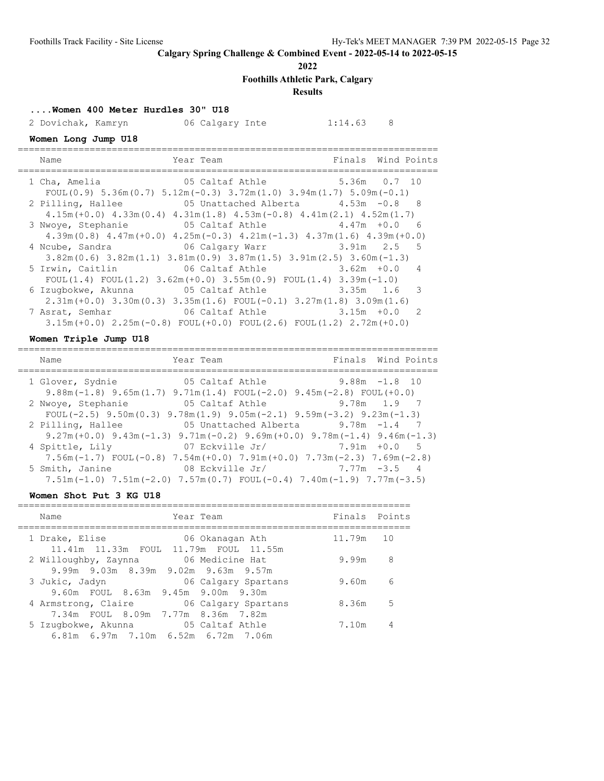**2022**

**Foothills Athletic Park, Calgary**

# **Results**

**....Women 400 Meter Hurdles 30" U18**

2 Dovichak, Kamryn 16 Calgary Inte 1:14.63 8

# **Women Long Jump U18**

| Name              | Year Team                                                                                                                                               |               | Finals Wind Points |  |
|-------------------|---------------------------------------------------------------------------------------------------------------------------------------------------------|---------------|--------------------|--|
| 1 Cha, Amelia     | 05 Caltaf Athle 5.36m 0.7 10                                                                                                                            |               |                    |  |
| 2 Pilling, Hallee | FOUL $(0.9)$ 5.36m $(0.7)$ 5.12m $(-0.3)$ 3.72m $(1.0)$ 3.94m $(1.7)$ 5.09m $(-0.1)$<br>05 Unattached Alberta $4.53m$ $-0.8$ 8                          |               |                    |  |
|                   | $4.15m (+0.0)$ $4.33m (0.4)$ $4.31m (1.8)$ $4.53m (-0.8)$ $4.41m (2.1)$ $4.52m (1.7)$                                                                   |               |                    |  |
|                   | 3 Nwoye, Stephanie 65 Caltaf Athle 4.47m +0.0                                                                                                           |               | - 6                |  |
|                   | $4.39$ m $(0.8)$ $4.47$ m $(+0.0)$ $4.25$ m $(-0.3)$ $4.21$ m $(-1.3)$ $4.37$ m $(1.6)$ $4.39$ m $(+0.0)$                                               |               |                    |  |
| 4 Ncube, Sandra   | 06 Calgary Warr 3.91m 2.5 5                                                                                                                             |               |                    |  |
|                   | $3.82$ m $(0.6)$ $3.82$ m $(1.1)$ $3.81$ m $(0.9)$ $3.87$ m $(1.5)$ $3.91$ m $(2.5)$ $3.60$ m $(-1.3)$<br>5 Irwin, Caitlin 66 Caltaf Athle 3.62m +0.0 4 |               |                    |  |
|                   | FOUL $(1.4)$ FOUL $(1.2)$ 3.62m $(+0.0)$ 3.55m $(0.9)$ FOUL $(1.4)$ 3.39m $(-1.0)$                                                                      |               |                    |  |
|                   | 6 Izuqbokwe, Akunna 65 Caltaf Athle 3.35m 1.6 3                                                                                                         |               |                    |  |
|                   | $2.31m (+0.0)$ $3.30m (0.3)$ $3.35m (1.6)$ $FOUL (-0.1)$ $3.27m (1.8)$ $3.09m (1.6)$                                                                    |               |                    |  |
| 7 Asrat, Semhar   | 06 Caltaf Athle                                                                                                                                         | $3.15m + 0.0$ | $\overline{2}$     |  |
|                   | $3.15m (+0.0)$ $2.25m (-0.8)$ FOUL $(+0.0)$ FOUL $(2.6)$ FOUL $(1.2)$ $2.72m (+0.0)$                                                                    |               |                    |  |

### **Women Triple Jump U18**

| Name                                                                                                                                                                         | Year Team                                                     | Finals Wind Points |
|------------------------------------------------------------------------------------------------------------------------------------------------------------------------------|---------------------------------------------------------------|--------------------|
| 1 Glover, Sydnie                  05 Caltaf Athle                     9.88m -1.8 10<br>$9.88$ m (-1.8) $9.65$ m (1.7) $9.71$ m (1.4) FOUL (-2.0) $9.45$ m (-2.8) FOUL (+0.0) |                                                               |                    |
| 2 Nwoye, Stephanie<br>FOUL $(-2.5)$ 9.50m $(0.3)$ 9.78m $(1.9)$ 9.05m $(-2.1)$ 9.59m $(-3.2)$ 9.23m $(-1.3)$                                                                 | 05 Caltaf Athle                         9.78m     1.9       7 |                    |
| 2 Pilling, Hallee<br>$9.27m (+0.0)$ $9.43m (-1.3)$ $9.71m (-0.2)$ $9.69m (+0.0)$ $9.78m (-1.4)$ $9.46m (-1.3)$                                                               | 05 Unattached Alberta $9.78$ m $-1.4$ 7                       |                    |
| 4 Spittle, Lily<br>$7.56$ m (-1.7) FOUL (-0.8) $7.54$ m (+0.0) $7.91$ m (+0.0) $7.73$ m (-2.3) $7.69$ m (-2.8)                                                               | 07 Eckville Jr/ $7.91m +0.0$ 5                                |                    |
| 5 Smith, Janine<br>$7.51m(-1.0)$ $7.51m(-2.0)$ $7.57m(0.7)$ $FOUL(-0.4)$ $7.40m(-1.9)$ $7.77m(-3.5)$                                                                         | 08 Eckville Jr/ 7.77m -3.5 4                                  |                    |

#### **Women Shot Put 3 KG U18**

| Name                                                        | Year Team                                                | Finals Points |    |
|-------------------------------------------------------------|----------------------------------------------------------|---------------|----|
| 1 Drake, Elise                                              | 06 Okanagan Ath<br>11.41m 11.33m FOUL 11.79m FOUL 11.55m | 11.79m        | 10 |
| 2 Willoughby, Zaynna<br>9.99m 9.03m 8.39m 9.02m 9.63m 9.57m | 06 Medicine Hat                                          | 9.99m         | 8  |
| 3 Jukic, Jadyn<br>9.60m FOUL 8.63m 9.45m 9.00m 9.30m        | 06 Calgary Spartans                                      | 9.60m         | 6  |
| 4 Armstrong, Claire<br>7.34m FOUL 8.09m 7.77m 8.36m 7.82m   | 06 Calgary Spartans                                      | 8.36m         | .5 |
| 5 Izugbokwe, Akunna<br>6.81m 6.97m 7.10m 6.52m 6.72m 7.06m  | 05 Caltaf Athle                                          | 7.10m         | 4  |
|                                                             |                                                          |               |    |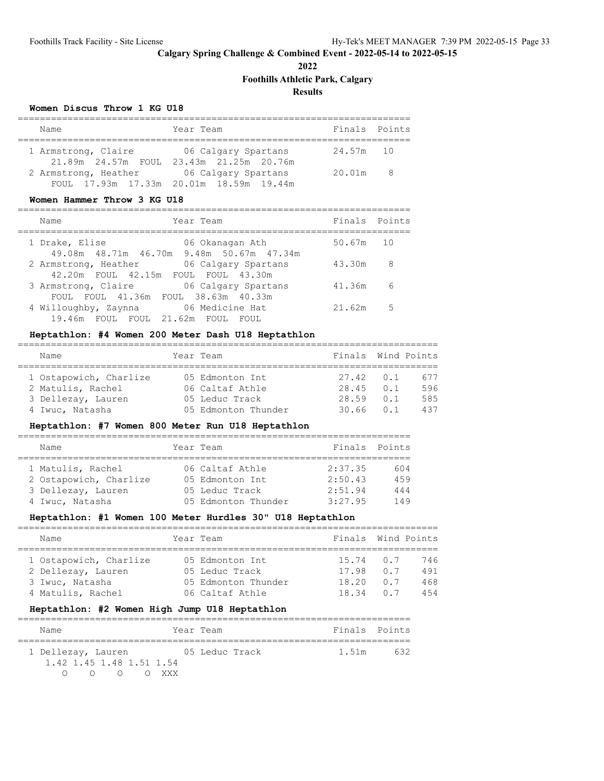**2022**

# **Foothills Athletic Park, Calgary**

**Results**

#### **Women Discus Throw 1 KG U18**

| Name                 | Year Team                                                      | Finals Points |     |
|----------------------|----------------------------------------------------------------|---------------|-----|
| 1 Armstrong, Claire  | 06 Calgary Spartans<br>21.89m 24.57m FOUL 23.43m 21.25m 20.76m | 24.57m 10     |     |
| 2 Armstrong, Heather | 06 Calgary Spartans<br>FOUL 17.93m 17.33m 20.01m 18.59m 19.44m | 20.01m        | - 8 |

### **Women Hammer Throw 3 KG U18**

| Name                                                            | Year Team                | Finals Points |    |
|-----------------------------------------------------------------|--------------------------|---------------|----|
| 1 Drake, Elise<br>49.08m  48.71m  46.70m  9.48m  50.67m  47.34m | 06 Okanagan Ath          | 50.67m        | 10 |
| 2 Armstrong, Heather<br>42.20m FOUL 42.15m FOUL FOUL 43.30m     | 06 Calgary Spartans      | 43.30m        | 8  |
| 3 Armstrong, Claire<br>FOUL FOUL 41.36m FOUL 38.63m 40.33m      | 06 Calgary Spartans      | 41.36m        | 6  |
| 4 Willoughby, Zaynna<br>19.46m FOUL FOUL 21.62m FOUL            | 06 Medicine Hat<br>FOUL. | 21.62m        | .5 |

### **Heptathlon: #4 Women 200 Meter Dash U18 Heptathlon**

============================================================================

| Name                   | Year Team           | Finals Wind Points |     |
|------------------------|---------------------|--------------------|-----|
|                        |                     |                    |     |
| 1 Ostapowich, Charlize | 05 Edmonton Int     | $27.42 \qquad 0.1$ | 677 |
| 2 Matulis, Rachel      | 06 Caltaf Athle     | $28.45$ 0.1        | 596 |
| 3 Dellezay, Lauren     | 05 Leduc Track      | 28.59 0.1          | 585 |
| 4 Iwuc, Natasha        | 05 Edmonton Thunder | $30.66$ $0.1$      | 437 |

### **Heptathlon: #7 Women 800 Meter Run U18 Heptathlon**

| Name                   | Year Team |                     | Finals Points |     |  |  |  |  |
|------------------------|-----------|---------------------|---------------|-----|--|--|--|--|
|                        |           |                     |               |     |  |  |  |  |
| 1 Matulis, Rachel      |           | 06 Caltaf Athle     | 2:37.35       | 604 |  |  |  |  |
| 2 Ostapowich, Charlize |           | 05 Edmonton Int     | 2:50.43       | 459 |  |  |  |  |
| 3 Dellezay, Lauren     |           | 05 Leduc Track      | 2:51.94       | 444 |  |  |  |  |
| 4 Iwuc, Natasha        |           | 05 Edmonton Thunder | 3:27.95       | 149 |  |  |  |  |

#### **Heptathlon: #1 Women 100 Meter Hurdles 30" U18 Heptathlon**

| Name                   | Year Team           | Finals Wind Points |                         |     |
|------------------------|---------------------|--------------------|-------------------------|-----|
|                        |                     |                    |                         |     |
| 1 Ostapowich, Charlize | 05 Edmonton Int     | $15.74 \t 0.7$     |                         | 746 |
| 2 Dellezay, Lauren     | 05 Leduc Track      | 17.98              | 0.7                     | 491 |
| 3 Iwuc, Natasha        | 05 Edmonton Thunder | 18.20              | 0.7                     | 468 |
| 4 Matulis, Rachel      | 06 Caltaf Athle     | 1834               | $\bigcirc$ $\bigcirc$ 7 | 454 |

### **Heptathlon: #2 Women High Jump U18 Heptathlon**

| Name                     |                                                                |       | Year Team      |  |       | Finals Points |
|--------------------------|----------------------------------------------------------------|-------|----------------|--|-------|---------------|
|                          |                                                                |       |                |  |       |               |
| 1 Dellezay, Lauren       |                                                                |       | 05 Leduc Track |  | 1.51m | 632           |
| 1.42 1.45 1.48 1.51 1.54 |                                                                |       |                |  |       |               |
|                          | $\left( \begin{array}{ccc} 1 & 1 \\ 1 & 1 \end{array} \right)$ | O XXX |                |  |       |               |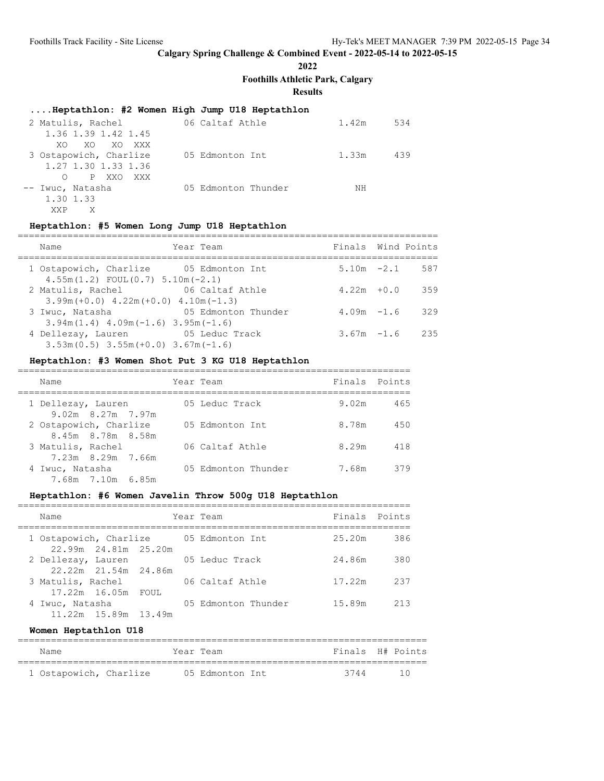# **2022**

**Foothills Athletic Park, Calgary**

# **Results**

### **....Heptathlon: #2 Women High Jump U18 Heptathlon**

| 2 Matulis, Rachel      | 06 Caltaf Athle     | 1.42m | 534 |
|------------------------|---------------------|-------|-----|
| 1.36 1.39 1.42 1.45    |                     |       |     |
| XO XO XXX<br>XO.       |                     |       |     |
| 3 Ostapowich, Charlize | 05 Edmonton Int     | 1.33m | 439 |
| 1.27 1.30 1.33 1.36    |                     |       |     |
| O PXXO<br>XXX X        |                     |       |     |
| -- Iwuc, Natasha       | 05 Edmonton Thunder | ΝH    |     |
| 1.30 1.33              |                     |       |     |
| XXP<br>X               |                     |       |     |

# **Heptathlon: #5 Women Long Jump U18 Heptathlon**

| Name                                                                                 | Year Team           | Finals Wind Points |                  |
|--------------------------------------------------------------------------------------|---------------------|--------------------|------------------|
| 1 Ostapowich, Charlize 05 Edmonton Int<br>$4.55m(1.2)$ FOUL $(0.7)$ 5.10m $(-2.1)$   |                     |                    | $5.10m -2.1$ 587 |
| 2 Matulis, Rachel 66 Caltaf Athle<br>$3.99$ m (+0.0) $4.22$ m (+0.0) $4.10$ m (-1.3) |                     | $4.22m + 0.0$      | 359              |
| 3 Iwuc, Natasha<br>$3.94m(1.4)$ 4.09m( $-1.6$ ) 3.95m( $-1.6$ )                      | 05 Edmonton Thunder | $4.09m - 1.6$      | 329              |
| 4 Dellezay, Lauren 65 Leduc Track<br>$3.53m(0.5)$ $3.55m(+0.0)$ $3.67m(-1.6)$        |                     | $3.67m - 1.6$      | 235              |

# **Heptathlon: #3 Women Shot Put 3 KG U18 Heptathlon**

| Name                                        | Year Team           | Finals Points |     |
|---------------------------------------------|---------------------|---------------|-----|
| 1 Dellezay, Lauren<br>$9.02m$ 8.27m 7.97m   | 05 Leduc Track      | 9.02m         | 465 |
| 2 Ostapowich, Charlize<br>8.45m 8.78m 8.58m | 05 Edmonton Int     | 8.78m         | 450 |
| 3 Matulis, Rachel<br>7.23m 8.29m 7.66m      | 06 Caltaf Athle     | 8.29m         | 418 |
| 4 Iwuc, Natasha<br>7.68m 7.10m 6.85m        | 05 Edmonton Thunder | 7.68m         | 379 |

# **Heptathlon: #6 Women Javelin Throw 500g U18 Heptathlon**

| Name                                           | Year Team           | Finals Points |     |
|------------------------------------------------|---------------------|---------------|-----|
| 1 Ostapowich, Charlize<br>22.99m 24.81m 25.20m | 05 Edmonton Int     | 25.20m        | 386 |
| 2 Dellezay, Lauren<br>22.22m 21.54m 24.86m     | 05 Leduc Track      | 24.86m        | 380 |
| 3 Matulis, Rachel<br>17.22m 16.05m FOUL        | 06 Caltaf Athle     | 17.22m        | 237 |
| 4 Iwuc, Natasha<br>11.22m 15.89m 13.49m        | 05 Edmonton Thunder | 15.89m        | 213 |

#### **Women Heptathlon U18**

| Name                   |  | Year Team       | Finals H# Points |    |
|------------------------|--|-----------------|------------------|----|
| 1 Ostapowich, Charlize |  | 05 Edmonton Int | 3744             | 10 |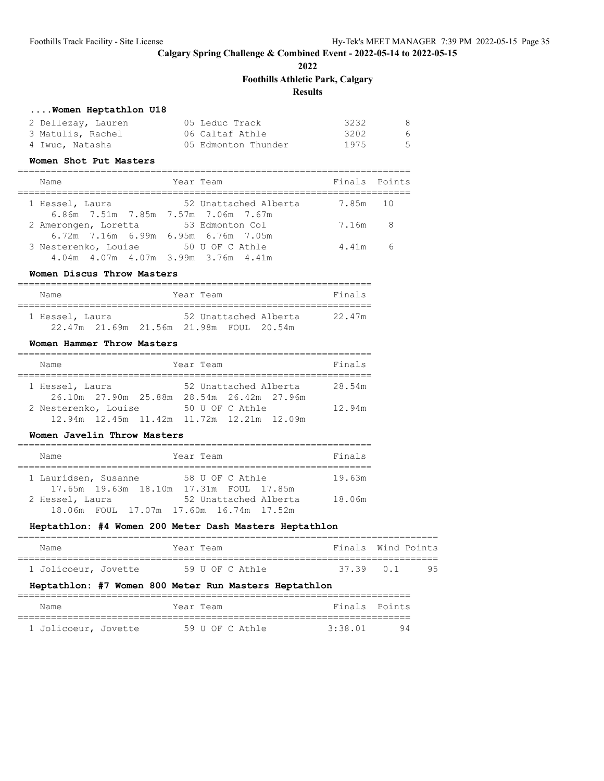**2022**

### **Foothills Athletic Park, Calgary**

### **Results**

### **....Women Heptathlon U18**

| 2 Dellezav, Lauren | 05 Leduc Track      | 3232 | -8    |
|--------------------|---------------------|------|-------|
| 3 Matulis, Rachel  | 06 Caltaf Athle     | 3202 | - 6 - |
| 4 Iwuc, Natasha    | 05 Edmonton Thunder | 1975 | $-5$  |

#### **Women Shot Put Masters**

| Name                                                   | Year Team             | Finals Points |                         |
|--------------------------------------------------------|-----------------------|---------------|-------------------------|
| 1 Hessel, Laura<br>6.86m 7.51m 7.85m 7.57m 7.06m 7.67m | 52 Unattached Alberta | 7.85m 10      |                         |
| 2 Amerongen, Loretta                                   | 53 Edmonton Col       | 7 1 6m        | $\overline{\mathbf{R}}$ |

#### 6.72m 7.16m 6.99m 6.95m 6.76m 7.05m 3 Nesterenko, Louise 50 U OF C Athle 4.41m 6 4.04m 4.07m 4.07m 3.99m 3.76m 4.41m

#### **Women Discus Throw Masters**

| Name            |                                         | Year Team             | Finals |
|-----------------|-----------------------------------------|-----------------------|--------|
| 1 Hessel, Laura |                                         | 52 Unattached Alberta | 22.47m |
|                 | 22.47m 21.69m 21.56m 21.98m FOUL 20.54m |                       |        |

#### **Women Hammer Throw Masters**

| Name                                                              | Year Team |                                               | Finals |
|-------------------------------------------------------------------|-----------|-----------------------------------------------|--------|
| 1 Hessel, Laura<br>26.10m 27.90m 25.88m                           |           | 52 Unattached Alberta<br>28.54m 26.42m 27.96m | 28.54m |
| 2 Nesterenko, Louise<br>12.94m 12.45m 11.42m 11.72m 12.21m 12.09m |           | 50 U OF C Athle                               | 12.94m |

#### **Women Javelin Throw Masters**

| Name                                    | Year Team             | Finals |
|-----------------------------------------|-----------------------|--------|
| 1 Lauridsen, Susanne                    | 58 U OF C Athle       | 19.63m |
| 17.65m 19.63m 18.10m 17.31m FOUL 17.85m |                       |        |
| 2 Hessel, Laura                         | 52 Unattached Alberta | 18.06m |
| 18.06m FOUL 17.07m 17.60m 16.74m 17.52m |                       |        |

#### **Heptathlon: #4 Women 200 Meter Dash Masters Heptathlon**

| Name                                                  |  |  | Year Team |                 |  | Finals Wind Points |  |     |
|-------------------------------------------------------|--|--|-----------|-----------------|--|--------------------|--|-----|
|                                                       |  |  |           |                 |  |                    |  |     |
| 1 Jolicoeur, Jovette                                  |  |  |           | 59 U OF C Athle |  | 37.39 0.1          |  | 95. |
| Heptathlon: #7 Women 800 Meter Run Masters Heptathlon |  |  |           |                 |  |                    |  |     |

### ======================================================================= Name **The Soutier Seam** Team Team **Finals** Points ======================================================================= 1 Jolicoeur, Jovette 59 U OF C Athle 3:38.01 94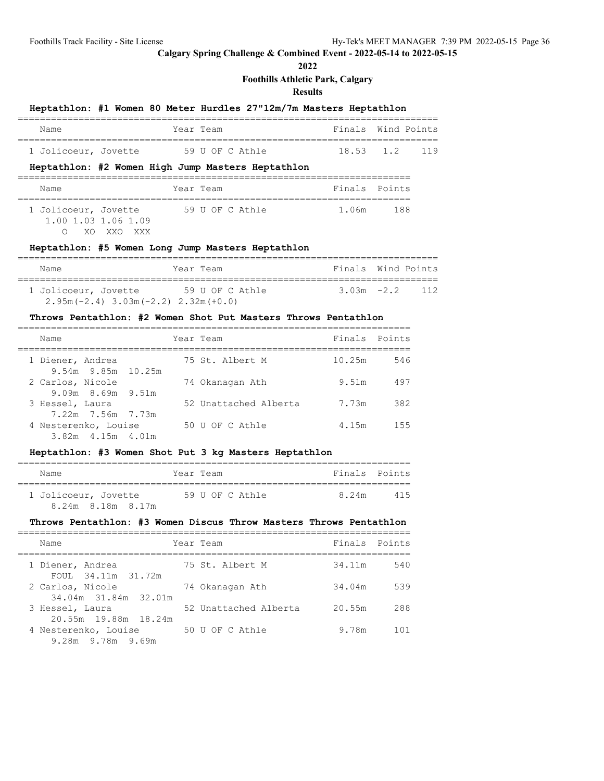**2022**

**Foothills Athletic Park, Calgary**

**Results**

|                      | Heptathlon: #1 Women 80 Meter Hurdles 27"12m/7m Masters Heptathlon |  |                    |  |
|----------------------|--------------------------------------------------------------------|--|--------------------|--|
| Name                 | Year Team                                                          |  | Finals Wind Points |  |
| 1 Jolicoeur, Jovette | 59 U OF C Athle                                                    |  | 18.53 1.2 119      |  |
|                      | Heptathlon: #2 Women High Jump Masters Heptathlon                  |  |                    |  |
| Name                 | Year Team                                                          |  | Finals Points      |  |

| 1 Jolicoeur, Jovette |  |            |  |  | 59 U OF C Athle | 1.06m | 188 |
|----------------------|--|------------|--|--|-----------------|-------|-----|
| 1.00 1.03 1.06 1.09  |  |            |  |  |                 |       |     |
|                      |  | O XOXXOXXX |  |  |                 |       |     |

### **Heptathlon: #5 Women Long Jump Masters Heptathlon**

| Name                                        | Year Team       | Finals Wind Points |     |
|---------------------------------------------|-----------------|--------------------|-----|
| 1 Jolicoeur, Jovette                        | 59 U OF C Athle | $3.03m - 2.2$      | 112 |
| $2.95m(-2.4)$ 3.03m $(-2.2)$ 2.32m $(+0.0)$ |                 |                    |     |

#### **Throws Pentathlon: #2 Women Shot Put Masters Throws Pentathlon**

| Name                                        | Year Team             | Finals Points |      |
|---------------------------------------------|-----------------------|---------------|------|
| 1 Diener, Andrea<br>9.54m 9.85m 10.25m      | 75 St. Albert M       | 10.25m        | 546  |
| 2 Carlos, Nicole<br>$9.09m$ 8.69m $9.51m$   | 74 Okanagan Ath       | 9.51m         | 497  |
| 3 Hessel, Laura<br>7.22m 7.56m 7.73m        | 52 Unattached Alberta | 7.73m         | 382  |
| 4 Nesterenko, Louise<br>$3.82m$ 4.15m 4.01m | 50 U OF C Athle       | 4.15m         | 1.55 |

#### **Heptathlon: #3 Women Shot Put 3 kg Masters Heptathlon**

| Name                 | Year Team       | Finals Points |
|----------------------|-----------------|---------------|
| 1 Jolicoeur, Jovette | 59 U OF C Athle | 8 24m<br>415  |
| 8.24m 8.18m 8.17m    |                 |               |

# **Throws Pentathlon: #3 Women Discus Throw Masters Throws Pentathlon**

| Name                                      | Year Team             | Finals Points |     |
|-------------------------------------------|-----------------------|---------------|-----|
| 1 Diener, Andrea<br>FOUL 34.11m 31.72m    | 75 St. Albert M       | 34.11m        | 540 |
| 2 Carlos, Nicole<br>34.04m 31.84m 32.01m  | 74 Okanagan Ath       | 34.04m        | 539 |
| 3 Hessel, Laura<br>20.55m 19.88m 18.24m   | 52 Unattached Alberta | 20.55m        | 288 |
| 4 Nesterenko, Louise<br>9.28m 9.78m 9.69m | 50 U OF C Athle       | 9.78m         | 101 |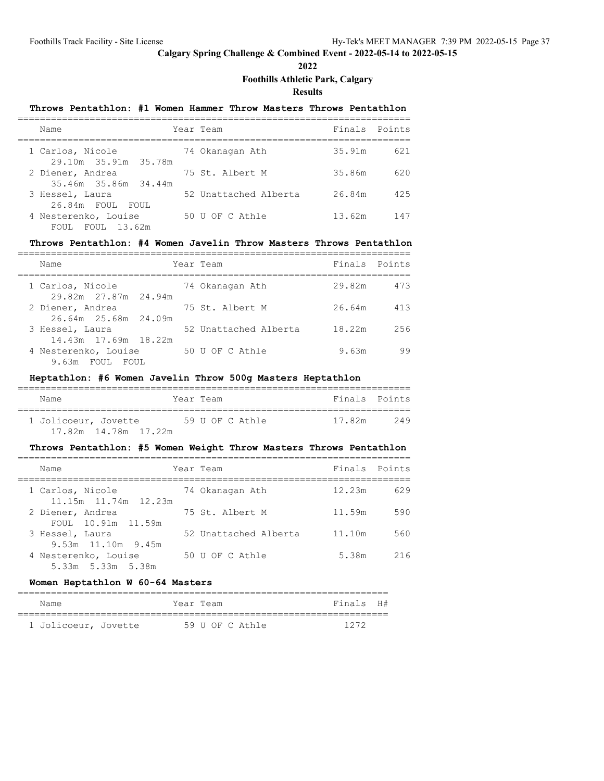**2022**

# **Foothills Athletic Park, Calgary**

**Results**

| Throws Pentathlon: #1 Women Hammer Throw Masters Throws Pentathlon |                       |               |     |
|--------------------------------------------------------------------|-----------------------|---------------|-----|
| Name                                                               | Year Team             | Finals Points |     |
| 1 Carlos, Nicole<br>29.10m 35.91m 35.78m                           | 74 Okanagan Ath       | 35.91m        | 621 |
| 2 Diener, Andrea<br>35.46m 35.86m 34.44m                           | 75 St. Albert M       | 35.86m        | 620 |
| 3 Hessel, Laura<br>26.84m FOUL FOUL                                | 52 Unattached Alberta | 26.84m        | 425 |
| 4 Nesterenko, Louise<br>FOUL FOUL 13.62m                           | 50 U OF C Athle       | 13.62m        | 147 |

### **Throws Pentathlon: #4 Women Javelin Throw Masters Throws Pentathlon**

| Name                                                            | Year Team             | Finals Points |     |
|-----------------------------------------------------------------|-----------------------|---------------|-----|
| 1 Carlos, Nicole                                                | 74 Okanagan Ath       | 29.82m        | 473 |
| 29.82m 27.87m 24.94m<br>2 Diener, Andrea                        | 75 St. Albert M       | 26.64m        | 413 |
| 26.64m 25.68m 24.09m<br>3 Hessel, Laura                         | 52 Unattached Alberta | 18.22m        | 256 |
| 14.43m 17.69m 18.22m<br>4 Nesterenko, Louise<br>9.63m FOUL FOUL | 50 U OF C Athle       | 9.63m         | 99  |

### **Heptathlon: #6 Women Javelin Throw 500g Masters Heptathlon**

| Name                   | Year Team |                 |        | Finals Points |
|------------------------|-----------|-----------------|--------|---------------|
| 1 Jolicoeur, Jovette   |           | 59 U OF C Athle | 17.82m | 249           |
| 17.82m  14.78m  17.22m |           |                 |        |               |

#### **Throws Pentathlon: #5 Women Weight Throw Masters Throws Pentathlon** =======================================================================

| Name                                           | Year Team             | Finals Points |     |
|------------------------------------------------|-----------------------|---------------|-----|
| 1 Carlos, Nicole<br>$11.15m$ $11.74m$ $12.23m$ | 74 Okanagan Ath       | 12.23m        | 629 |
| 2 Diener, Andrea<br>FOUL 10.91m 11.59m         | 75 St. Albert M       | 11.59m        | 590 |
| 3 Hessel, Laura<br>$9.53m$ 11.10m 9.45m        | 52 Unattached Alberta | 11.10m        | 560 |
| 4 Nesterenko, Louise<br>5.33m 5.33m 5.38m      | 50 U OF C Athle       | 5.38m         | 216 |

#### **Women Heptathlon W 60-64 Masters**

| Name                 | Year Team |                 | Finals H# |  |
|----------------------|-----------|-----------------|-----------|--|
|                      |           |                 |           |  |
| 1 Jolicoeur, Jovette |           | 59 U OF C Athle | 1272      |  |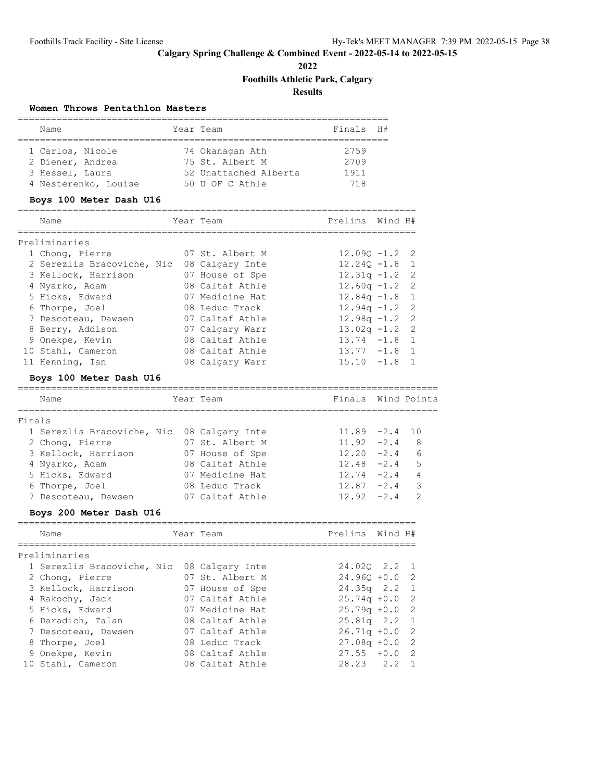**2022**

**Foothills Athletic Park, Calgary**

**Results**

### **Women Throws Pentathlon Masters**

| Name                 | Year Team |                       | Finals H# |  |
|----------------------|-----------|-----------------------|-----------|--|
|                      |           |                       |           |  |
| 1 Carlos, Nicole     |           | 74 Okanagan Ath       | 2759      |  |
| 2 Diener, Andrea     |           | 75 St. Albert M       | 2709      |  |
| 3 Hessel, Laura      |           | 52 Unattached Alberta | 1911      |  |
| 4 Nesterenko, Louise |           | 50 U OF C Athle       | 71 R      |  |

# **Boys 100 Meter Dash U16**

| Name                       | Year Team       | Prelims          | Wind H# |  |
|----------------------------|-----------------|------------------|---------|--|
|                            |                 |                  |         |  |
| Preliminaries              |                 |                  |         |  |
| 1 Chong, Pierre            | 07 St. Albert M | $12.090 - 1.2$ 2 |         |  |
| 2 Serezlis Bracoviche, Nic | 08 Calgary Inte | $12,240 -1.8$ 1  |         |  |
| 3 Kellock, Harrison        | 07 House of Spe | $12.31q - 1.2$ 2 |         |  |
| 4 Nyarko, Adam             | 08 Caltaf Athle | $12.60q - 1.2$ 2 |         |  |
| 5 Hicks, Edward            | 07 Medicine Hat | $12.84q - 1.8$ 1 |         |  |
| 6 Thorpe, Joel             | 08 Leduc Track  | $12.94q - 1.2$ 2 |         |  |
| 7 Descoteau, Dawsen        | 07 Caltaf Athle | $12.98q - 1.2$ 2 |         |  |
| 8 Berry, Addison           | 07 Calgary Warr | $13.02q - 1.2$ 2 |         |  |
| 9 Onekpe, Kevin            | 08 Caltaf Athle | $13.74 - 1.8 1$  |         |  |
| 10 Stahl, Cameron          | 08 Caltaf Athle | $13.77 - 1.8$ 1  |         |  |
| 11 Henning, Ian            | 08 Calgary Warr | $15.10 - 1.8$    |         |  |

# **Boys 100 Meter Dash U16**

|        | Name                       | Year Team       | Finals Wind Points |                 |                |
|--------|----------------------------|-----------------|--------------------|-----------------|----------------|
| Finals |                            |                 |                    |                 |                |
|        | 1 Serezlis Bracoviche, Nic | 08 Calgary Inte |                    | $11.89 -2.4$ 10 |                |
|        | 2 Chong, Pierre            | 07 St. Albert M | $11.92 -2.4 8$     |                 |                |
|        | 3 Kellock, Harrison        | 07 House of Spe | $12.20 -2.4$       |                 | 6              |
|        | 4 Nyarko, Adam             | 08 Caltaf Athle | $12.48 - 2.4$      |                 | 5              |
|        | 5 Hicks, Edward            | 07 Medicine Hat | $12.74 - 2.4$      |                 | $\overline{4}$ |
|        | 6 Thorpe, Joel             | 08 Leduc Track  | $12.87 -2.4$ 3     |                 |                |
|        | 7 Descoteau, Dawsen        | 07 Caltaf Athle | $12.92 - 2.4$      |                 | $\mathcal{D}$  |
|        | Boys 200 Meter Dash U16    |                 |                    |                 |                |
|        | Name                       | Year Team       | Prelims            | Wind H#         |                |

| Preliminaries                              |                 |                  |
|--------------------------------------------|-----------------|------------------|
| 1 Serezlis Bracoviche, Nic 08 Calgary Inte |                 | 24.020 2.2 1     |
| 2 Chong, Pierre                            | 07 St. Albert M | $24.960 + 0.0$ 2 |
| 3 Kellock, Harrison                        | 07 House of Spe | $24.35q$ $2.2$ 1 |
| 4 Rakochy, Jack 67 Caltaf Athle            |                 | $25.74q + 0.0$ 2 |
| 5 Hicks, Edward                            | 07 Medicine Hat | $25.79q + 0.0$ 2 |
| 6 Daradich, Talan                          | 08 Caltaf Athle | 25.81q 2.2 1     |
| 7 Descoteau, Dawsen                        | 07 Caltaf Athle | $26.71q + 0.0$ 2 |
| 8 Thorpe, Joel                             | 08 Leduc Track  | $27.08q + 0.0$ 2 |
| 9 Onekpe, Kevin                            | 08 Caltaf Athle | $27.55 + 0.0$ 2  |
| 10 Stahl, Cameron                          | 08 Caltaf Athle | $28.23$ $2.2$ 1  |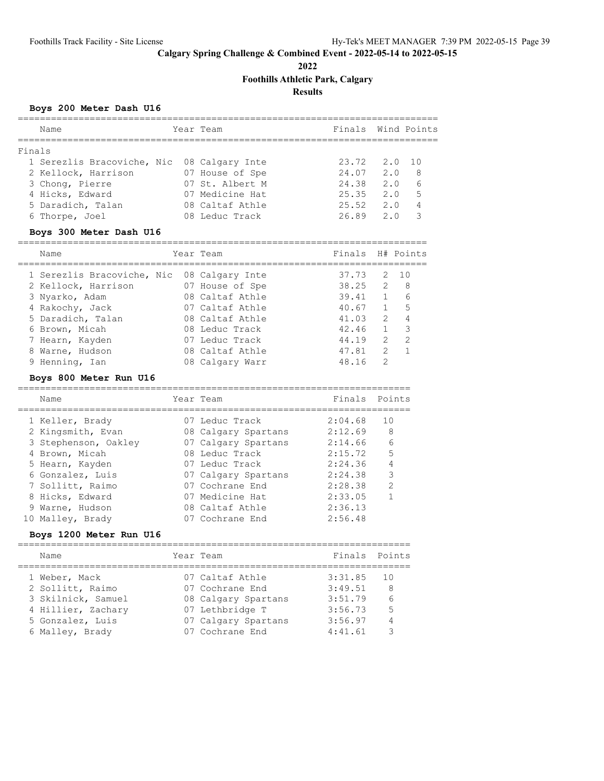**2022**

**Foothills Athletic Park, Calgary**

**Results**

=======================================================================

=======================================================================

# **Boys 200 Meter Dash U16**

| Name                                       | Year Team       | Finals Wind Points |        |     |
|--------------------------------------------|-----------------|--------------------|--------|-----|
| Finals                                     |                 |                    |        |     |
| 1 Serezlis Bracoviche, Nic 08 Calgary Inte |                 | 23.72              | 2.0 10 |     |
| 2 Kellock, Harrison                        | 07 House of Spe | 24.07              | 2.0    | - 8 |
| 3 Chong, Pierre                            | 07 St. Albert M | 24.38              | 2.0    | 6   |
| 4 Hicks, Edward                            | 07 Medicine Hat | 25.35              | 2.0    | .5  |
| 5 Daradich, Talan                          | 08 Caltaf Athle | 25.52              | 2.0    | 4   |
| 6 Thorpe, Joel                             | 08 Leduc Track  | 26.89              | 2.0    | 3   |
|                                            |                 |                    |        |     |

### **Boys 300 Meter Dash U16**

==========================================================================

| Name                                       | Year Team       | Finals H# Points |               |                          |
|--------------------------------------------|-----------------|------------------|---------------|--------------------------|
| 1 Serezlis Bracoviche, Nic 08 Calgary Inte |                 | 37.73            |               | 2 10                     |
| 2 Kellock, Harrison                        | 07 House of Spe | 38.25            | 2             | - 8                      |
| 3 Nyarko, Adam                             | 08 Caltaf Athle | 39.41            | $\mathbf{1}$  | 6                        |
| 4 Rakochy, Jack                            | 07 Caltaf Athle | 40.67            | $\mathbf{1}$  | 5                        |
| 5 Daradich, Talan                          | 08 Caltaf Athle | 41.03            | 2             | $\overline{4}$           |
| 6 Brown, Micah                             | 08 Leduc Track  | 42.46            | $\mathbf{1}$  | $\overline{\phantom{a}}$ |
| 7 Hearn, Kayden                            | 07 Leduc Track  | 44.19            | 2             | $\overline{2}$           |
| 8 Warne, Hudson                            | 08 Caltaf Athle | 47.81            | $\mathcal{L}$ |                          |
| 9 Henning, Ian                             | 08 Calgary Warr | 48.16            | $\mathcal{P}$ |                          |

### **Boys 800 Meter Run U16**

| Name                 | Year Team           | Finals Points |               |
|----------------------|---------------------|---------------|---------------|
| 1 Keller, Brady      | 07 Leduc Track      | 2:04.68       | 10            |
| 2 Kingsmith, Evan    | 08 Calgary Spartans | 2:12.69       | 8             |
| 3 Stephenson, Oakley | 07 Calgary Spartans | 2:14.66       | 6             |
| 4 Brown, Micah       | 08 Leduc Track      | 2:15.72       | 5             |
| 5 Hearn, Kayden      | 07 Leduc Track      | 2:24.36       | 4             |
| 6 Gonzalez, Luis     | 07 Calgary Spartans | 2:24.38       | 3             |
| 7 Sollitt, Raimo     | 07 Cochrane End     | 2:28.38       | $\mathcal{L}$ |
| 8 Hicks, Edward      | 07 Medicine Hat     | 2:33.05       |               |
| 9 Warne, Hudson      | 08 Caltaf Athle     | 2:36.13       |               |
| 10 Malley, Brady     | 07 Cochrane End     | 2:56.48       |               |

### **Boys 1200 Meter Run U16**

| Name               | Year Team           | Finals Points |     |
|--------------------|---------------------|---------------|-----|
| 1 Weber, Mack      | 07 Caltaf Athle     | 3:31.85       | 1 O |
| 2 Sollitt, Raimo   | 07 Cochrane End     | 3:49.51       | 8   |
| 3 Skilnick, Samuel | 08 Calgary Spartans | 3:51.79       | 6   |
| 4 Hillier, Zachary | 07 Lethbridge T     | 3:56.73       | .5  |
| 5 Gonzalez, Luis   | 07 Calgary Spartans | 3:56.97       |     |
| 6 Malley, Brady    | 07 Cochrane End     | 4:41.61       | ੨   |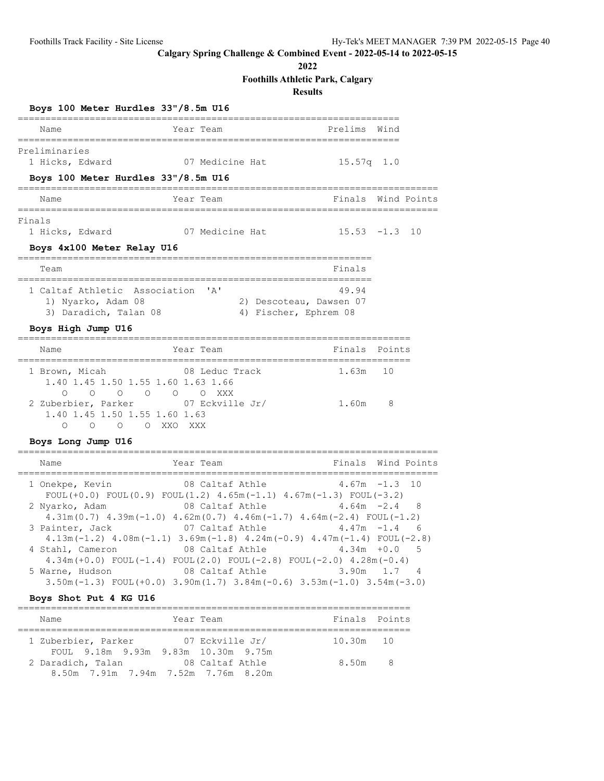**2022**

# **Foothills Athletic Park, Calgary**

**Results**

|  |  | Boys 100 Meter Hurdles 33"/8.5m U16 |  |
|--|--|-------------------------------------|--|
|  |  |                                     |  |

| Name                                                                                                                                                                                                                          | Year Team                                                                                                                                                                                                                                                                                                                                                                                                                                       | =======================<br>Prelims                               | Wind          |                          |
|-------------------------------------------------------------------------------------------------------------------------------------------------------------------------------------------------------------------------------|-------------------------------------------------------------------------------------------------------------------------------------------------------------------------------------------------------------------------------------------------------------------------------------------------------------------------------------------------------------------------------------------------------------------------------------------------|------------------------------------------------------------------|---------------|--------------------------|
| Preliminaries<br>1 Hicks, Edward<br>Boys 100 Meter Hurdles 33"/8.5m U16                                                                                                                                                       | 07 Medicine Hat                                                                                                                                                                                                                                                                                                                                                                                                                                 | $15.57q$ 1.0                                                     |               |                          |
| Name                                                                                                                                                                                                                          | Year Team                                                                                                                                                                                                                                                                                                                                                                                                                                       | Finals Wind Points                                               |               |                          |
| Finals<br>1 Hicks, Edward<br>Boys 4x100 Meter Relay U16                                                                                                                                                                       | 07 Medicine Hat                                                                                                                                                                                                                                                                                                                                                                                                                                 | $15.53 - 1.3$                                                    |               | 10                       |
| ======<br>Team                                                                                                                                                                                                                |                                                                                                                                                                                                                                                                                                                                                                                                                                                 | Finals                                                           |               |                          |
| 1 Caltaf Athletic Association 'A'<br>1) Nyarko, Adam 08<br>3) Daradich, Talan 08                                                                                                                                              | 2) Descoteau, Dawsen 07<br>4) Fischer, Ephrem 08                                                                                                                                                                                                                                                                                                                                                                                                | 49.94                                                            |               |                          |
| Boys High Jump U16                                                                                                                                                                                                            |                                                                                                                                                                                                                                                                                                                                                                                                                                                 |                                                                  |               |                          |
| Name                                                                                                                                                                                                                          | Year Team                                                                                                                                                                                                                                                                                                                                                                                                                                       | Finals Points                                                    |               |                          |
| 1 Brown, Micah<br>1.40 1.45 1.50 1.55 1.60 1.63 1.66<br>$\begin{matrix} 0 & 0 & 0 & 0 & 0 & \text{XXX} \end{matrix}$<br>$\circ$<br>2 Zuberbier, Parker<br>1.40 1.45 1.50 1.55 1.60 1.63<br>O O XXO XXX<br>$\Omega$<br>$\circ$ | 08 Leduc Track<br>07 Eckville Jr/                                                                                                                                                                                                                                                                                                                                                                                                               | 1.63m<br>1.60m                                                   | 10<br>8       |                          |
| Boys Long Jump U16                                                                                                                                                                                                            |                                                                                                                                                                                                                                                                                                                                                                                                                                                 |                                                                  |               |                          |
| Name                                                                                                                                                                                                                          | Year Team                                                                                                                                                                                                                                                                                                                                                                                                                                       | Finals                                                           |               | Wind Points              |
| 1 Onekpe, Kevin<br>$FOUT (+0.0) FOUT (0.9) FOUT (1.2) 4.65m (-1.1) 4.67m (-1.3) FOUT (-3.2)$<br>2 Nyarko, Adam<br>3 Painter, Jack<br>4 Stahl, Cameron<br>5 Warne, Hudson<br>Boys Shot Put 4 KG U16                            | 08 Caltaf Athle<br>08 Caltaf Athle<br>$4.31m(0.7)$ $4.39m(-1.0)$ $4.62m(0.7)$ $4.46m(-1.7)$ $4.64m(-2.4)$ FOUL(-1.2)<br>07 Caltaf Athle<br>$4.13m(-1.2)$ $4.08m(-1.1)$ $3.69m(-1.8)$ $4.24m(-0.9)$ $4.47m(-1.4)$ FOUL(-2.8)<br>08 Caltaf Athle<br>$4.34m (+0.0)$ FOUL $(-1.4)$ FOUL $(2.0)$ FOUL $(-2.8)$ FOUL $(-2.0)$ $4.28m (-0.4)$<br>08 Caltaf Athle<br>$3.50m(-1.3)$ FOUL $(+0.0)$ $3.90m(1.7)$ $3.84m(-0.6)$ $3.53m(-1.0)$ $3.54m(-3.0)$ | $4.67m - 1.3$<br>$4.64m -2.4$<br>$4.47m - 1.4$<br>4.34m<br>3.90m | $+0.0$<br>1.7 | 10<br>8<br>- 6<br>5<br>4 |
|                                                                                                                                                                                                                               |                                                                                                                                                                                                                                                                                                                                                                                                                                                 |                                                                  |               |                          |

| Name                                                     | Year Team       | Finals Points |  |
|----------------------------------------------------------|-----------------|---------------|--|
| 1 Zuberbier, Parker                                      | 07 Eckville Jr/ | 10.30m 10     |  |
| FOUL 9.18m 9.93m 9.83m 10.30m 9.75m<br>2 Daradich, Talan | 08 Caltaf Athle | 8.50m 8       |  |
| 8.50m 7.91m 7.94m 7.52m 7.76m 8.20m                      |                 |               |  |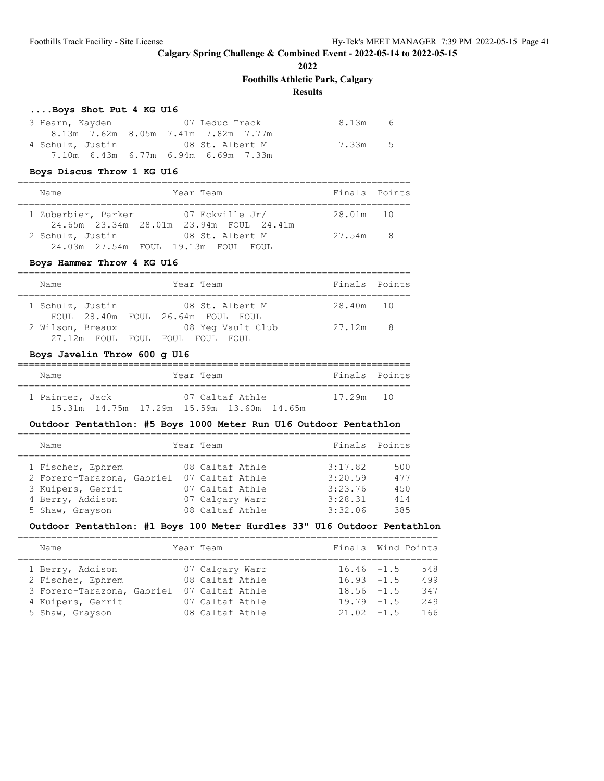**2022**

**Foothills Athletic Park, Calgary**

# **Results**

#### **....Boys Shot Put 4 KG U16**

| 3 Hearn, Kayden |  | 07 Leduc Track                      | 8.13m   | - 6 |
|-----------------|--|-------------------------------------|---------|-----|
|                 |  | 8.13m 7.62m 8.05m 7.41m 7.82m 7.77m |         |     |
|                 |  | 4 Schulz, Justin 68 St. Albert M    | 7.33m 5 |     |
|                 |  | 7.10m 6.43m 6.77m 6.94m 6.69m 7.33m |         |     |

#### **Boys Discus Throw 1 KG U16**

| Name                                                    | Year Team                                                  | Finals Points |  |
|---------------------------------------------------------|------------------------------------------------------------|---------------|--|
| 1 Zuberbier, Parker                                     | 07 Eckville Jr/<br>24.65m 23.34m 28.01m 23.94m FOUL 24.41m | 28.01m 10     |  |
| 2 Schulz, Justin<br>24.03m 27.54m FOUL 19.13m FOUL FOUL | 08 St. Albert M                                            | 27.54m 8      |  |

### **Boys Hammer Throw 4 KG U16**

| Name             |                            |  |  | Year Team                                            | Finals Points |     |  |  |  |  |
|------------------|----------------------------|--|--|------------------------------------------------------|---------------|-----|--|--|--|--|
| 1 Schulz, Justin |                            |  |  | 08 St. Albert M<br>FOUL 28.40m FOUL 26.64m FOUL FOUL | 28.40m 10     |     |  |  |  |  |
| 2 Wilson, Breaux | 27.12m FOUL FOUL FOUL FOUL |  |  | 08 Yeq Vault Club<br>FOUL.                           | 27.12m        | - 8 |  |  |  |  |

### **Boys Javelin Throw 600 g U16**

| Name            | Year Team                                                    | Finals Points |  |
|-----------------|--------------------------------------------------------------|---------------|--|
| 1 Painter, Jack | 07 Caltaf Athle<br>15.31m 14.75m 17.29m 15.59m 13.60m 14.65m | 17 29m 10     |  |

# **Outdoor Pentathlon: #5 Boys 1000 Meter Run U16 Outdoor Pentathlon**

| Name                       |  | Year Team       | Finals Points |     |
|----------------------------|--|-----------------|---------------|-----|
|                            |  |                 |               |     |
| 1 Fischer, Ephrem          |  | 08 Caltaf Athle | 3:17.82       | 500 |
| 2 Forero-Tarazona, Gabriel |  | 07 Caltaf Athle | 3:20.59       | 477 |
| 3 Kuipers, Gerrit          |  | 07 Caltaf Athle | 3:23.76       | 450 |
| 4 Berry, Addison           |  | 07 Calgary Warr | 3:28.31       | 414 |
| 5 Shaw, Grayson            |  | 08 Caltaf Athle | 3:32.06       | 385 |

# **Outdoor Pentathlon: #1 Boys 100 Meter Hurdles 33" U16 Outdoor Pentathlon**

| Name                                                                                     | Year Team                                                                |  | Finals Wind Points                                               |                          |
|------------------------------------------------------------------------------------------|--------------------------------------------------------------------------|--|------------------------------------------------------------------|--------------------------|
| 1 Berry, Addison<br>2 Fischer, Ephrem<br>3 Forero-Tarazona, Gabriel<br>4 Kuipers, Gerrit | 07 Calgary Warr<br>08 Caltaf Athle<br>07 Caltaf Athle<br>07 Caltaf Athle |  | $16.46 - 1.5$<br>$16.93 - 1.5$<br>$18.56 - 1.5$<br>$19.79 - 1.5$ | 548<br>499<br>347<br>249 |
| 5 Shaw, Grayson                                                                          | 08 Caltaf Athle                                                          |  | $21.02 -1.5$                                                     | 166                      |
|                                                                                          |                                                                          |  |                                                                  |                          |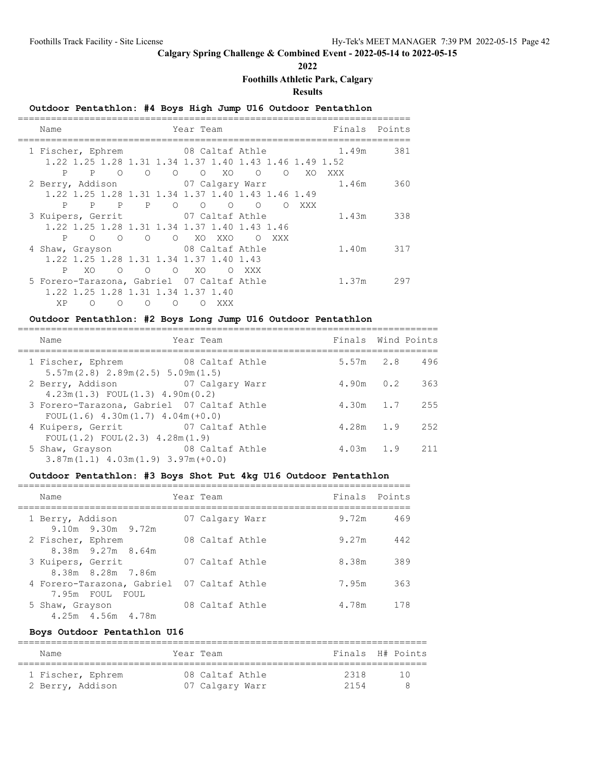**2022**

**Foothills Athletic Park, Calgary**

**Results**

# **Outdoor Pentathlon: #4 Boys High Jump U16 Outdoor Pentathlon**

| Name                                               | Year Team                                                      | Finals Points |     |
|----------------------------------------------------|----------------------------------------------------------------|---------------|-----|
| 1 Fischer, Ephrem 08 Caltaf Athle 1.49m            |                                                                |               | 381 |
|                                                    | 1.22 1.25 1.28 1.31 1.34 1.37 1.40 1.43 1.46 1.49 1.52         |               |     |
| P<br>$\circ$<br>$\mathbf{P}$<br>$\overline{O}$     | $\begin{matrix} 0 & 0 & \text{X0} & 0 \end{matrix}$<br>$\circ$ | XO XXX        |     |
| 2 Berry, Addison 07 Calgary Warr                   |                                                                | 1.46m 360     |     |
|                                                    | 1.22 1.25 1.28 1.31 1.34 1.37 1.40 1.43 1.46 1.49              |               |     |
| P P O O O<br>P<br>P                                | XXX<br>$\Omega$<br>$\circ$                                     |               |     |
| 3 Kuipers, Gerrit 07 Caltaf Athle                  |                                                                | 1.43m 338     |     |
| 1.22 1.25 1.28 1.31 1.34 1.37 1.40 1.43 1.46       |                                                                |               |     |
| P<br>O O O O XO XXO                                | $\overline{O}$<br>XXX                                          |               |     |
| 4 Shaw, Grayson 08 Caltaf Athle                    |                                                                | 1.40m 317     |     |
| 1.22 1.25 1.28 1.31 1.34 1.37 1.40 1.43            |                                                                |               |     |
| P<br>XO.<br>$\overline{O}$<br>O O XO               | O XXX                                                          |               |     |
| 5 Forero-Tarazona, Gabriel 07 Caltaf Athle         |                                                                | 1.37m 297     |     |
| 1.22 1.25 1.28 1.31 1.34 1.37 1.40                 |                                                                |               |     |
| <b>XP</b><br>$\Omega$<br>$\Omega$<br>∩<br>$\Omega$ | XXX                                                            |               |     |

### **Outdoor Pentathlon: #2 Boys Long Jump U16 Outdoor Pentathlon**

| Name                                                                                   | Year Team       | Finals Wind Points |             |      |
|----------------------------------------------------------------------------------------|-----------------|--------------------|-------------|------|
| 1 Fischer, Ephrem 68 Caltaf Athle<br>$5.57m(2.8)$ $2.89m(2.5)$ $5.09m(1.5)$            |                 | $5.57m$ 2.8        |             | 496  |
| 2 Berry, Addison 67 Calgary Warr<br>$4.23m(1.3)$ FOUL $(1.3)$ $4.90m(0.2)$             |                 | $4.90m$ 0.2        |             | 363  |
| 3 Forero-Tarazona, Gabriel 07 Caltaf Athle<br>$FOUL(1.6)$ 4.30m $(1.7)$ 4.04m $(+0.0)$ |                 | $4.30m$ 1.7        |             | 255  |
| 4 Kuipers, Gerrit<br>FOUL(1.2) FOUL(2.3) 4.28m(1.9)                                    | 07 Caltaf Athle |                    | $4.28m$ 1.9 | 2.52 |
| 5 Shaw, Grayson<br>$3.87m(1.1)$ 4.03m $(1.9)$ 3.97m $(+0.0)$                           | 08 Caltaf Athle |                    | $4.03m$ 1.9 | 211  |

============================================================================

#### **Outdoor Pentathlon: #3 Boys Shot Put 4kg U16 Outdoor Pentathlon**

| Name                                                          | Year Team       | Finals Points |     |
|---------------------------------------------------------------|-----------------|---------------|-----|
| 1 Berry, Addison<br>$9.10m$ $9.30m$ $9.72m$                   | 07 Calgary Warr | 9.72m         | 469 |
| 2 Fischer, Ephrem<br>$8.38m$ 9.27m $8.64m$                    | 08 Caltaf Athle | 9.27m         | 442 |
| 3 Kuipers, Gerrit<br>8.38m 8.28m 7.86m                        | 07 Caltaf Athle | 8.38m         | 389 |
| 4 Forero-Tarazona, Gabriel 07 Caltaf Athle<br>7.95m FOUL FOUL |                 | 7.95m         | 363 |
| 5 Shaw, Grayson<br>4.25m 4.56m 4.78m                          | 08 Caltaf Athle | 4.78m         | 178 |

#### **Boys Outdoor Pentathlon U16**

| Name              | Year Team       |      | Finals H# Points |
|-------------------|-----------------|------|------------------|
| 1 Fischer, Ephrem | 08 Caltaf Athle | 2318 | T ()             |
| 2 Berry, Addison  | 07 Calgary Warr | 2154 |                  |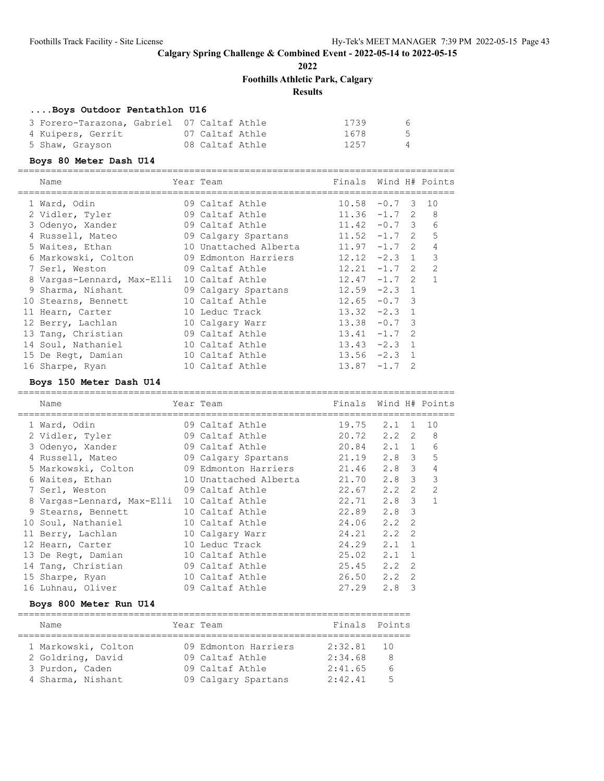**2022**

**Foothills Athletic Park, Calgary**

#### **Results**

#### **....Boys Outdoor Pentathlon U16**

| 3 Forero-Tarazona, Gabriel 07 Caltaf Athle |                 | 1739 | - 6            |
|--------------------------------------------|-----------------|------|----------------|
| 4 Kuipers, Gerrit                          | 07 Caltaf Athle | 1678 | $5^{\circ}$    |
| 5 Shaw, Grayson                            | 08 Caltaf Athle | 1257 | $\overline{4}$ |

#### **Boys 80 Meter Dash U14**

===============================================================================  $Find H + Dointc$ 

| Ndille                     | rear team             | F III TIR       |        |    | WING H# FOINLS |
|----------------------------|-----------------------|-----------------|--------|----|----------------|
| 1 Ward, Odin               | 09 Caltaf Athle       | 10.58           | $-0.7$ | -3 | 10             |
| 2 Vidler, Tyler            | 09 Caltaf Athle       | $11.36 -1.7$ 2  |        |    | 8              |
| 3 Odenyo, Xander           | 09 Caltaf Athle       | $11.42 -0.7$ 3  |        |    | 6              |
| 4 Russell, Mateo           | 09 Calgary Spartans   | $11.52 -1.7$ 2  |        |    | 5              |
| 5 Waites, Ethan            | 10 Unattached Alberta | $11.97 - 1.7$ 2 |        |    | 4              |
| 6 Markowski, Colton        | 09 Edmonton Harriers  | $12.12 -2.3$ 1  |        |    | 3              |
| 7 Serl, Weston             | 09 Caltaf Athle       | $12.21 -1.7$ 2  |        |    | $\mathcal{L}$  |
| 8 Vargas-Lennard, Max-Elli | 10 Caltaf Athle       | $12.47 - 1.7$ 2 |        |    | $\mathbf{1}$   |
| 9 Sharma, Nishant          | 09 Calgary Spartans   | $12.59 - 2.3$ 1 |        |    |                |
| 10 Stearns, Bennett        | 10 Caltaf Athle       | $12.65 - 0.7$ 3 |        |    |                |
| 11 Hearn, Carter           | 10 Leduc Track        | $13.32 -2.3$ 1  |        |    |                |
| 12 Berry, Lachlan          | 10 Calgary Warr       | $13.38 - 0.7$ 3 |        |    |                |
| 13 Tang, Christian         | 09 Caltaf Athle       | $13.41 -1.7$ 2  |        |    |                |
| 14 Soul, Nathaniel         | 10 Caltaf Athle       | $13.43 -2.3$ 1  |        |    |                |
| 15 De Regt, Damian         | 10 Caltaf Athle       | $13.56 -2.3$ 1  |        |    |                |
| 16 Sharpe, Ryan            | 10 Caltaf Athle       | 13.87           | $-1.7$ | 2  |                |

#### **Boys 150 Meter Dash U14**

=============================================================================== Name Team Team Finals Wind H# Points =============================================================================== 1 Ward, Odin 09 Caltaf Athle 19.75 2.1 1 10 2 Vidler, Tyler 09 Caltaf Athle 20.72 2.2 2 8 3 Odenyo, Xander 09 Caltaf Athle 20.84 2.1 1 6 4 Russell, Mateo 09 Calgary Spartans 21.19 2.8 3 5 5 Markowski, Colton 09 Edmonton Harriers 21.46 2.8 3 4 6 Waites, Ethan 10 Unattached Alberta 21.70 2.8 3 3 7 Serl, Weston 09 Caltaf Athle 22.67 2.2 2 2 8 Vargas-Lennard, Max-Elli 10 Caltaf Athle 22.71 2.8 3 1 9 Stearns, Bennett 10 Caltaf Athle 22.89 2.8 3 10 Soul, Nathaniel 10 Caltaf Athle 24.06 2.2 2 11 Berry, Lachlan 10 Calgary Warr 24.21 2.2 2 12 Hearn, Carter 10 Leduc Track 24.29 2.1 1 13 De Regt, Damian 10 Caltaf Athle 25.02 2.1 1 14 Tang, Christian 09 Caltaf Athle 25.45 2.2 2 15 Sharpe, Ryan 10 Caltaf Athle 26.50 2.2 2 16 Luhnau, Oliver 09 Caltaf Athle 27.29 2.8 3

=======================================================================

#### **Boys 800 Meter Run U14**

| Name                | Year Team            | Finals Points |                 |
|---------------------|----------------------|---------------|-----------------|
| 1 Markowski, Colton | 09 Edmonton Harriers | 2:32.81       | $\overline{10}$ |
| 2 Goldring, David   | 09 Caltaf Athle      | 2:34.68       | 8               |
| 3 Purdon, Caden     | 09 Caltaf Athle      | 2:41.65       | $\kappa$        |
| 4 Sharma, Nishant   | 09 Calgary Spartans  | 2:42.41       | -5              |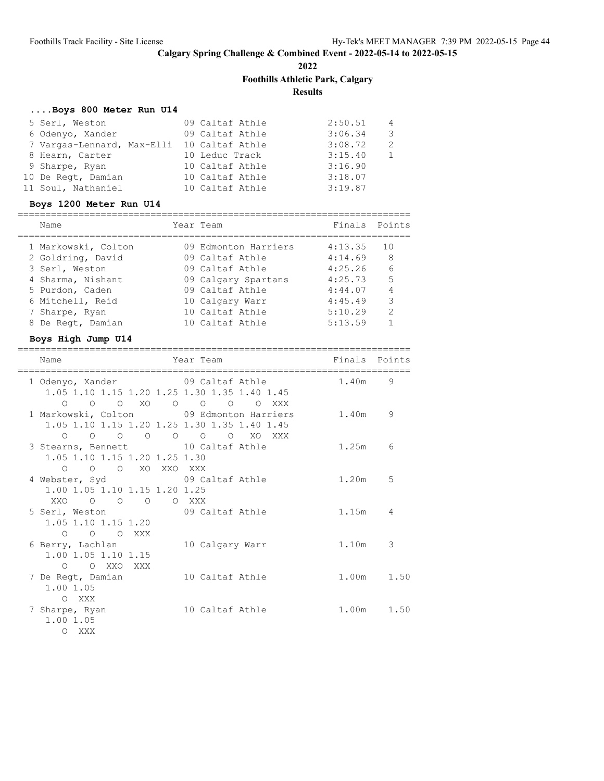**2022**

# **Foothills Athletic Park, Calgary**

**Results**

# **....Boys 800 Meter Run U14**

| 5 Serl, Weston                             | 09 Caltaf Athle | 2:50.51 | $\sim$ 4                |
|--------------------------------------------|-----------------|---------|-------------------------|
| 6 Odenyo, Xander                           | 09 Caltaf Athle | 3:06.34 | $\overline{\mathbf{3}}$ |
| 7 Vargas-Lennard, Max-Elli 10 Caltaf Athle |                 | 3:08.72 | - 2                     |
| 8 Hearn, Carter                            | 10 Leduc Track  | 3:15.40 |                         |
| 9 Sharpe, Ryan                             | 10 Caltaf Athle | 3:16.90 |                         |
| 10 De Regt, Damian                         | 10 Caltaf Athle | 3:18.07 |                         |
| 11 Soul, Nathaniel                         | 10 Caltaf Athle | 3:19.87 |                         |

# **Boys 1200 Meter Run U14**

| Name                | Year Team            | Finals Points |    |
|---------------------|----------------------|---------------|----|
| 1 Markowski, Colton | 09 Edmonton Harriers | 4:13.35       | 10 |
| 2 Goldring, David   | 09 Caltaf Athle      | 4:14.69       | 8  |
| 3 Serl, Weston      | 09 Caltaf Athle      | 4:25.26       | 6  |
| 4 Sharma, Nishant   | 09 Calgary Spartans  | 4:25.73       | 5  |
| 5 Purdon, Caden     | 09 Caltaf Athle      | 4:44.07       | 4  |
| 6 Mitchell, Reid    | 10 Calgary Warr      | 4:45.49       | 3  |
| 7 Sharpe, Ryan      | 10 Caltaf Athle      | 5:10.29       | 2  |
| 8 De Regt, Damian   | 10 Caltaf Athle      | 5:13.59       |    |

# **Boys High Jump U14**

| Name<br>==========================                                                                                                                         | Year Team       | Finals Points |    |
|------------------------------------------------------------------------------------------------------------------------------------------------------------|-----------------|---------------|----|
| 1 Odenyo, Xander 69 Caltaf Athle<br>1.05 1.10 1.15 1.20 1.25 1.30 1.35 1.40 1.45                                                                           |                 | 1.40m 9       |    |
| $\begin{matrix}0&0&0&\text{X0}&0&0&0&0&\text{XXX}\end{matrix}$<br>1 Markowski, Colton 09 Edmonton Harriers<br>1.05 1.10 1.15 1.20 1.25 1.30 1.35 1.40 1.45 |                 | 1.40m         | 9  |
| 0 0 0 0 0 0 0 XO XXX<br>3 Stearns, Bennett 10 Caltaf Athle<br>1.05 1.10 1.15 1.20 1.25 1.30                                                                |                 | 1.25m         | 6  |
| O O O XO XXO XXX<br>4 Webster, Syd 69 Caltaf Athle<br>1.00 1.05 1.10 1.15 1.20 1.25                                                                        |                 | 1.20m         | .5 |
| XXO O O O XXX<br>5 Serl, Weston 69 Caltaf Athle<br>1.05 1.10 1.15 1.20                                                                                     |                 | 1.15m         | 4  |
| O O O XXX<br>6 Berry, Lachlan<br>1.00 1.05 1.10 1.15                                                                                                       | 10 Calgary Warr | 1.10m         | 3  |
| O O XXO XXX<br>7 De Regt, Damian 10 Caltaf Athle<br>1.00 1.05                                                                                              |                 | 1.00m 1.50    |    |
| O XXX<br>7 Sharpe, Ryan<br>1.00 1.05<br>O XXX                                                                                                              | 10 Caltaf Athle | 1.00m 1.50    |    |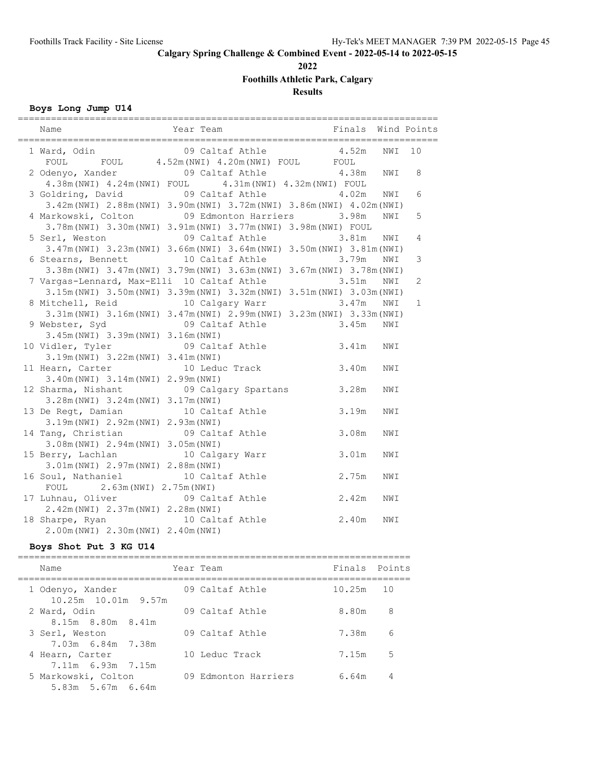**2022**

**Foothills Athletic Park, Calgary**

**Results**

**Boys Long Jump U14**

| Year Team<br>Name                                                       |                 | Finals Wind Points |     |              |
|-------------------------------------------------------------------------|-----------------|--------------------|-----|--------------|
| 1 Ward, Odin 199 Caltaf Athle 4.52m                                     |                 |                    | NWI | 10           |
| FOUL FOUL 4.52m (NWI) 4.20m (NWI) FOUL FOUL                             |                 |                    |     |              |
| 2 Odenyo, Xander 69 Caltaf Athle 4.38m NWI                              |                 |                    |     | 8            |
| 4.38m (NWI) 4.24m (NWI) FOUL 4.31m (NWI) 4.32m (NWI) FOUL               |                 |                    |     |              |
| 3 Goldring, David 09 Caltaf Athle 4.02m NWI                             |                 |                    |     | 6            |
| 3.42m (NWI) 2.88m (NWI) 3.90m (NWI) 3.72m (NWI) 3.86m (NWI) 4.02m (NWI) |                 |                    |     |              |
| 4 Markowski, Colton 09 Edmonton Harriers 3.98m                          |                 |                    | NWI | 5            |
| 3.78m (NWI) 3.30m (NWI) 3.91m (NWI) 3.77m (NWI) 3.98m (NWI) FOUL        |                 |                    |     |              |
| 5 Serl, Weston 69 Caltaf Athle 3.81m NWI                                |                 |                    |     | 4            |
| 3.47m (NWI) 3.23m (NWI) 3.66m (NWI) 3.64m (NWI) 3.50m (NWI) 3.81m (NWI) |                 |                    |     |              |
| 6 Stearns, Bennett 10 Caltaf Athle 3.79m NWI                            |                 |                    |     | 3            |
| 3.38m (NWI) 3.47m (NWI) 3.79m (NWI) 3.63m (NWI) 3.67m (NWI) 3.78m (NWI) |                 |                    |     |              |
| 7 Vargas-Lennard, Max-Elli 10 Caltaf Athle 3.51m                        |                 |                    | NWI | $\mathbf{2}$ |
| 3.15m (NWI) 3.50m (NWI) 3.39m (NWI) 3.32m (NWI) 3.51m (NWI) 3.03m (NWI) |                 |                    |     |              |
| 8 Mitchell, Reid 10 Calgary Warr 3.47m                                  |                 |                    | NWI | 1            |
| 3.31m (NWI) 3.16m (NWI) 3.47m (NWI) 2.99m (NWI) 3.23m (NWI) 3.33m (NWI) |                 |                    |     |              |
|                                                                         |                 |                    | NWI |              |
| 3.45m (NWI) 3.39m (NWI) 3.16m (NWI)                                     |                 |                    |     |              |
| 10 Vidler, Tyler 69 Caltaf Athle 3.41m                                  |                 |                    | NWI |              |
| 3.19m (NWI) 3.22m (NWI) 3.41m (NWI)                                     |                 |                    |     |              |
| 11 Hearn, Carter 10 Leduc Track 3.40m                                   |                 |                    | NWI |              |
| 3.40m (NWI) 3.14m (NWI) 2.99m (NWI)                                     |                 |                    |     |              |
| 12 Sharma, Nishant 69 Calgary Spartans 3.28m                            |                 |                    | NWI |              |
| 3.28m (NWI) 3.24m (NWI) 3.17m (NWI)                                     |                 |                    |     |              |
| 13 De Regt, Damian                                                      | 10 Caltaf Athle | 3.19m              | NWI |              |
| 3.19m (NWI) 2.92m (NWI) 2.93m (NWI)                                     |                 |                    |     |              |
| 14 Tang, Christian 09 Caltaf Athle                                      |                 | 3.08m              | NWI |              |
| 3.08m (NWI) 2.94m (NWI) 3.05m (NWI)                                     |                 |                    |     |              |
| 15 Berry, Lachlan 10 Calgary Warr                                       |                 | 3.01m              | NWI |              |
| 3.01m (NWI) 2.97m (NWI) 2.88m (NWI)                                     |                 |                    |     |              |
| 16 Soul, Nathaniel 10 Caltaf Athle                                      |                 | 2.75m              | NWI |              |
| FOUL 2.63m (NWI) 2.75m (NWI)                                            |                 |                    |     |              |
| 17 Luhnau, Oliver 09 Caltaf Athle                                       |                 | 2.42m              | NWI |              |
| 2.42m (NWI) 2.37m (NWI) 2.28m (NWI)                                     |                 |                    |     |              |
| 18 Sharpe, Ryan 10 Caltaf Athle                                         |                 | 2.40m              | NWI |              |
| 2.00m (NWI) 2.30m (NWI) 2.40m (NWI)                                     |                 |                    |     |              |

### **Boys Shot Put 3 KG U14**

| Name                                        | Year Team            | Finals Points |    |
|---------------------------------------------|----------------------|---------------|----|
| 1 Odenyo, Xander<br>$10.25m$ $10.01m$ 9.57m | 09 Caltaf Athle      | $10.25m$ 10   |    |
| 2 Ward, Odin                                | 09 Caltaf Athle      | 8.80m         | 8  |
| 8.15m 8.80m 8.41m<br>3 Serl, Weston         | 09 Caltaf Athle      | 7.38m         | 6  |
| 7.03m 6.84m 7.38m<br>4 Hearn, Carter        | 10 Leduc Track       | 7.15m         | .5 |
| 7.11m 6.93m 7.15m                           |                      |               |    |
| 5 Markowski, Colton<br>5.83m 5.67m 6.64m    | 09 Edmonton Harriers | 6.64m         | 4  |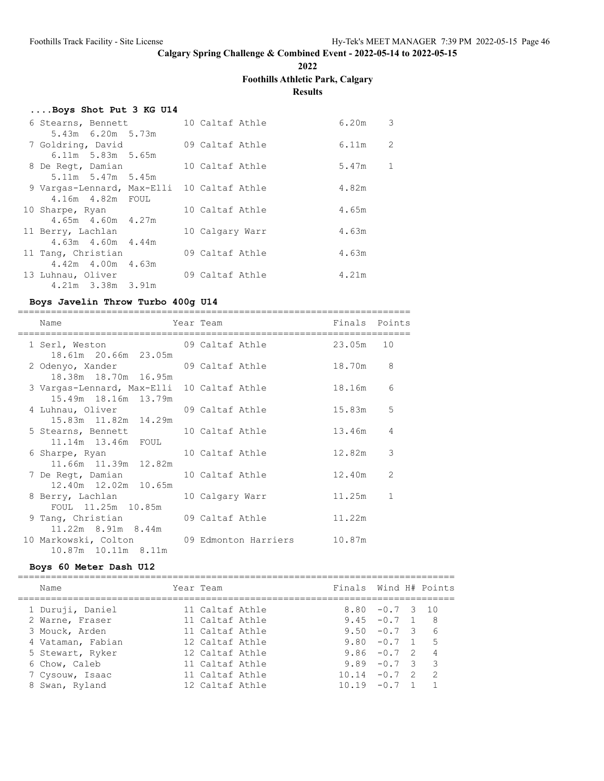**2022**

# **Foothills Athletic Park, Calgary**

**Results**

# **....Boys Shot Put 3 KG U14**

| 6 Stearns, Bennett                         |  | 10 Caltaf Athle |  | 6.20m | 3 |
|--------------------------------------------|--|-----------------|--|-------|---|
| 5.43m 6.20m 5.73m                          |  |                 |  |       |   |
| 7 Goldring, David                          |  | 09 Caltaf Athle |  | 6.11m | 2 |
| $6.11m$ 5.83m 5.65m                        |  |                 |  |       |   |
| 8 De Regt, Damian                          |  | 10 Caltaf Athle |  | 5.47m | 1 |
| $5.11m$ $5.47m$ $5.45m$                    |  |                 |  |       |   |
| 9 Vargas-Lennard, Max-Elli 10 Caltaf Athle |  |                 |  | 4.82m |   |
| 4.16m  4.82m  FOUL                         |  |                 |  |       |   |
| 10 Sharpe, Ryan                            |  | 10 Caltaf Athle |  | 4.65m |   |
| 4.65m 4.60m 4.27m                          |  |                 |  |       |   |
| 11 Berry, Lachlan                          |  | 10 Calgary Warr |  | 4.63m |   |
| $4.63m$ $4.60m$ $4.44m$                    |  |                 |  |       |   |
| 11 Tang, Christian                         |  | 09 Caltaf Athle |  | 4.63m |   |
| 4.42m 4.00m 4.63m                          |  |                 |  |       |   |
| 13 Luhnau, Oliver                          |  | 09 Caltaf Athle |  | 4.21m |   |
| 4.21m 3.38m 3.91m                          |  |                 |  |       |   |

# **Boys Javelin Throw Turbo 400g U14**

|  | Name                                          | Year Team                                                                                                       | Finals Points |                |
|--|-----------------------------------------------|-----------------------------------------------------------------------------------------------------------------|---------------|----------------|
|  | ,,,,,,,,,,,,,,,,,,,,,,,,,,,<br>1 Serl, Weston | 09 Caltaf Athle the control of the control of the control of the control of the control of the control of the c | 23.05m 10     |                |
|  | 18.61m 20.66m 23.05m                          |                                                                                                                 |               |                |
|  | 2 Odenyo, Xander                              | 09 Caltaf Athle                                                                                                 | 18.70m 8      |                |
|  | 18.38m 18.70m 16.95m                          |                                                                                                                 |               |                |
|  | 3 Vargas-Lennard, Max-Elli 10 Caltaf Athle    |                                                                                                                 | 18.16m        | 6              |
|  | 15.49m 18.16m 13.79m                          |                                                                                                                 |               |                |
|  | 4 Luhnau, Oliver                              | 09 Caltaf Athle                                                                                                 | 15.83m        | 5              |
|  | 15.83m  11.82m  14.29m                        |                                                                                                                 |               |                |
|  | 5 Stearns, Bennett                            | 10 Caltaf Athle                                                                                                 | 13.46m        | 4              |
|  | 11.14m  13.46m  FOUL                          |                                                                                                                 |               |                |
|  | 6 Sharpe, Ryan                                | 10 Caltaf Athle                                                                                                 | 12.82m        | 3              |
|  | 11.66m 11.39m 12.82m                          |                                                                                                                 |               |                |
|  | 7 De Regt, Damian                             | 10 Caltaf Athle                                                                                                 | 12.40m        | $\overline{2}$ |
|  | 12.40m  12.02m  10.65m                        |                                                                                                                 |               |                |
|  | 8 Berry, Lachlan                              | 10 Calgary Warr                                                                                                 | 11.25m        | 1              |
|  | FOUL 11.25m 10.85m                            |                                                                                                                 |               |                |
|  | 9 Tang, Christian 69 Caltaf Athle             |                                                                                                                 | 11.22m        |                |
|  | 11.22m 8.91m 8.44m                            |                                                                                                                 |               |                |
|  | 10 Markowski, Colton 69 Edmonton Harriers     |                                                                                                                 | 10.87m        |                |
|  | 10.87m 10.11m 8.11m                           |                                                                                                                 |               |                |

# **Boys 60 Meter Dash U12**

| Name              | Year Team       | Finals Wind H# Points |                   |                |
|-------------------|-----------------|-----------------------|-------------------|----------------|
| 1 Duruji, Daniel  | 11 Caltaf Athle |                       | $8.80 - 0.7$ 3 10 |                |
| 2 Warne, Fraser   | 11 Caltaf Athle |                       | $9.45 - 0.7 1$    | - 8            |
| 3 Mouck, Arden    | 11 Caltaf Athle |                       | $9.50 - 0.7$ 3    | 6              |
| 4 Vataman, Fabian | 12 Caltaf Athle |                       | $9.80 - 0.7 1$    | $-5$           |
| 5 Stewart, Ryker  | 12 Caltaf Athle |                       | $9.86 - 0.7$ 2    | $\overline{4}$ |
| 6 Chow, Caleb     | 11 Caltaf Athle |                       | $9.89 - 0.7$ 3    | 3              |
| 7 Cysouw, Isaac   | 11 Caltaf Athle | $10.14 - 0.7$ 2       |                   | $\overline{2}$ |
| 8 Swan, Ryland    | 12 Caltaf Athle | $10.19 - 0.7$ 1       |                   |                |
|                   |                 |                       |                   |                |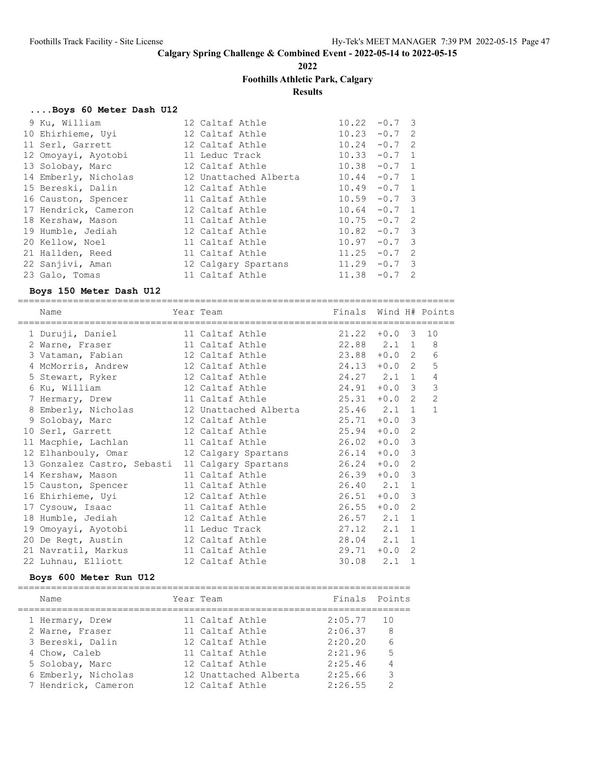**2022**

# **Foothills Athletic Park, Calgary**

**Results**

### **....Boys 60 Meter Dash U12**

| 9 Ku, William        | 12 Caltaf Athle       | $10.22 - 0.7$ 3 |          |  |
|----------------------|-----------------------|-----------------|----------|--|
| 10 Ehirhieme, Uyi    | 12 Caltaf Athle       | 10.23           | $-0.7$ 2 |  |
| 11 Serl, Garrett     | 12 Caltaf Athle       | $10.24 - 0.7$ 2 |          |  |
| 12 Omoyayi, Ayotobi  | 11 Leduc Track        | $10.33 - 0.7$ 1 |          |  |
| 13 Solobay, Marc     | 12 Caltaf Athle       | $10.38 - 0.7 1$ |          |  |
| 14 Emberly, Nicholas | 12 Unattached Alberta | $10.44 - 0.7$ 1 |          |  |
| 15 Bereski, Dalin    | 12 Caltaf Athle       | $10.49 - 0.7 1$ |          |  |
| 16 Causton, Spencer  | 11 Caltaf Athle       | $10.59 - 0.7$ 3 |          |  |
| 17 Hendrick, Cameron | 12 Caltaf Athle       | $10.64 - 0.7$ 1 |          |  |
| 18 Kershaw, Mason    | 11 Caltaf Athle       | $10.75 - 0.7$ 2 |          |  |
| 19 Humble, Jediah    | 12 Caltaf Athle       | $10.82 - 0.7$ 3 |          |  |
| 20 Kellow, Noel      | 11 Caltaf Athle       | $10.97 - 0.7$ 3 |          |  |
| 21 Hallden, Reed     | 11 Caltaf Athle       | 11.25           | $-0.7$ 2 |  |
| 22 Sanjivi, Aman     | 12 Calgary Spartans   | $11.29 - 0.7$ 3 |          |  |
| 23 Galo, Tomas       | 11 Caltaf Athle       | 11.38           | $-0.7$ 2 |  |
|                      |                       |                 |          |  |

#### **Boys 150 Meter Dash U12**

===============================================================================

| Name                                                                               | Year Team                         | Finals Wind H# Points |          |                |                |
|------------------------------------------------------------------------------------|-----------------------------------|-----------------------|----------|----------------|----------------|
| 1 Duruji, Daniel                                                                   | 11 Caltaf Athle 21.22 +0.0 3 10   |                       |          |                |                |
| 2 Warne, Fraser 11 Caltaf Athle 22.88 2.1 1                                        |                                   |                       |          |                | 8              |
| 3 Vataman, Fabian               12 Caltaf Athle                   23.88   +0.0   2 |                                   |                       |          |                | 6              |
| 4 McMorris, Andrew                                                                 | 12 Caltaf Athle 24.13 +0.0 2      |                       |          |                | 5              |
| 5 Stewart, Ryker                                                                   | 12 Caltaf Athle 24.27 2.1 1       |                       |          |                | 4              |
| 6 Ku, William                                                                      | 12 Caltaf Athle 24.91 +0.0 3      |                       |          |                | 3              |
| 7 Hermary, Drew 11 Caltaf Athle 25.31                                              |                                   |                       | $+0.0$ 2 |                | $\overline{2}$ |
| 8 Emberly, Nicholas                                                                | 12 Unattached Alberta 25.46 2.1 1 |                       |          |                | $\mathbf{1}$   |
| 9 Solobay, Marc                                                                    | 12 Caltaf Athle 25.71             |                       | $+0.0$   | 3              |                |
| 10 Serl, Garrett                                                                   | 12 Caltaf Athle 25.94             |                       | $+0.0$   | 2              |                |
| 11 Macphie, Lachlan                                                                | 11 Caltaf Athle 26.02             |                       | $+0.0$   | $\mathbf{3}$   |                |
| 12 Elhanbouly, Omar                                                                | 12 Calgary Spartans 26.14         |                       | $+0.0$   | 3              |                |
| 13 Gonzalez Castro, Sebasti                                                        | 11 Calgary Spartans 26.24         |                       | $+0.0$   | 2              |                |
| 14 Kershaw, Mason                                                                  | 11 Caltaf Athle 26.39             |                       | $+0.0$   | 3              |                |
| 15 Causton, Spencer                                                                | 11 Caltaf Athle 26.40 2.1         |                       |          | $\overline{1}$ |                |
| 16 Ehirhieme, Uyi                                                                  | 12 Caltaf Athle 26.51             |                       | $+0.0$   | 3              |                |
| 17 Cysouw, Isaac                                                                   | 11 Caltaf Athle 26.55             |                       | $+0.0$   | 2              |                |
| 18 Humble, Jediah                                                                  | 12 Caltaf Athle 26.57 2.1         |                       |          | $\overline{1}$ |                |
| 19 Omoyayi, Ayotobi                                                                | 11 Leduc Track 27.12 2.1 1        |                       |          |                |                |
| 20 De Regt, Austin                                                                 | 12 Caltaf Athle 28.04 2.1 1       |                       |          |                |                |
| 21 Navratil, Markus                                                                | 11 Caltaf Athle 29.71 +0.0 2      |                       |          |                |                |
| 22 Luhnau, Elliott                                                                 | 12 Caltaf Athle 30.08 2.1         |                       |          | 1              |                |
|                                                                                    |                                   |                       |          |                |                |

### **Boys 600 Meter Run U12**

| Name                | Year Team             | Finals Points |                 |
|---------------------|-----------------------|---------------|-----------------|
| 1 Hermary, Drew     | 11 Caltaf Athle       | 2:05.77       | 10              |
| 2 Warne, Fraser     | 11 Caltaf Athle       | 2:06.37       | -8              |
| 3 Bereski, Dalin    | 12 Caltaf Athle       | 2:20.20       | $6\overline{6}$ |
| 4 Chow, Caleb       | 11 Caltaf Athle       | 2:21.96       | .5              |
| 5 Solobay, Marc     | 12 Caltaf Athle       | 2:25.46       |                 |
| 6 Emberly, Nicholas | 12 Unattached Alberta | 2:25.66       | 3               |
| 7 Hendrick, Cameron | 12 Caltaf Athle       | 2:26.55       | $\mathcal{D}$   |
|                     |                       |               |                 |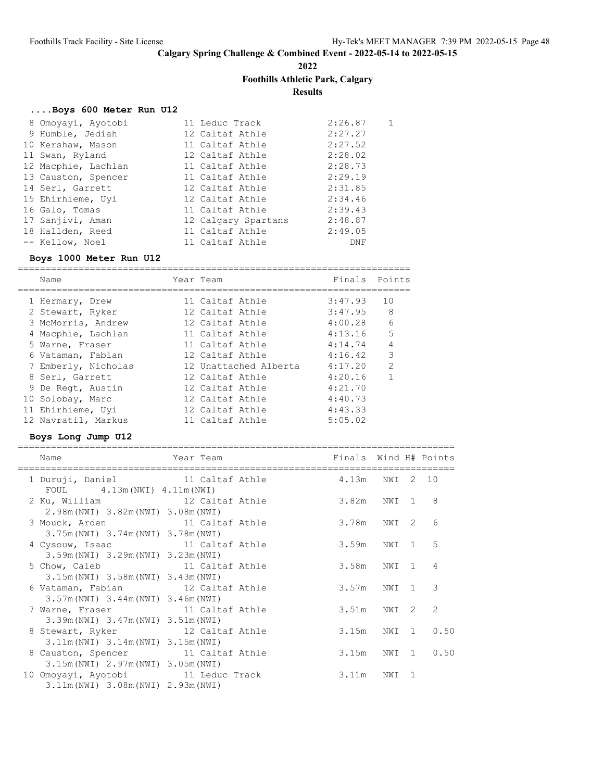**2022**

### **Foothills Athletic Park, Calgary**

**Results**

#### **....Boys 600 Meter Run U12**

| 8 Omoyayi, Ayotobi  |  | 2:26.87                                                                                                                                                                                                                             | 1 |
|---------------------|--|-------------------------------------------------------------------------------------------------------------------------------------------------------------------------------------------------------------------------------------|---|
| 9 Humble, Jediah    |  | 2:27.27                                                                                                                                                                                                                             |   |
| 10 Kershaw, Mason   |  | 2:27.52                                                                                                                                                                                                                             |   |
| 11 Swan, Ryland     |  | 2:28.02                                                                                                                                                                                                                             |   |
| 12 Macphie, Lachlan |  | 2:28.73                                                                                                                                                                                                                             |   |
| 13 Causton, Spencer |  | 2:29.19                                                                                                                                                                                                                             |   |
| 14 Serl, Garrett    |  | 2:31.85                                                                                                                                                                                                                             |   |
| 15 Ehirhieme, Uyi   |  | 2:34.46                                                                                                                                                                                                                             |   |
| 16 Galo, Tomas      |  | 2:39.43                                                                                                                                                                                                                             |   |
| 17 Sanjivi, Aman    |  | 2:48.87                                                                                                                                                                                                                             |   |
| 18 Hallden, Reed    |  | 2:49.05                                                                                                                                                                                                                             |   |
| -- Kellow, Noel     |  | DNF                                                                                                                                                                                                                                 |   |
|                     |  | 11 Leduc Track<br>12 Caltaf Athle<br>11 Caltaf Athle<br>12 Caltaf Athle<br>11 Caltaf Athle<br>11 Caltaf Athle<br>12 Caltaf Athle<br>12 Caltaf Athle<br>11 Caltaf Athle<br>12 Calgary Spartans<br>11 Caltaf Athle<br>11 Caltaf Athle |   |

#### **Boys 1000 Meter Run U12**

======================================================================= Name Year Team Team Finals Points ======================================================================= 1 Hermary, Drew 11 Caltaf Athle 3:47.93 10 2 Stewart, Ryker 12 Caltaf Athle 3:47.95 8 3 McMorris, Andrew 12 Caltaf Athle 4:00.28 6 4 Macphie, Lachlan 11 Caltaf Athle 4:13.16 5 5 Warne, Fraser 11 Caltaf Athle 4:14.74 4 6 Vataman, Fabian 12 Caltaf Athle 4:16.42 3 7 Emberly, Nicholas 12 Unattached Alberta 4:17.20 2 8 Serl, Garrett 12 Caltaf Athle 4:20.16 1 9 De Regt, Austin 12 Caltaf Athle 4:21.70 10 Solobay, Marc 12 Caltaf Athle 4:40.73 11 Ehirhieme, Uyi 12 Caltaf Athle 4:43.33

12 Navratil, Markus 11 Caltaf Athle 5:05.02

#### **Boys Long Jump U12**

| Name                                                                            | Year Team | Finals Wind H# Points |       |    |                  |
|---------------------------------------------------------------------------------|-----------|-----------------------|-------|----|------------------|
| 1 Duruji, Daniel 11 Caltaf Athle 4.13m NWI 2 10<br>FOUL $4.13m(NWI) 4.11m(NWI)$ |           |                       |       |    |                  |
| 2 Ku, William 12 Caltaf Athle<br>2.98m (NWI) 3.82m (NWI) 3.08m (NWI)            |           | 3.82m NWI 1 8         |       |    |                  |
| 3 Mouck, Arden 11 Caltaf Athle<br>3.75m (NWI) 3.74m (NWI) 3.78m (NWI)           |           | 3.78m                 | NWI 2 |    | 6                |
| 4 Cysouw, Isaac 11 Caltaf Athle<br>3.59m (NWI) 3.29m (NWI) 3.23m (NWI)          |           | 3.59m                 | NWI 1 |    | -5               |
| 5 Chow, Caleb 11 Caltaf Athle<br>3.15m (NWI) 3.58m (NWI) 3.43m (NWI)            |           | 3.58m                 | NWI 1 |    | $\overline{4}$   |
| 6 Vataman, Fabian 12 Caltaf Athle<br>$3.57m(NWI)$ $3.44m(NWI)$ $3.46m(NWI)$     |           | 3.57m NWI 1 3         |       |    |                  |
| 7 Warne, Fraser 11 Caltaf Athle<br>3.39m (NWI) 3.47m (NWI) 3.51m (NWI)          |           | 3.51m                 | NWI 2 |    | 2                |
| 8 Stewart, Ryker 12 Caltaf Athle<br>3.11m (NWI) 3.14m (NWI) 3.15m (NWI)         |           |                       |       |    | 3.15m NWI 1 0.50 |
| 8 Causton, Spencer 11 Caltaf Athle<br>3.15m (NWI) 2.97m (NWI) 3.05m (NWI)       |           | 3.15m                 |       |    | NWI 1 0.50       |
| 10 Omoyayi, Ayotobi 11 Leduc Track<br>3.11m (NWI) 3.08m (NWI) 2.93m (NWI)       |           | 3.11m                 | NWI   | -1 |                  |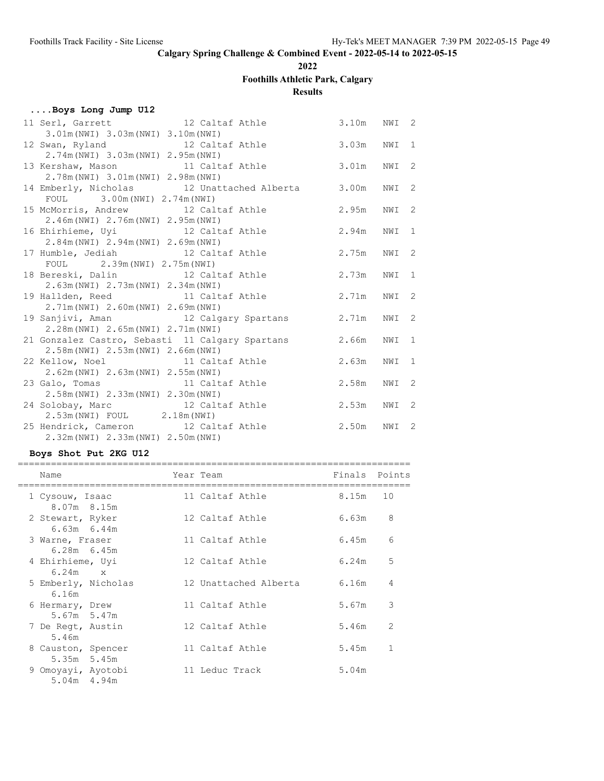**2022**

# **Foothills Athletic Park, Calgary**

# **Results**

|  |  |  | Boys Long Jump U12 |  |  |  |  |
|--|--|--|--------------------|--|--|--|--|
|--|--|--|--------------------|--|--|--|--|

| 11 Serl, Garrett 12 Caltaf Athle                      | 3.10m | NWI 2 |    |
|-------------------------------------------------------|-------|-------|----|
| 3.01m (NWI) 3.03m (NWI) 3.10m (NWI)                   |       |       |    |
| 12 Swan, Ryland 12 Caltaf Athle                       | 3.03m | NWI 1 |    |
| 2.74m (NWI) 3.03m (NWI) 2.95m (NWI)                   |       |       |    |
| 13 Kershaw, Mason 11 Caltaf Athle                     | 3.01m | NWI   | 2  |
| 2.78m (NWI) 3.01m (NWI) 2.98m (NWI)                   |       |       |    |
| 14 Emberly, Nicholas 12 Unattached Alberta 3.00m      |       | NWI   | -2 |
| FOUL 3.00m (NWI) 2.74m (NWI)                          |       |       |    |
| 15 McMorris, Andrew 12 Caltaf Athle                   | 2.95m | NWI   | 2  |
| 2.46m (NWI) 2.76m (NWI) 2.95m (NWI)                   |       |       |    |
| 16 Ehirhieme, Uyi 12 Caltaf Athle                     | 2.94m | NWI   | 1  |
| 2.84m (NWI) 2.94m (NWI) 2.69m (NWI)                   |       |       |    |
| 17 Humble, Jediah 12 Caltaf Athle                     | 2.75m | NWI 2 |    |
| FOUL 2.39m (NWI) 2.75m (NWI)                          |       |       |    |
| 18 Bereski, Dalin 12 Caltaf Athle                     | 2.73m | NWI   | 1  |
| 2.63m (NWI) 2.73m (NWI) 2.34m (NWI)                   |       |       |    |
| 19 Hallden, Reed 11 Caltaf Athle                      | 2.71m | NWI   | 2  |
| 2.71m (NWI) 2.60m (NWI) 2.69m (NWI)                   |       |       |    |
| 19 Sanjivi, Aman 12 Calgary Spartans                  | 2.71m | NWI   | -2 |
| 2.28m (NWI) 2.65m (NWI) 2.71m (NWI)                   |       |       |    |
| 21 Gonzalez Castro, Sebasti 11 Calgary Spartans 2.66m |       | NWI 1 |    |
| 2.58m (NWI) 2.53m (NWI) 2.66m (NWI)                   |       |       |    |
| 22 Kellow, Noel 11 Caltaf Athle                       | 2.63m | NWI   | 1  |
| 2.62m (NWI) 2.63m (NWI) 2.55m (NWI)                   |       |       |    |
| 23 Galo, Tomas 11 Caltaf Athle                        | 2.58m | NWI   | 2  |
| 2.58m (NWI) 2.33m (NWI) 2.30m (NWI)                   |       |       |    |
| 24 Solobay, Marc 12 Caltaf Athle                      | 2.53m | NWI   | 2  |
| $2.53m(NWI)$ FOUL $2.18m(NWI)$                        |       |       |    |
| 25 Hendrick, Cameron 12 Caltaf Athle                  | 2.50m | NWI 2 |    |
| 2.32m(NWI) 2.33m(NWI) 2.50m(NWI)                      |       |       |    |
|                                                       |       |       |    |

# **Boys Shot Put 2KG U12**

| Name                                               | Year Team             | Finals Points |               |
|----------------------------------------------------|-----------------------|---------------|---------------|
| --------------<br>1 Cysouw, Isaac                  | 11 Caltaf Athle       | 8.15m         | 10            |
| 8.07m 8.15m<br>2 Stewart, Ryker<br>$6.63m$ $6.44m$ | 12 Caltaf Athle       | 6.63m         | 8             |
| 3 Warne, Fraser<br>$6.28m$ $6.45m$                 | 11 Caltaf Athle       | 6.45m         | 6             |
| 4 Ehirhieme, Uyi<br>6.24m<br>$\mathbf{x}$          | 12 Caltaf Athle       | 6.24m         | 5             |
| 5 Emberly, Nicholas<br>6.16m                       | 12 Unattached Alberta | 6.16m         | 4             |
| 6 Hermary, Drew<br>5.67m 5.47m                     | 11 Caltaf Athle       | 5.67m         | 3             |
| 7 De Regt, Austin<br>5.46m                         | 12 Caltaf Athle       | 5.46m         | $\mathcal{L}$ |
| 8 Causton, Spencer<br>5.35m 5.45m                  | 11 Caltaf Athle       | 5.45m         | $\mathbf{1}$  |
| 9 Omoyayi, Ayotobi<br>5.04m 4.94m                  | 11 Leduc Track        | 5.04m         |               |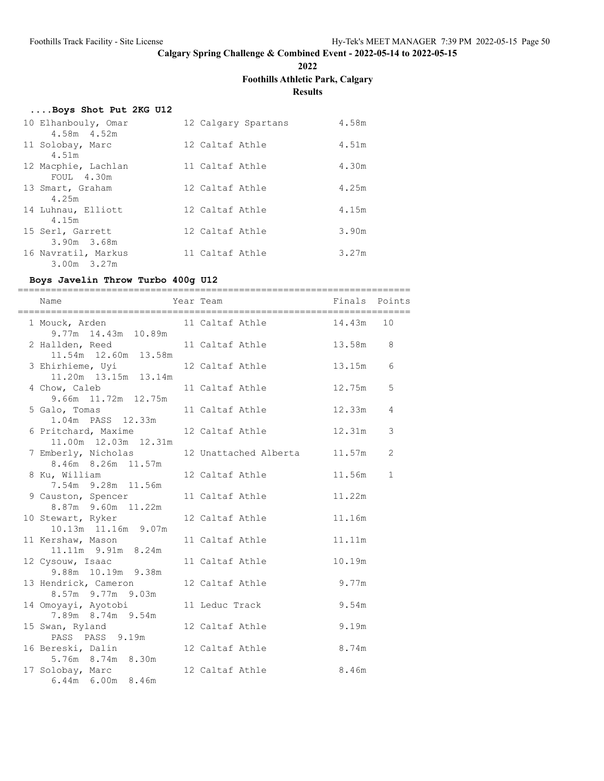**2022**

# **Foothills Athletic Park, Calgary**

**Results**

# **....Boys Shot Put 2KG U12**

| 10 Elhanbouly, Omar<br>4.58m 4.52m | 12 Calgary Spartans | 4.58m |
|------------------------------------|---------------------|-------|
| 11 Solobay, Marc<br>4.51m          | 12 Caltaf Athle     | 4.51m |
| 12 Macphie, Lachlan<br>FOUL 4.30m  | 11 Caltaf Athle     | 4.30m |
| 13 Smart, Graham<br>4.25m          | 12 Caltaf Athle     | 4.25m |
| 14 Luhnau, Elliott<br>4.15m        | 12 Caltaf Athle     | 4.15m |
| 15 Serl, Garrett<br>3.90m 3.68m    | 12 Caltaf Athle     | 3.90m |
| 16 Navratil, Markus<br>3.00m 3.27m | 11 Caltaf Athle     | 3.27m |

# **Boys Javelin Throw Turbo 400g U12**

| Name                                                              | Year Team The Points Points Points |          |             |
|-------------------------------------------------------------------|------------------------------------|----------|-------------|
| 1 Mouck, Arden 11 Caltaf Athle 14.43m 10<br>$9.77m$ 14.43m 10.89m |                                    |          |             |
| 2 Hallden, Reed 11 Caltaf Athle<br>11.54m  12.60m  13.58m         |                                    | 13.58m 8 |             |
| 3 Ehirhieme, Uyi<br>11.20m  13.15m  13.14m                        | 12 Caltaf Athle                    | 13.15m   | 6           |
| 4 Chow, Caleb<br>9.66m 11.72m 12.75m                              | 11 Caltaf Athle                    | 12.75m   | 5           |
| 5 Galo, Tomas<br>1.04m  PASS  12.33m                              | 11 Caltaf Athle                    | 12.33m   | 4           |
| 6 Pritchard, Maxime<br>11.00m  12.03m  12.31m                     | 12 Caltaf Athle                    | 12.31m   | 3           |
| 7 Emberly, Nicholas<br>8.46m 8.26m 11.57m                         | 12 Unattached Alberta 11.57m       |          | 2           |
| 8 Ku, William<br>7.54m 9.28m 11.56m                               | 12 Caltaf Athle                    | 11.56m   | $\mathbf 1$ |
| 9 Causton, Spencer<br>8.87m 9.60m 11.22m                          | 11 Caltaf Athle                    | 11.22m   |             |
| 10 Stewart, Ryker<br>10.13m  11.16m  9.07m                        | 12 Caltaf Athle                    | 11.16m   |             |
| 11 Kershaw, Mason<br>11.11m 9.91m 8.24m                           | 11 Caltaf Athle                    | 11.11m   |             |
| 12 Cysouw, Isaac<br>9.88m 10.19m 9.38m                            | 11 Caltaf Athle                    | 10.19m   |             |
| 13 Hendrick, Cameron<br>8.57m 9.77m 9.03m                         | 12 Caltaf Athle 9.77m              |          |             |
| 14 Omoyayi, Ayotobi<br>7.89m 8.74m 9.54m                          | 11 Leduc Track                     | 9.54m    |             |
| 15 Swan, Ryland<br>PASS PASS 9.19m                                | 12 Caltaf Athle                    | 9.19m    |             |
| 16 Bereski, Dalin<br>5.76m 8.74m 8.30m                            | 12 Caltaf Athle 8.74m              |          |             |
| 17 Solobay, Marc<br>6.44m 6.00m 8.46m                             | 12 Caltaf Athle 8.46m              |          |             |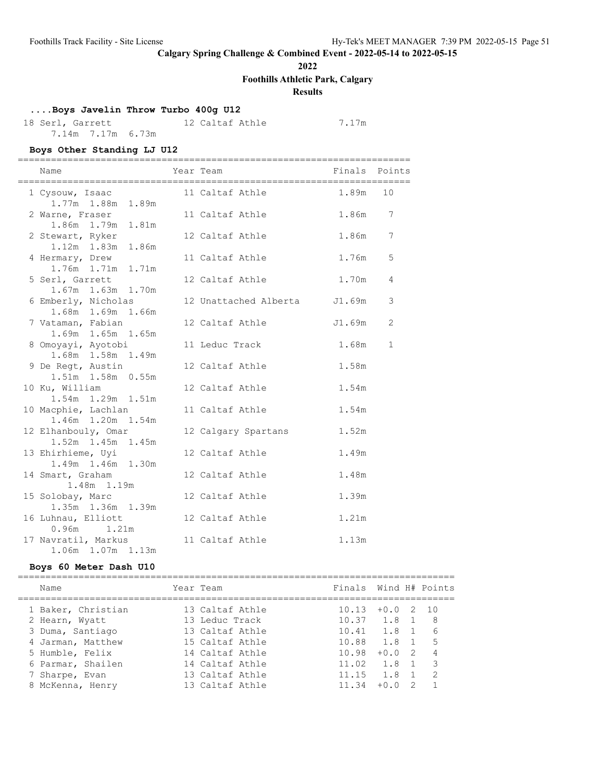**2022**

**Foothills Athletic Park, Calgary**

# **Results**

# **....Boys Javelin Throw Turbo 400g U12**

18 Serl, Garrett 12 Caltaf Athle 7.17m 7.14m 7.17m 6.73m

### **Boys Other Standing LJ U12**

| Name                                                          | Year Team                    | Finals Points |                 |
|---------------------------------------------------------------|------------------------------|---------------|-----------------|
| 1 Cysouw, Isaac 11 Caltaf Athle 1.89m 10<br>1.77m 1.88m 1.89m |                              |               |                 |
| 2 Warne, Fraser<br>1.86m  1.79m  1.81m                        | 11 Caltaf Athle 1.86m        |               | $7\phantom{.0}$ |
| 2 Stewart, Ryker<br>1.12m 1.83m 1.86m                         | 12 Caltaf Athle              | 1.86m         | $7\phantom{.0}$ |
| 4 Hermary, Drew<br>1.76m  1.71m  1.71m                        | 11 Caltaf Athle 1.76m        |               | 5               |
| 5 Serl, Garrett<br>1.67m 1.63m 1.70m                          | 12 Caltaf Athle              | 1.70m         | 4               |
| 6 Emberly, Nicholas<br>1.68m  1.69m  1.66m                    | 12 Unattached Alberta J1.69m |               | 3               |
| 7 Vataman, Fabian<br>1.69m 1.65m 1.65m                        | 12 Caltaf Athle              | J1.69m        | 2               |
| 8 Omoyayi, Ayotobi<br>1.68m  1.58m  1.49m                     | 11 Leduc Track               | 1.68m         | $\mathbf 1$     |
| 9 De Regt, Austin<br>1.51m 1.58m 0.55m                        | 12 Caltaf Athle              | 1.58m         |                 |
| 10 Ku, William<br>1.54m 1.29m 1.51m                           | 12 Caltaf Athle              | 1.54m         |                 |
| 10 Macphie, Lachlan<br>1.46m 1.20m 1.54m                      | 11 Caltaf Athle              | 1.54m         |                 |
| 12 Elhanbouly, Omar<br>1.52m 1.45m 1.45m                      | 12 Calgary Spartans          | 1.52m         |                 |
| 13 Ehirhieme, Uyi<br>1.49m 1.46m 1.30m                        | 12 Caltaf Athle              | 1.49m         |                 |
| 14 Smart, Graham<br>1.48m 1.19m                               | 12 Caltaf Athle              | 1.48m         |                 |
| 15 Solobay, Marc<br>1.35m 1.36m 1.39m                         | 12 Caltaf Athle              | 1.39m         |                 |
| 16 Luhnau, Elliott<br>$0.96m$ 1.21m                           | 12 Caltaf Athle              | 1.21m         |                 |
| 17 Navratil, Markus 11 Caltaf Athle<br>1.06m 1.07m 1.13m      |                              | 1.13m         |                 |

### **Boys 60 Meter Dash U10**

| Name               | Year Team       | Finals Wind H# Points |               |    |                |
|--------------------|-----------------|-----------------------|---------------|----|----------------|
| 1 Baker, Christian | 13 Caltaf Athle | 10.13                 | $+0.02$       |    | 10             |
| 2 Hearn, Wyatt     | 13 Leduc Track  | $10.37$ $1.8$ 1       |               |    | - 8            |
| 3 Duma, Santiago   | 13 Caltaf Athle | $10.41$ $1.8$ 1       |               |    | 6              |
| 4 Jarman, Matthew  | 15 Caltaf Athle | 10.88 1.8 1           |               |    | 5              |
| 5 Humble, Felix    | 14 Caltaf Athle | 10.98                 | $+0.02$       |    | $\overline{4}$ |
| 6 Parmar, Shailen  | 14 Caltaf Athle | 11.02                 | 1.8 1         |    | 3              |
| 7 Sharpe, Evan     | 13 Caltaf Athle | 11.15                 | $1.8 \quad 1$ |    | 2              |
| 8 McKenna, Henry   | 13 Caltaf Athle | 11.34                 | $+0.0$        | -2 |                |
|                    |                 |                       |               |    |                |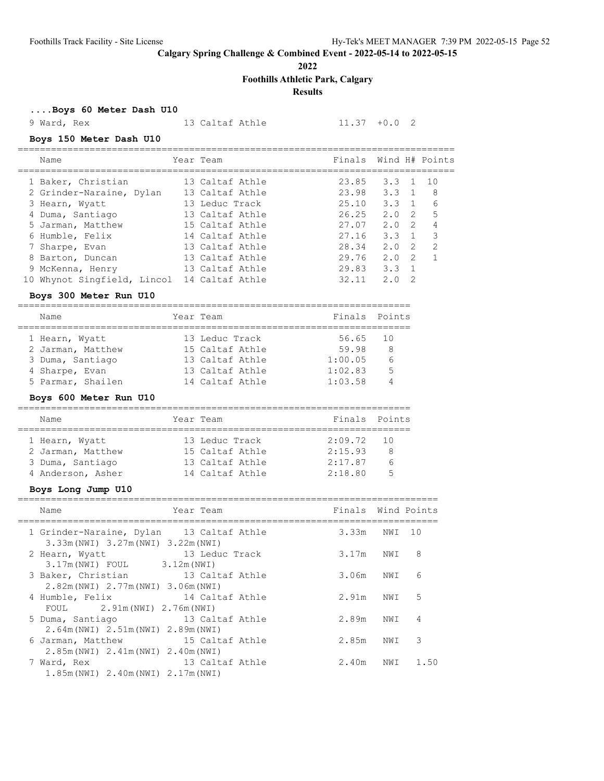**2022**

**Foothills Athletic Park, Calgary**

# **Results**

**....Boys 60 Meter Dash U10**

9 Ward, Rex 13 Caltaf Athle 11.37 +0.0 2

### **Boys 150 Meter Dash U10**

| Name                                     | Year Team       | Finals Wind H# Points |               |                |                |
|------------------------------------------|-----------------|-----------------------|---------------|----------------|----------------|
| 1 Baker, Christian                       | 13 Caltaf Athle | 23.85                 | $3.3 \quad 1$ |                | 10             |
| 2 Grinder-Naraine, Dylan                 | 13 Caltaf Athle | 23.98                 | $3.3 \quad 1$ |                | -8             |
| 3 Hearn, Wyatt                           | 13 Leduc Track  | 25.10                 | 3.3           | $\overline{1}$ | 6              |
| 4 Duma, Santiago                         | 13 Caltaf Athle | 26.25                 | 2.0           | - 2            | .5             |
| 5 Jarman, Matthew                        | 15 Caltaf Athle | 27.07                 | 2.0           | $\overline{2}$ | $\overline{4}$ |
| 6 Humble, Felix                          | 14 Caltaf Athle | 27.16                 | 3.3           |                | -3             |
| 7 Sharpe, Evan                           | 13 Caltaf Athle | 28.34                 | 2.0           | 2              | -2             |
| 8 Barton, Duncan                         | 13 Caltaf Athle | 29.76                 | 2.0           | $\mathcal{P}$  |                |
| 9 McKenna, Henry                         | 13 Caltaf Athle | 29.83                 | 3.3           | $\overline{1}$ |                |
| Whynot Singfield, Lincol 14 Caltaf Athle |                 | 32.11                 | 2.0           | 2              |                |

===============================================================================

### **Boys 300 Meter Run U10**

| Name              | Year Team       | Finals Points |     |
|-------------------|-----------------|---------------|-----|
| 1 Hearn, Wyatt    | 13 Leduc Track  | 56.65 10      |     |
| 2 Jarman, Matthew | 15 Caltaf Athle | 59.98         | - 8 |
| 3 Duma, Santiago  | 13 Caltaf Athle | 1:00.05       | 6   |
| 4 Sharpe, Evan    | 13 Caltaf Athle | 1:02.83       | 5   |
| 5 Parmar, Shailen | 14 Caltaf Athle | 1:03.58       |     |

#### **Boys 600 Meter Run U10**

| Name              |  | Year Team       | Finals Points |   |  |  |  |  |  |
|-------------------|--|-----------------|---------------|---|--|--|--|--|--|
| 1 Hearn, Wyatt    |  | 13 Leduc Track  | 2:09.72 10    |   |  |  |  |  |  |
| 2 Jarman, Matthew |  | 15 Caltaf Athle | 2:15.93       | 8 |  |  |  |  |  |
| 3 Duma, Santiago  |  | 13 Caltaf Athle | 2:17.87       | 6 |  |  |  |  |  |
| 4 Anderson, Asher |  | 14 Caltaf Athle | 2:18.80       | 5 |  |  |  |  |  |

### **Boys Long Jump U10**

| Name                                                                            | Year Team       | Finals Wind Points |     |      |
|---------------------------------------------------------------------------------|-----------------|--------------------|-----|------|
| 1 Grinder-Naraine, Dylan 13 Caltaf Athle<br>3.33m (NWI) 3.27m (NWI) 3.22m (NWI) |                 | 3.33m NWI 10       |     |      |
| 2 Hearn, Wyatt<br>$3.17m(NWI)$ FOUL 3.12m (NWI)                                 | 13 Leduc Track  | 3.17m              | NWI | 8    |
| 3 Baker, Christian 13 Caltaf Athle<br>2.82m(NWI) 2.77m(NWI) 3.06m(NWI)          |                 | 3.06m              | NWI | 6    |
| 4 Humble, Felix<br>FOUL 2.91m (NWI) 2.76m (NWI)                                 | 14 Caltaf Athle | 2.91m              | NWI | - 5  |
| 5 Duma, Santiago<br>2.64m (NWI) 2.51m (NWI) 2.89m (NWI)                         | 13 Caltaf Athle | 2.89m NWI          |     | 4    |
| 6 Jarman, Matthew 15 Caltaf Athle<br>2.85m (NWI) 2.41m (NWI) 2.40m (NWI)        |                 | 2.85m              | NWI | 3    |
| 7 Ward, Rex<br>1.85m(NWI) 2.40m(NWI) 2.17m(NWI)                                 | 13 Caltaf Athle | 2.40m              | NWI | 1.50 |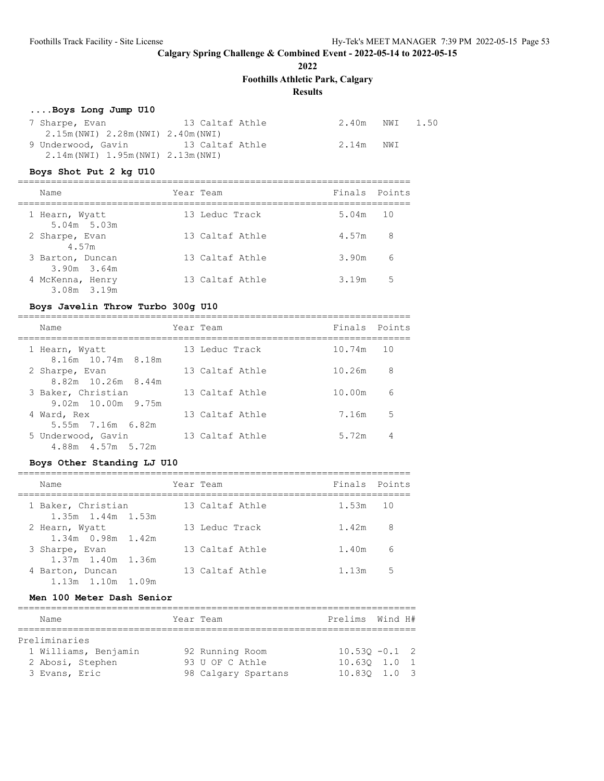**2022**

**Foothills Athletic Park, Calgary**

# **Results**

# **....Boys Long Jump U10**

| 7 Sharpe, Evan                               | 13 Caltaf Athle | 2.40m NWI | 1.50 |
|----------------------------------------------|-----------------|-----------|------|
| $2.15m(NWI)$ $2.28m(NWI)$ $2.40m(NWI)$       |                 |           |      |
| 9 Underwood, Gavin                           | 13 Caltaf Athle | 2.14m NWI |      |
| $2.14$ m (NWI) $1.95$ m (NWI) $2.13$ m (NWI) |                 |           |      |

# **Boys Shot Put 2 kg U10**

| Name                                | Year Team       | Finals Points |    |
|-------------------------------------|-----------------|---------------|----|
| 1 Hearn, Wyatt<br>$5.04m$ $5.03m$   | 13 Leduc Track  | 5.04m 10      |    |
| 2 Sharpe, Evan<br>4.57m             | 13 Caltaf Athle | 4.57m         | 8  |
| 3 Barton, Duncan<br>$3.90m$ $3.64m$ | 13 Caltaf Athle | 3.90m         | 6  |
| 4 McKenna, Henry<br>3.08m 3.19m     | 13 Caltaf Athle | 3.19m         | .5 |

### **Boys Javelin Throw Turbo 300g U10**

| Name                                                           | Year Team       | Finals Points |    |
|----------------------------------------------------------------|-----------------|---------------|----|
| 1 Hearn, Wyatt<br>8.16m 10.74m 8.18m                           | 13 Leduc Track  | 10.74m 10     |    |
| 2 Sharpe, Evan<br>8.82m 10.26m 8.44m                           | 13 Caltaf Athle | 10.26m        | 8  |
| 3 Baker, Christian                                             | 13 Caltaf Athle | 10.00m        | 6  |
| 9.02m 10.00m 9.75m<br>4 Ward, Rex                              | 13 Caltaf Athle | 7.16m         | .5 |
| 5.55m 7.16m 6.82m<br>5 Underwood, Gavin<br>4.88m  4.57m  5.72m | 13 Caltaf Athle | 5.72m         | 4  |

#### **Boys Other Standing LJ U10**

| Name                                                           | Year Team       | Finals Points |                |
|----------------------------------------------------------------|-----------------|---------------|----------------|
| 1 Baker, Christian                                             | 13 Caltaf Athle | $1.53m$ 10    |                |
| $1.35m$ $1.44m$ $1.53m$<br>2 Hearn, Wyatt<br>1.34m 0.98m 1.42m | 13 Leduc Track  | 1.42m         | - 8            |
| 3 Sharpe, Evan                                                 | 13 Caltaf Athle | 1.40m         | 6              |
| 1.37m 1.40m 1.36m<br>4 Barton, Duncan                          | 13 Caltaf Athle | 1.13m         | 5 <sub>5</sub> |
| 1.13m 1.10m 1.09m                                              |                 |               |                |

# **Men 100 Meter Dash Senior**

| Name                 | Year Team           | Prelims Wind H#  |  |
|----------------------|---------------------|------------------|--|
|                      |                     |                  |  |
| Preliminaries        |                     |                  |  |
| 1 Williams, Benjamin | 92 Running Room     | $10.530 - 0.1$ 2 |  |
| 2 Abosi, Stephen     | 93 U OF C Athle     | $10.630$ $1.0$ 1 |  |
| 3 Evans, Eric        | 98 Calgary Spartans | 10.830 1.0 3     |  |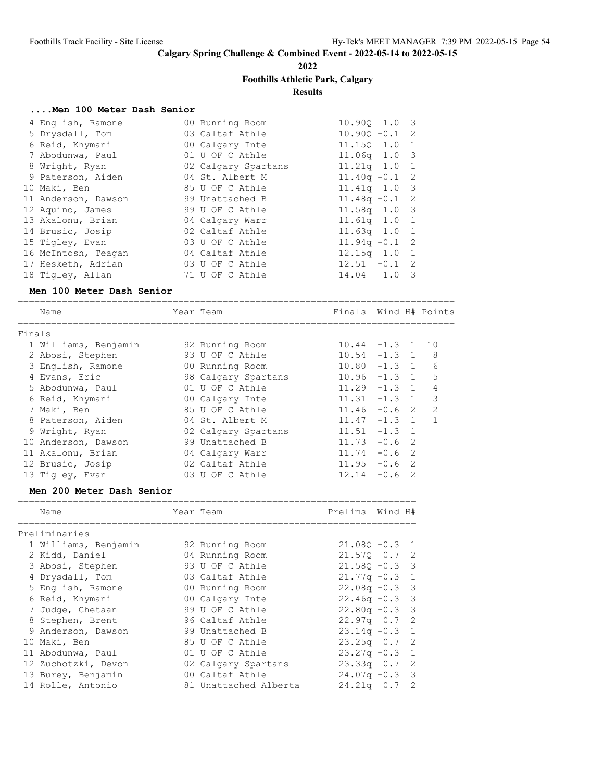**2022**

# **Foothills Athletic Park, Calgary**

**Results**

### **....Men 100 Meter Dash Senior**

| 4 English, Ramone   | 00 Running Room     | $10.900 \quad 1.0 \quad 3$ |   |
|---------------------|---------------------|----------------------------|---|
| 5 Drysdall, Tom     | 03 Caltaf Athle     | $10.900 - 0.1$ 2           |   |
| 6 Reid, Khymani     | 00 Calgary Inte     | 11.150 1.0 1               |   |
| 7 Abodunwa, Paul    | 01 U OF C Athle     | $11.06q$ $1.03$            |   |
| 8 Wright, Ryan      | 02 Calgary Spartans | 11.21q 1.0 1               |   |
| 9 Paterson, Aiden   | 04 St. Albert M     | $11.40q - 0.1$ 2           |   |
| 10 Maki, Ben        | 85 U OF C Athle     | $11.41q$ $1.0$ 3           |   |
| 11 Anderson, Dawson | 99 Unattached B     | $11.48q - 0.1$ 2           |   |
| 12 Aquino, James    | 99 U OF C Athle     | $11.58q$ 1.0 3             |   |
| 13 Akalonu, Brian   | 04 Calgary Warr     | 11.61q 1.0 1               |   |
| 14 Brusic, Josip    | 02 Caltaf Athle     | $11.63q$ $1.0$ 1           |   |
| 15 Tigley, Evan     | 03 U OF C Athle     | $11.94q - 0.1$ 2           |   |
| 16 McIntosh, Teagan | 04 Caltaf Athle     | $12.15q$ $1.0$ 1           |   |
| 17 Hesketh, Adrian  | 03 U OF C Athle     | $12.51 - 0.1$ 2            |   |
| 18 Tigley, Allan    | 71 U OF C Athle     | $14.04$ 1.0                | 3 |

### **Men 100 Meter Dash Senior**

|        | Name                 |     | Year Team           | Finals          |          |                | Wind H# Points |
|--------|----------------------|-----|---------------------|-----------------|----------|----------------|----------------|
| Finals |                      |     |                     |                 |          |                |                |
|        | 1 Williams, Benjamin |     | 92 Running Room     | $10.44 - 1.3$ 1 |          |                | 10             |
|        | 2 Abosi, Stephen     |     | 93 U OF C Athle     | $10.54 -1.3 1$  |          |                | 8              |
|        | 3 English, Ramone    |     | 00 Running Room     | $10.80 - 1.3 1$ |          |                | 6              |
|        | 4 Evans, Eric        |     | 98 Calgary Spartans | $10.96 - 1.3$   |          | $\overline{1}$ | 5              |
|        | 5 Abodunwa, Paul     |     | 01 U OF C Athle     | $11.29 - 1.3 1$ |          |                | 4              |
|        | 6 Reid, Khymani      |     | 00 Calgary Inte     | $11.31 -1.3 1$  |          |                | 3              |
|        | 7 Maki, Ben          |     | 85 U OF C Athle     | $11.46 - 0.6$ 2 |          |                | 2              |
|        | 8 Paterson, Aiden    |     | 04 St. Albert M     | $11.47 - 1.3$ 1 |          |                | 1              |
|        | 9 Wright, Ryan       |     | 02 Calgary Spartans | $11.51 - 1.3$   |          | $\overline{1}$ |                |
| 10     | Anderson, Dawson     |     | 99 Unattached B     | 11.73           | $-0.6$ 2 |                |                |
| 11     | Akalonu, Brian       |     | 04 Calgary Warr     | 11.74           | $-0.62$  |                |                |
|        | 12 Brusic, Josip     |     | 02 Caltaf Athle     | 11.95           | $-0.6$   | - 2            |                |
|        | 13 Tigley, Evan      | 0.3 | U OF C Athle        | 12.14           | $-0.6$   | $\mathcal{D}$  |                |
|        |                      |     |                     |                 |          |                |                |

### **Men 200 Meter Dash Senior**

| Name                 | Year Team             | Prelims          | Wind H# |  |
|----------------------|-----------------------|------------------|---------|--|
| Preliminaries        |                       |                  |         |  |
| 1 Williams, Benjamin | 92 Running Room       | $21.080 - 0.3$ 1 |         |  |
| 2 Kidd, Daniel       | 04 Running Room       | 21.570 0.7 2     |         |  |
| 3 Abosi, Stephen     | 93 U OF C Athle       | $21.58Q - 0.3$ 3 |         |  |
| 4 Drysdall, Tom      | 03 Caltaf Athle       | $21.77q - 0.3$ 1 |         |  |
| 5 English, Ramone    | 00 Running Room       | $22.08q - 0.3$ 3 |         |  |
| 6 Reid, Khymani      | 00 Calgary Inte       | $22.46q - 0.3$ 3 |         |  |
| 7 Judge, Chetaan     | 99 U OF C Athle       | $22.80q - 0.3$ 3 |         |  |
| 8 Stephen, Brent     | 96 Caltaf Athle       | $22.97q$ 0.7 2   |         |  |
| 9 Anderson, Dawson   | 99 Unattached B       | $23.14q - 0.3$ 1 |         |  |
| 10 Maki, Ben         | 85 U OF C Athle       | $23.25q$ 0.7 2   |         |  |
| 11 Abodunwa, Paul    | 01 U OF C Athle       | $23.27q - 0.3$ 1 |         |  |
| 12 Zuchotzki, Devon  | 02 Calgary Spartans   | $23.33q$ 0.7 2   |         |  |
| 13 Burey, Benjamin   | 00 Caltaf Athle       | $24.07q - 0.3$ 3 |         |  |
| 14 Rolle, Antonio    | 81 Unattached Alberta | $24.21q$ 0.7 2   |         |  |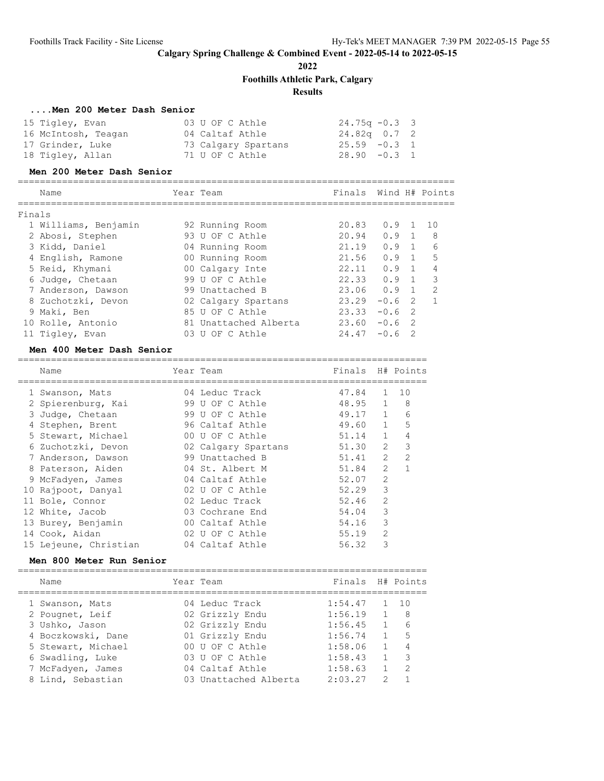**2022**

**Foothills Athletic Park, Calgary**

# **Results**

### **....Men 200 Meter Dash Senior**

| 15 Tigley, Evan     | 03 U OF C Athle     | $24.75q - 0.3$ 3 |
|---------------------|---------------------|------------------|
| 16 McIntosh, Teagan | 04 Caltaf Athle     | 24.82q  0.7  2   |
| 17 Grinder, Luke    | 73 Calgary Spartans | $25.59 - 0.3 1$  |
| 18 Tigley, Allan    | 71 U OF C Athle     | $28.90 -0.3 1$   |

#### **Men 200 Meter Dash Senior**

|        | Name                 |    | Year Team             | Finals |        |                | Wind H# Points |
|--------|----------------------|----|-----------------------|--------|--------|----------------|----------------|
|        |                      |    |                       |        |        |                |                |
| Finals |                      |    |                       |        |        |                |                |
|        | 1 Williams, Benjamin |    | 92 Running Room       | 20.83  | O.9    | $\overline{1}$ | 1 N            |
|        | 2 Abosi, Stephen     |    | 93 U OF C Athle       | 20.94  | 0.9    | $\overline{1}$ | 8              |
|        | 3 Kidd, Daniel       |    | 04 Running Room       | 21.19  | 0.9    | $\overline{1}$ | 6              |
|        | 4 English, Ramone    |    | 00 Running Room       | 21.56  | 0.9    | $\overline{1}$ | 5              |
|        | 5 Reid, Khymani      |    | 00 Calgary Inte       | 22.11  | 0.9    | $\overline{1}$ | 4              |
|        | 6 Judge, Chetaan     |    | 99 U OF C Athle       | 22.33  | 0.9    | $\overline{1}$ | 3              |
|        | 7 Anderson, Dawson   |    | 99 Unattached B       | 23.06  | 0.9    | $\overline{1}$ | $\mathcal{P}$  |
|        | 8 Zuchotzki, Devon   |    | 02 Calgary Spartans   | 23.29  | $-0.6$ | $\mathcal{P}$  |                |
|        | 9 Maki, Ben          |    | 85 U OF C Athle       | 23.33  | $-0.6$ | -2             |                |
|        | 10 Rolle, Antonio    |    | 81 Unattached Alberta | 23.60  | $-0.6$ | $\overline{2}$ |                |
|        | 11 Tigley, Evan      | U3 | OF C Athle<br>U       | 24.47  | $-0.6$ | $\mathcal{P}$  |                |

### **Men 400 Meter Dash Senior**

| Name                  | Year Team           | Finals |                | H# Points      |
|-----------------------|---------------------|--------|----------------|----------------|
| 1 Swanson, Mats       | 04 Leduc Track      | 47.84  | 1              | 10             |
| 2 Spierenburg, Kai    | 99 U OF C Athle     | 48.95  | $\mathbf{1}$   | 8              |
| 3 Judge, Chetaan      | 99 U OF C Athle     | 49.17  | $\mathbf{1}$   | 6              |
| 4 Stephen, Brent      | 96 Caltaf Athle     | 49.60  | $\mathbf{1}$   | 5              |
| 5 Stewart, Michael    | 00 U OF C Athle     | 51.14  | $\mathbf{1}$   | 4              |
| 6 Zuchotzki, Devon    | 02 Calgary Spartans | 51.30  | $\overline{2}$ | 3              |
| 7 Anderson, Dawson    | 99 Unattached B     | 51.41  | $\overline{2}$ | $\overline{2}$ |
| 8 Paterson, Aiden     | 04 St. Albert M     | 51.84  | $\mathcal{L}$  |                |
| 9 McFadyen, James     | 04 Caltaf Athle     | 52.07  | $\overline{2}$ |                |
| 10 Rajpoot, Danyal    | 02 U OF C Athle     | 52.29  | 3              |                |
| 11 Bole, Connor       | 02 Leduc Track      | 52.46  | $\overline{2}$ |                |
| 12 White, Jacob       | 03 Cochrane End     | 54.04  | 3              |                |
| 13 Burey, Benjamin    | 00 Caltaf Athle     | 54.16  | 3              |                |
| 14 Cook, Aidan        | 02 U OF C Athle     | 55.19  | $\mathfrak{D}$ |                |
| 15 Lejeune, Christian | 04 Caltaf Athle     | 56.32  | 3              |                |

### **Men 800 Meter Run Senior**

| Name               | Year Team             | Finals H# Points |   |                            |
|--------------------|-----------------------|------------------|---|----------------------------|
| 1 Swanson, Mats    | 04 Leduc Track        | 1:54.47          |   | 10                         |
| 2 Pougnet, Leif    | 02 Grizzly Endu       | 1:56.19          |   | - 8                        |
| 3 Ushko, Jason     | 02 Grizzly Endu       | 1:56.45          |   | 6                          |
| 4 Boczkowski, Dane | 01 Grizzly Endu       | 1:56.74          |   | - 5                        |
| 5 Stewart, Michael | 00 U OF C Athle       | 1:58.06          |   | 4                          |
| 6 Swadling, Luke   | 03 U OF C Athle       | 1:58.43          |   | $\overline{\phantom{a}}$ 3 |
| 7 McFadyen, James  | 04 Caltaf Athle       | 1:58.63          |   | $\mathcal{P}$              |
| 8 Lind, Sebastian  | 03 Unattached Alberta | 2:03.27          | っ |                            |
|                    |                       |                  |   |                            |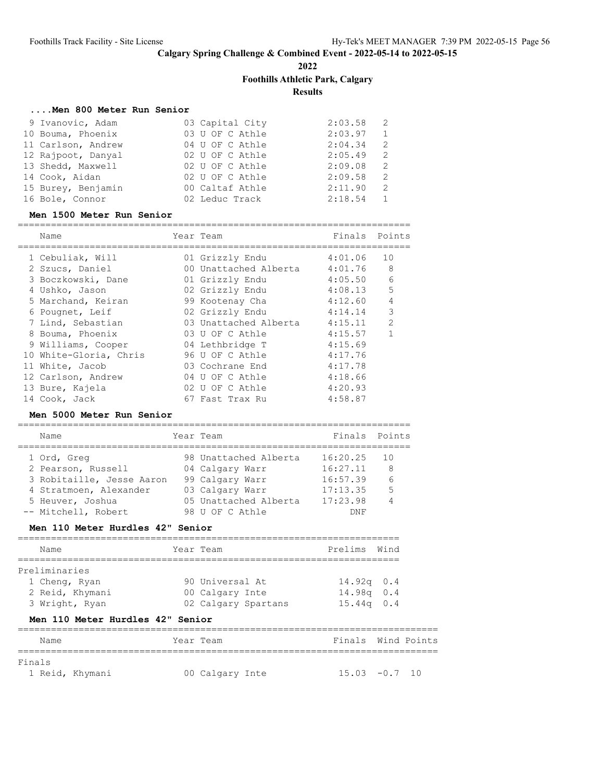**2022**

# **Foothills Athletic Park, Calgary**

**Results**

### **....Men 800 Meter Run Senior**

| 9 Ivanovic, Adam   | 03 Capital City | 2:03.58 | -2           |
|--------------------|-----------------|---------|--------------|
| 10 Bouma, Phoenix  | 03 U OF C Athle | 2:03.97 | $\mathbf{1}$ |
| 11 Carlson, Andrew | 04 U OF C Athle | 2:04.34 | 2            |
| 12 Rajpoot, Danyal | 02 U OF C Athle | 2:05.49 | 2            |
| 13 Shedd, Maxwell  | 02 U OF C Athle | 2:09.08 | -2           |
| 14 Cook, Aidan     | 02 U OF C Athle | 2:09.58 | 2            |
| 15 Burey, Benjamin | 00 Caltaf Athle | 2:11.90 | 2            |
| 16 Bole, Connor    | 02 Leduc Track  | 2:18.54 |              |

#### **Men 1500 Meter Run Senior**

=======================================================================

| Name                   | Year Team             |         | Finals Points  |
|------------------------|-----------------------|---------|----------------|
| 1 Cebuliak, Will       | 01 Grizzly Endu       | 4:01.06 | 10             |
| 2 Szucs, Daniel        | 00 Unattached Alberta | 4:01.76 | 8              |
| 3 Boczkowski, Dane     | 01 Grizzly Endu       | 4:05.50 | 6              |
| 4 Ushko, Jason         | 02 Grizzly Endu       | 4:08.13 | 5              |
| 5 Marchand, Keiran     | 99 Kootenay Cha       | 4:12.60 | $\overline{4}$ |
| 6 Pougnet, Leif        | 02 Grizzly Endu       | 4:14.14 | 3              |
| 7 Lind, Sebastian      | 03 Unattached Alberta | 4:15.11 | $\overline{2}$ |
| 8 Bouma, Phoenix       | 03 U OF C Athle       | 4:15.57 | $\mathbf{1}$   |
| 9 Williams, Cooper     | 04 Lethbridge T       | 4:15.69 |                |
| 10 White-Gloria, Chris | 96 U OF C Athle       | 4:17.76 |                |
| 11 White, Jacob        | 03 Cochrane End       | 4:17.78 |                |
| 12 Carlson, Andrew     | 04 U OF C Athle       | 4:18.66 |                |
| 13 Bure, Kajela        | 02 U OF C Athle       | 4:20.93 |                |
| 14 Cook, Jack          | 67 Fast Trax Ru       | 4:58.87 |                |

### **Men 5000 Meter Run Senior**

| Name                      | Year Team             | Finals Points |     |
|---------------------------|-----------------------|---------------|-----|
| 1 Ord, Greg               | 98 Unattached Alberta | 16:20.25      | 1 O |
| 2 Pearson, Russell        | 04 Calgary Warr       | 16:27.11      | 8   |
| 3 Robitaille, Jesse Aaron | 99 Calgary Warr       | 16:57.39      | 6   |
| 4 Stratmoen, Alexander    | 03 Calgary Warr       | 17:13.35      | 5   |
| 5 Heuver, Joshua          | 05 Unattached Alberta | 17:23.98      |     |
| -- Mitchell, Robert       | 98 U OF C Athle       | DNF           |     |

#### **Men 110 Meter Hurdles 42" Senior**

|  | Name            | Year Team |                     | Prelims Wind |  |  |
|--|-----------------|-----------|---------------------|--------------|--|--|
|  | Preliminaries   |           |                     |              |  |  |
|  | 1 Cheng, Ryan   |           | 90 Universal At     | $14.92q$ 0.4 |  |  |
|  | 2 Reid, Khymani |           | 00 Calgary Inte     | $14.98q$ 0.4 |  |  |
|  | 3 Wright, Ryan  |           | 02 Calgary Spartans | $15.44q$ 0.4 |  |  |

# **Men 110 Meter Hurdles 42" Senior**

| Name            |  | Year Team       |  | Finals Wind Points |  |
|-----------------|--|-----------------|--|--------------------|--|
| Finals          |  |                 |  |                    |  |
| 1 Reid, Khymani |  | 00 Calgary Inte |  | $15.03 - 0.7$ 10   |  |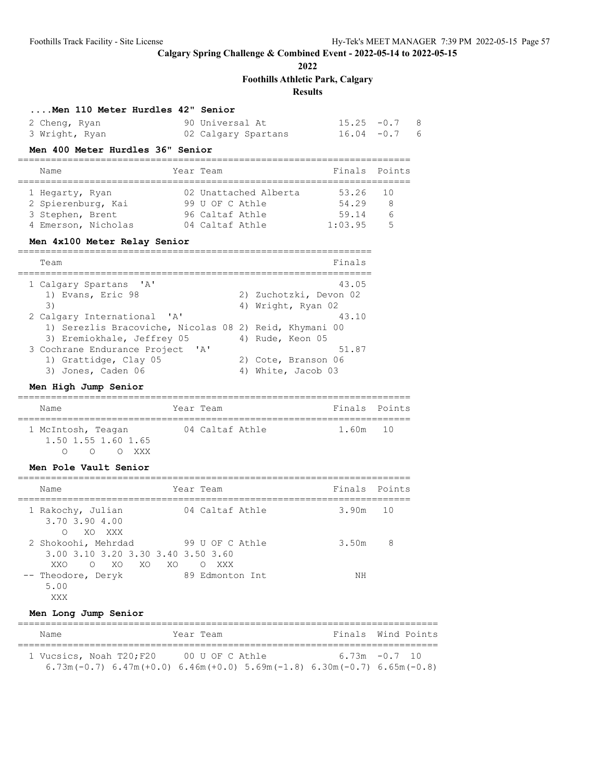**2022**

**Foothills Athletic Park, Calgary**

# **Results**

### **....Men 110 Meter Hurdles 42" Senior**

| 2 Cheng, Ryan  | 90 Universal At     | $15.25 -0.7$ 8  |
|----------------|---------------------|-----------------|
| 3 Wright, Ryan | 02 Calgary Spartans | $16.04 - 0.7$ 6 |

### **Men 400 Meter Hurdles 36" Senior**

|  | Name                |  | Year Team             | Finals Points |    |  |
|--|---------------------|--|-----------------------|---------------|----|--|
|  |                     |  |                       |               |    |  |
|  | 1 Hegarty, Ryan     |  | 02 Unattached Alberta | 53.26         | 10 |  |
|  | 2 Spierenburg, Kai  |  | 99 U OF C Athle       | 54.29         | -8 |  |
|  | 3 Stephen, Brent    |  | 96 Caltaf Athle       | 59.14         | 6  |  |
|  | 4 Emerson, Nicholas |  | 04 Caltaf Athle       | 1:03.95       | -5 |  |

### **Men 4x100 Meter Relay Senior**

| Team                                                   | Finals                 |
|--------------------------------------------------------|------------------------|
| 1 Calgary Spartans 'A'                                 | 43.05                  |
| 1) Evans, Eric 98                                      | 2) Zuchotzki, Devon 02 |
| 3)                                                     | 4) Wright, Ryan 02     |
| 2 Calgary International 'A'                            | 43.10                  |
| 1) Serezlis Bracoviche, Nicolas 08 2) Reid, Khymani 00 |                        |
| 3) Eremiokhale, Jeffrey 05                             | 4) Rude, Keon 05       |
| 3 Cochrane Endurance Project 'A'                       | 51.87                  |
| 1) Grattidge, Clay 05                                  | 2) Cote, Branson 06    |
| 3) Jones, Caden 06                                     | 4) White, Jacob 03     |

# **Men High Jump Senior**

| Name                                                       | Year Team       | Finals Points |  |
|------------------------------------------------------------|-----------------|---------------|--|
| 1 McIntosh, Teagan<br>$1.50$ $1.55$ $1.60$ $1.65$<br>. XXX | 04 Caltaf Athle | 1.60m 10      |  |

# **Men Pole Vault Senior**

| Name                                                                           | Year Team                            | Finals Points |    |
|--------------------------------------------------------------------------------|--------------------------------------|---------------|----|
| 1 Rakochy, Julian<br>3.70 3.90 4.00<br>XO XXX<br>$\Omega$                      | 04 Caltaf Athle                      | 3.90m         | 10 |
| 2 Shokoohi, Mehrdad<br>3.00 3.10 3.20 3.30 3.40 3.50 3.60<br>XO XO XO<br>XXO O | 99 U OF C Athle<br>XXX<br>$\bigcirc$ | 3.50m         | 8  |
| -- Theodore, Deryk<br>5.00<br>XXX                                              | 89 Edmonton Int                      | NΗ            |    |

### **Men Long Jump Senior**

| Name                                                                                      | Year Team | Finals Wind Points |
|-------------------------------------------------------------------------------------------|-----------|--------------------|
| 1 Vucsics, Noah T20; F20 00 U OF C Athle                                                  |           | $6.73m - 0.7$ 10   |
| $6.73$ m(-0.7) $6.47$ m(+0.0) $6.46$ m(+0.0) $5.69$ m(-1.8) $6.30$ m(-0.7) $6.65$ m(-0.8) |           |                    |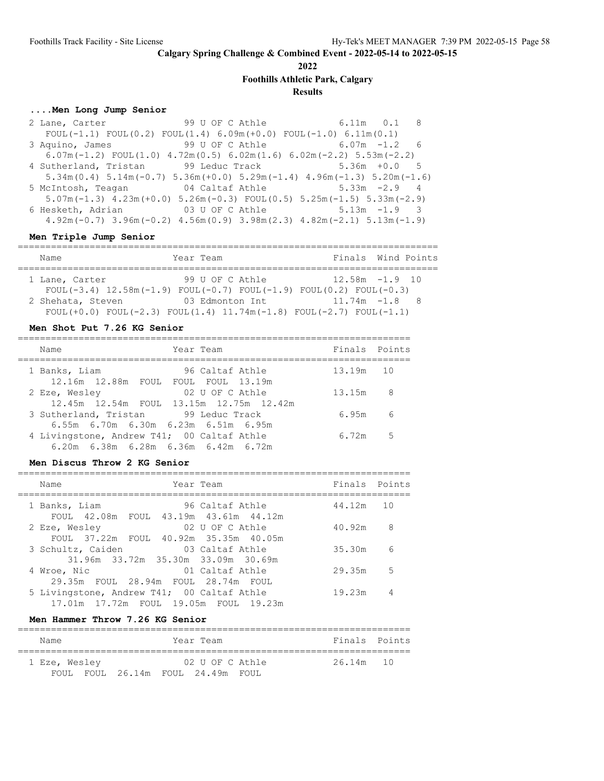**2022**

**Foothills Athletic Park, Calgary**

#### **Results**

# **....Men Long Jump Senior**

 2 Lane, Carter 99 U OF C Athle 6.11m 0.1 8 FOUL(-1.1) FOUL(0.2) FOUL(1.4)  $6.09m(+0.0)$  FOUL(-1.0)  $6.11m(0.1)$ <br>Aquino, James 99 U OF C Athle  $6.07m -1.2$  6 3 Aquino, James 99 U OF C Athle 6.07m( $-1.2$ ) FOUL( $1.0$ )  $4.72$ m( $0.5$ ) 6.02m( $1.6$ ) 6.02m( $-2.2$ ) 5.53m( $-2.2$ ) 4 Sutherland, Tristan 99 Leduc Track 5.36m +0.0 5 5.34m(0.4) 5.14m(-0.7) 5.36m(+0.0) 5.29m(-1.4) 4.96m(-1.3) 5.20m(-1.6) 5 McIntosh, Teagan 04 Caltaf Athle 5.33m -2.9 4 5.07m(-1.3) 4.23m(+0.0) 5.26m(-0.3) FOUL(0.5) 5.25m(-1.5) 5.33m(-2.9) 6 Hesketh, Adrian 03 U OF C Athle 5.13m -1.9 3 4.92m(-0.7) 3.96m(-0.2) 4.56m(0.9) 3.98m(2.3) 4.82m(-2.1) 5.13m(-1.9)

#### **Men Triple Jump Senior**

| Name                                                                                 | Year Team       |  | Finals Wind Points |
|--------------------------------------------------------------------------------------|-----------------|--|--------------------|
|                                                                                      |                 |  |                    |
| 1 Lane, Carter                                                                       | 99 U OF C Athle |  | $12.58m - 1.9$ 10  |
| FOUL $(-3.4)$ 12.58m $(-1.9)$ FOUL $(-0.7)$ FOUL $(-1.9)$ FOUL $(0.2)$ FOUL $(-0.3)$ |                 |  |                    |
| 2 Shehata, Steven                                                                    | 03 Edmonton Int |  | $11.74m - 1.8$ 8   |
| FOUL $(+0.0)$ FOUL $(-2.3)$ FOUL $(1.4)$ 11.74m $(-1.8)$ FOUL $(-2.7)$ FOUL $(-1.1)$ |                 |  |                    |

#### **Men Shot Put 7.26 KG Senior**

| Name                                                                                                                                             | Year Team                               | Finals Points |  |
|--------------------------------------------------------------------------------------------------------------------------------------------------|-----------------------------------------|---------------|--|
| 1 Banks, Liam<br>12.16m 12.88m FOUL FOUL FOUL 13.19m                                                                                             | 96 Caltaf Athle                         | 13.19m 10     |  |
| 2 Eze, Wesley                                                                                                                                    | 02 U OF C Athle                         | $13.15m$ 8    |  |
| 3 Sutherland, Tristan 99 Leduc Track                                                                                                             | 12.45m 12.54m FOUL 13.15m 12.75m 12.42m | 6.95m 6       |  |
| $6.55m$ $6.70m$ $6.30m$ $6.23m$ $6.51m$ $6.95m$<br>4 Livingstone, Andrew T41; 00 Caltaf Athle<br>$6.20m$ $6.38m$ $6.28m$ $6.36m$ $6.42m$ $6.72m$ |                                         | $6.72m$ 5     |  |

#### **Men Discus Throw 2 KG Senior**

| Year Team<br>Name                                                                   | Finals Points |                 |
|-------------------------------------------------------------------------------------|---------------|-----------------|
| 96 Caltaf Athle<br>1 Banks, Liam<br>FOUL 42.08m FOUL 43.19m 43.61m 44.12m           | 44.12m 10     |                 |
| 02 U OF C Athle<br>2 Eze, Wesley<br>FOUL 37.22m FOUL 40.92m 35.35m 40.05m           | 40.92m        | - 8             |
| 3 Schultz, Caiden<br>03 Caltaf Athle<br>31.96m 33.72m 35.30m 33.09m 30.69m          | 35.30m        | $6\overline{6}$ |
| 01 Caltaf Athle<br>4 Wroe, Nic<br>29.35m FOUL 28.94m FOUL 28.74m FOUL               | 29.35m        | $5^{\circ}$     |
| 5 Livingstone, Andrew T41; 00 Caltaf Athle<br>17.01m 17.72m FOUL 19.05m FOUL 19.23m | 19.23m        |                 |

#### **Men Hammer Throw 7.26 KG Senior**

| Name          |                                   | Year Team       |  | Finals Points |  |
|---------------|-----------------------------------|-----------------|--|---------------|--|
| 1 Eze, Wesley |                                   | 02 U OF C Athle |  | 26.14m 10     |  |
|               | FOUL FOUL 26.14m FOUL 24.49m FOUL |                 |  |               |  |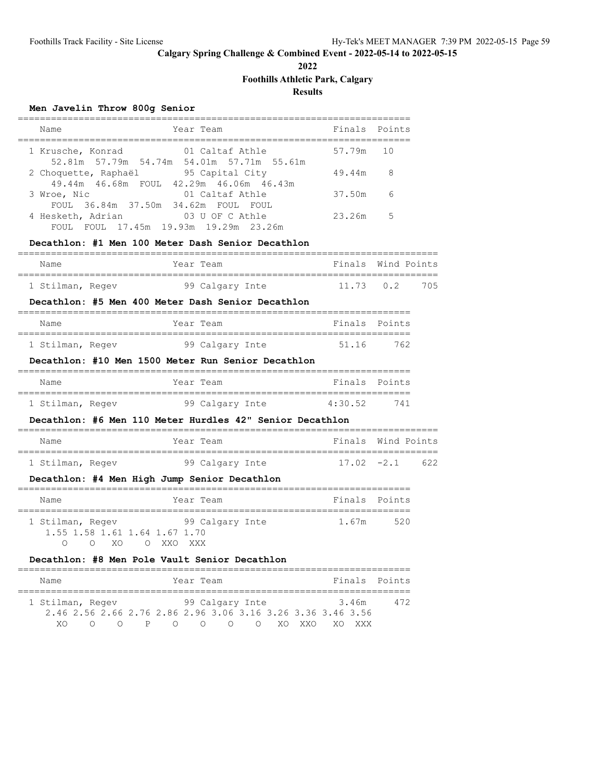**2022**

# **Foothills Athletic Park, Calgary**

# **Results**

# **Men Javelin Throw 800g Senior**

| Year Team<br>Name                                                                  | Finals Points |     |
|------------------------------------------------------------------------------------|---------------|-----|
| 1 Krusche, Konrad<br>01 Caltaf Athle<br>52.81m 57.79m 54.74m 54.01m 57.71m 55.61m  | 57.79m        | 10  |
| 95 Capital City<br>2 Choquette, Raphaël<br>49.44m 46.68m FOUL 42.29m 46.06m 46.43m | 49.44m        | 8   |
| 01 Caltaf Athle<br>3 Wroe, Nic<br>FOUL 36.84m 37.50m 34.62m FOUL<br>FOUL.          | 37.50m        | 6   |
| 4 Hesketh, Adrian<br>03 U OF C Athle<br>FOUL.<br>FOUL.                             | 23.26m        | - 5 |

### **Decathlon: #1 Men 100 Meter Dash Senior Decathlon**

| Name             |  | Year Team       |  | Finals Wind Points |
|------------------|--|-----------------|--|--------------------|
|                  |  |                 |  |                    |
| 1 Stilman, Regev |  | 99 Calgary Inte |  | 11.73  0.2  705    |

#### **Decathlon: #5 Men 400 Meter Dash Senior Decathlon**

| Name             | Year Team       | Finals Points |     |
|------------------|-----------------|---------------|-----|
| 1 Stilman, Regev | 99 Calgary Inte | 51.16         | 762 |

#### **Decathlon: #10 Men 1500 Meter Run Senior Decathlon**

| Name             |  | Year Team       | Finals Points |     |
|------------------|--|-----------------|---------------|-----|
|                  |  |                 |               |     |
| 1 Stilman, Regev |  | 99 Calgary Inte | 4:30.52       | 741 |

# **Decathlon: #6 Men 110 Meter Hurdles 42" Senior Decathlon**

| Name             | Year Team |                 | Finals Wind Points |  |
|------------------|-----------|-----------------|--------------------|--|
| 1 Stilman, Regev |           | 99 Calgary Inte | $17.02 -2.1$ 622   |  |

#### **Decathlon: #4 Men High Jump Senior Decathlon**

| Name             |  |          |                               | Year Team       |  | Finals Points |     |
|------------------|--|----------|-------------------------------|-----------------|--|---------------|-----|
|                  |  |          |                               |                 |  |               |     |
| 1 Stilman, Regev |  |          |                               | 99 Calgary Inte |  | 1.67m         | 520 |
|                  |  |          | 1.55 1.58 1.61 1.64 1.67 1.70 |                 |  |               |     |
|                  |  | $X \cap$ | O XXO XXX                     |                 |  |               |     |

# **Decathlon: #8 Men Pole Vault Senior Decathlon**

| Name             |  |  | Year Team |                                                             |  |  |        | Finals Points |
|------------------|--|--|-----------|-------------------------------------------------------------|--|--|--------|---------------|
|                  |  |  |           |                                                             |  |  |        |               |
| 1 Stilman, Regev |  |  |           | 99 Calgary Inte                                             |  |  | 3.46m  | 472           |
|                  |  |  |           | 2.46 2.56 2.66 2.76 2.86 2.96 3.06 3.16 3.26 3.36 3.46 3.56 |  |  |        |               |
| XΩ               |  |  |           | P O O O O XOXXO                                             |  |  | XV XXX |               |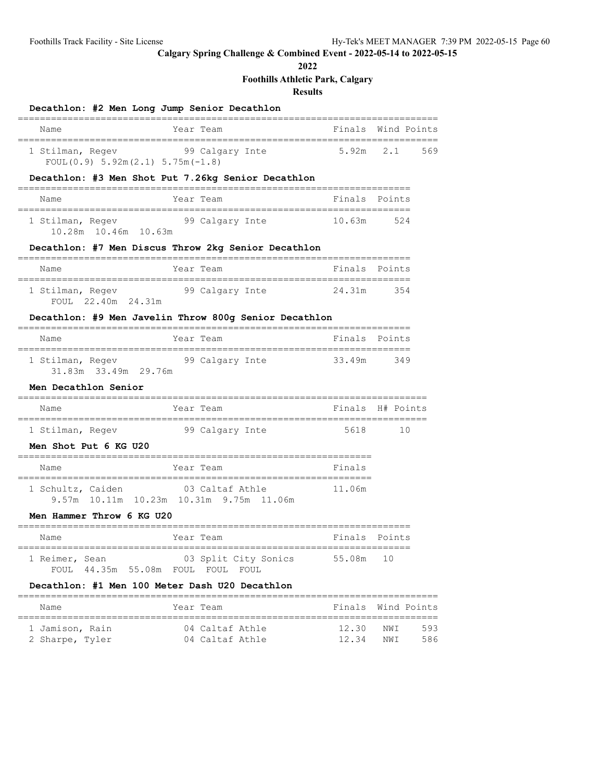**2022**

# **Foothills Athletic Park, Calgary**

# **Results**

| Decathlon: #2 Men Long Jump Senior Decathlon                     |                                                                         |        |                  |
|------------------------------------------------------------------|-------------------------------------------------------------------------|--------|------------------|
| Name                                                             | Year Team                                                               | Finals | Wind Points      |
| 1 Stilman, Regev<br>FOUL $(0.9)$ 5.92m $(2.1)$ 5.75m $(-1.8)$    | 99 Calgary Inte                                                         | 5.92m  | 2.1<br>569       |
|                                                                  | Decathlon: #3 Men Shot Put 7.26kg Senior Decathlon                      |        |                  |
| Name                                                             | Year Team                                                               | Finals | Points           |
| 1 Stilman, Regev<br>10.28m  10.46m  10.63m                       | 99 Calgary Inte                                                         | 10.63m | 524              |
|                                                                  | Decathlon: #7 Men Discus Throw 2kg Senior Decathlon                     |        |                  |
| Name                                                             | Year Team                                                               | Finals | Points           |
| 1 Stilman, Regev<br>FOUL 22.40m 24.31m                           | 99 Calgary Inte                                                         | 24.31m | 354              |
|                                                                  | Decathlon: #9 Men Javelin Throw 800g Senior Decathlon                   |        |                  |
| Name                                                             | Year Team                                                               |        | Finals Points    |
| 1 Stilman, Regev<br>31.83m 33.49m 29.76m                         | 99 Calgary Inte                                                         | 33.49m | 349              |
| Men Decathlon Senior                                             |                                                                         |        |                  |
| Name                                                             | Year Team                                                               |        | Finals H# Points |
| 1 Stilman, Regev<br>Men Shot Put 6 KG U20                        | 99 Calgary Inte                                                         | 5618   | 10               |
| Name                                                             | Year Team                                                               | Finals |                  |
| 1 Schultz, Caiden                                                | 03 Caltaf Athle<br>9.57m 10.11m 10.23m 10.31m 9.75m 11.06m              | 11.06m |                  |
| Men Hammer Throw 6 KG U20<br>=================================== |                                                                         |        |                  |
| Name                                                             | Year Team                                                               |        | Finals Points    |
| 1 Reimer, Sean                                                   | 03 Split City Sonics<br>FOUL 44.35m 55.08m FOUL FOUL FOUL               | 55.08m | 10               |
| ----------------------------                                     | Decathlon: #1 Men 100 Meter Dash U20 Decathlon<br>_____________________ |        |                  |
| Name                                                             | Year Team                                                               | Finals | Wind Points      |

============================================================================ 1 Jamison, Rain 04 Caltaf Athle 12.30 NWI 593 2 Sharpe, Tyler 04 Caltaf Athle 12.34 NWI 586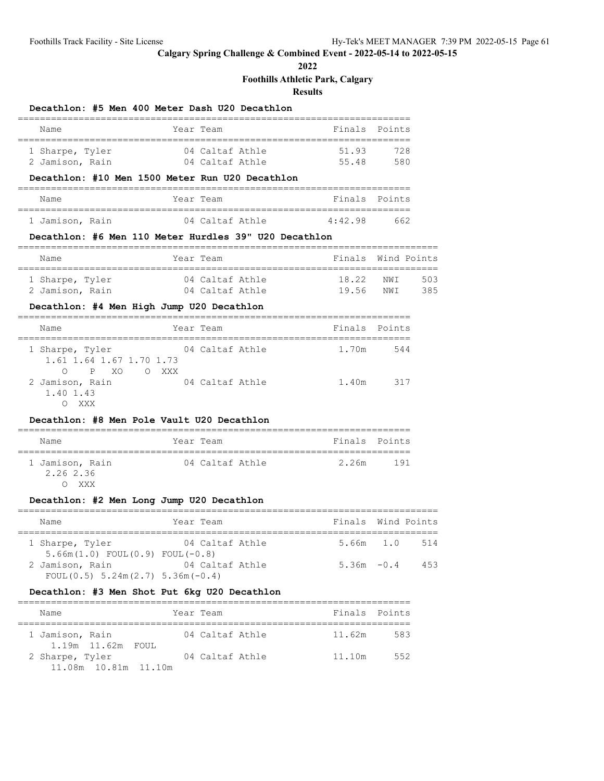**2022**

# **Foothills Athletic Park, Calgary**

**Results**

### **Decathlon: #5 Men 400 Meter Dash U20 Decathlon**

| Name            | Year Team       |       | Finals Points |
|-----------------|-----------------|-------|---------------|
| 1 Sharpe, Tyler | 04 Caltaf Athle | 51.93 | 728           |
| 2 Jamison, Rain | 04 Caltaf Athle | 55.48 | 580           |

### **Decathlon: #10 Men 1500 Meter Run U20 Decathlon**

| Name            | Year Team |                 |         | Finals Points |
|-----------------|-----------|-----------------|---------|---------------|
|                 |           |                 |         |               |
| 1 Jamison, Rain |           | 04 Caltaf Athle | 4:42.98 | 662           |

#### **Decathlon: #6 Men 110 Meter Hurdles 39" U20 Decathlon**

| Name            | Year Team       | Finals Wind Points |      |     |
|-----------------|-----------------|--------------------|------|-----|
| 1 Sharpe, Tyler | 04 Caltaf Athle | 18.22 NWT          |      | 503 |
| 2 Jamison, Rain | 04 Caltaf Athle | 1956               | NM T | 385 |

#### **Decathlon: #4 Men High Jump U20 Decathlon**

| Name                                        |          | Year Team       | Finals Points |     |
|---------------------------------------------|----------|-----------------|---------------|-----|
| 1 Sharpe, Tyler<br>1.61 1.64 1.67 1.70 1.73 |          | 04 Caltaf Athle | 1.70m         | 544 |
| O PXO<br>2 Jamison, Rain<br>1.40 1.43       | XXX<br>∩ | 04 Caltaf Athle | 1.40m         | 317 |

#### **Decathlon: #8 Men Pole Vault U20 Decathlon**

| Name                         | Year Team       |  | Finals Points |     |  |  |  |
|------------------------------|-----------------|--|---------------|-----|--|--|--|
|                              |                 |  |               |     |  |  |  |
| 1 Jamison, Rain<br>2.26 2.36 | 04 Caltaf Athle |  | 2.26m         | 191 |  |  |  |
| xxx                          |                 |  |               |     |  |  |  |

# **Decathlon: #2 Men Long Jump U20 Decathlon**

| Name                                                       | Year Team       | Finals Wind Points |     |
|------------------------------------------------------------|-----------------|--------------------|-----|
| 1 Sharpe, Tyler<br>$5.66m(1.0)$ FOUL $(0.9)$ FOUL $(-0.8)$ | 04 Caltaf Athle | 5.66m 1.0 514      |     |
| 2 Jamison, Rain<br>$FOUL(0.5) 5.24m(2.7) 5.36m(-0.4)$      | 04 Caltaf Athle | $5.36m - 0.4$      | 453 |

# **Decathlon: #3 Men Shot Put 6kg U20 Decathlon**

| Name            |                      |  | Year Team       | Finals Points |     |
|-----------------|----------------------|--|-----------------|---------------|-----|
| 1 Jamison, Rain | 1.19m 11.62m FOUL    |  | 04 Caltaf Athle | 11.62m        | 583 |
| 2 Sharpe, Tyler | 11.08m 10.81m 11.10m |  | 04 Caltaf Athle | 11.10m        | 552 |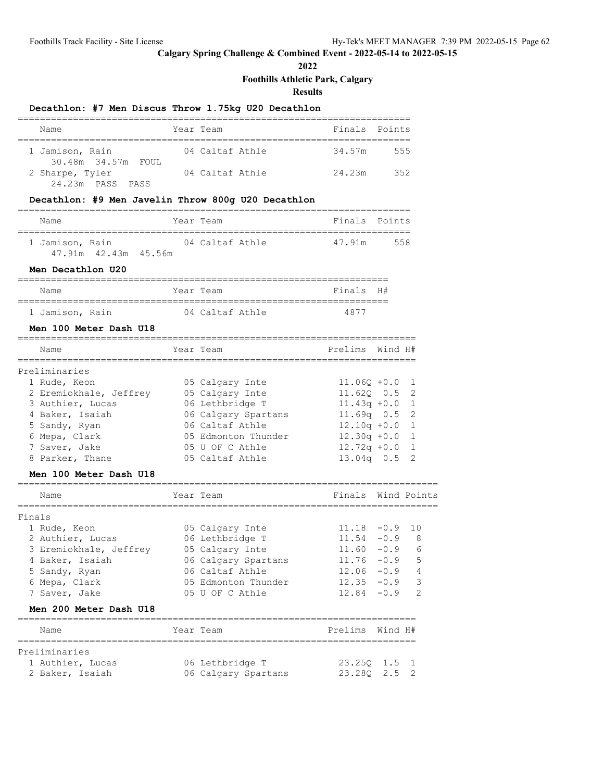**2022**

**Foothills Athletic Park, Calgary**

**Results**

# **Decathlon: #7 Men Discus Throw 1.75kg U20 Decathlon**

| Name               | Year Team       | Finals Points |     |
|--------------------|-----------------|---------------|-----|
|                    |                 |               |     |
| 1 Jamison, Rain    | 04 Caltaf Athle | 34.57m        | 555 |
| 30.48m 34.57m FOUL |                 |               |     |
| 2 Sharpe, Tyler    | 04 Caltaf Athle | 24.23m        | 352 |
| 24.23m PASS PASS   |                 |               |     |

### **Decathlon: #9 Men Javelin Throw 800g U20 Decathlon**

| Name                                    | Year Team       | Finals Points |     |
|-----------------------------------------|-----------------|---------------|-----|
| 1 Jamison, Rain<br>47.91m 42.43m 45.56m | 04 Caltaf Athle | 47.91m        | 558 |

#### **Men Decathlon U20**

| Name            | Year Team       | Finals H# |  |
|-----------------|-----------------|-----------|--|
|                 |                 |           |  |
| 1 Jamison, Rain | 04 Caltaf Athle | 4877      |  |

#### **Men 100 Meter Dash U18**

| Name                   | Year Team           | Prelims Wind H#  |  |
|------------------------|---------------------|------------------|--|
| Preliminaries          |                     |                  |  |
| 1 Rude, Keon           | 05 Calgary Inte     | $11.060 + 0.0$ 1 |  |
| 2 Eremiokhale, Jeffrey | 05 Calgary Inte     | $11.620$ 0.5 2   |  |
| 3 Authier, Lucas       | 06 Lethbridge T     | $11.43q + 0.0$   |  |
| 4 Baker, Isaiah        | 06 Calgary Spartans | $11.69q$ 0.5 2   |  |
| 5 Sandy, Ryan          | 06 Caltaf Athle     | $12.10q + 0.0$   |  |
| 6 Mepa, Clark          | 05 Edmonton Thunder | $12.30q +0.0$ 1  |  |
| 7 Saver, Jake          | 05 U OF C Athle     | $12.72q + 0.0$   |  |
| 8 Parker, Thane        | 05 Caltaf Athle     | $13.04q$ 0.5     |  |

#### **Men 100 Meter Dash U18**

| Name                   | Year Team           | Finals Wind Points |         |                          |
|------------------------|---------------------|--------------------|---------|--------------------------|
| Finals                 |                     |                    |         |                          |
| 1 Rude, Keon           | 05 Calgary Inte     | $11.18 - 0.9$      |         | 10                       |
| 2 Authier, Lucas       | 06 Lethbridge T     | $11.54 - 0.9$ 8    |         |                          |
| 3 Eremiokhale, Jeffrey | 05 Calgary Inte     | 11.60              | $-0.9$  | -6                       |
| 4 Baker, Isaiah        | 06 Calgary Spartans | 11.76              | $-0.9$  | 5                        |
| 5 Sandy, Ryan          | 06 Caltaf Athle     | 12.06              | $-0.9$  | $\overline{4}$           |
| 6 Mepa, Clark          | 05 Edmonton Thunder | 12.35              | $-0.9$  | $\overline{\phantom{a}}$ |
| 7 Saver, Jake          | 05 U OF C Athle     | $12.84 - 0.9$      |         | $\mathcal{D}$            |
| Men 200 Meter Dash U18 |                     |                    |         |                          |
| Name                   | Year Team           | Prelims            | Wind H# |                          |

| rteitmindries    |  |                     |              |  |
|------------------|--|---------------------|--------------|--|
| 1 Authier, Lucas |  | 06 Lethbridge T     | 23.250 1.5 1 |  |
| 2 Baker, Isaiah  |  | 06 Calgary Spartans | 23.280 2.5 2 |  |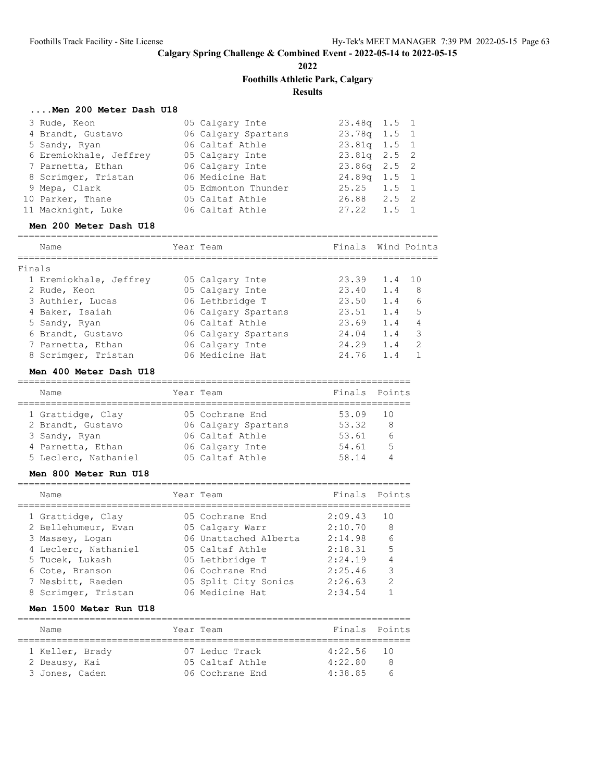**2022**

# **Foothills Athletic Park, Calgary**

# **Results**

### **....Men 200 Meter Dash U18**

| 3 Rude, Keon           | 05 Calgary Inte     | $23.48q$ 1.5 1    |
|------------------------|---------------------|-------------------|
| 4 Brandt, Gustavo      | 06 Calgary Spartans | 23.78q 1.5 1      |
| 5 Sandy, Ryan          | 06 Caltaf Athle     | $23.81q$ 1.5 1    |
| 6 Eremiokhale, Jeffrey | 05 Calgary Inte     | $23.81q$ $2.5$ 2  |
| 7 Parnetta, Ethan      | 06 Calgary Inte     | $23.86q$ $2.5$ 2  |
| 8 Scrimger, Tristan    | 06 Medicine Hat     | $24.89q$ 1.5 1    |
| 9 Mepa, Clark          | 05 Edmonton Thunder | $25.25$ 1.5 1     |
| 10 Parker, Thane       | 05 Caltaf Athle     | 26.88 2.5 2       |
| 11 Macknight, Luke     | 06 Caltaf Athle     | $27.22 \t1.5 \t1$ |

#### **Men 200 Meter Dash U18**

|        | Name                   | Year Team           | Finals Wind Points |        |               |
|--------|------------------------|---------------------|--------------------|--------|---------------|
| Finals |                        |                     |                    |        |               |
|        | 1 Eremiokhale, Jeffrey | 05 Calgary Inte     | 23.39              | 1.4 10 |               |
|        | 2 Rude, Keon           | 05 Calgary Inte     | 23.40              | 1.4    | 8             |
|        | 3 Authier, Lucas       | 06 Lethbridge T     | 23.50              | 1.4    | 6             |
|        | 4 Baker, Isaiah        | 06 Calgary Spartans | 23.51              | 1.4    | 5             |
|        | 5 Sandy, Ryan          | 06 Caltaf Athle     | 23.69              | 1.4    | 4             |
|        | 6 Brandt, Gustavo      | 06 Calgary Spartans | 24.04              | 1.4    | 3             |
|        | 7 Parnetta, Ethan      | 06 Calgary Inte     | 24.29              | 1.4    | $\mathcal{P}$ |
|        | 8 Scrimger, Tristan    | 06 Medicine Hat     | 24.76              | 1.4    |               |
|        |                        |                     |                    |        |               |

#### **Men 400 Meter Dash U18**

| Name                 | Year Team           | Finals Points |                 |
|----------------------|---------------------|---------------|-----------------|
| 1 Grattidge, Clay    | 05 Cochrane End     | 53.09 10      |                 |
| 2 Brandt, Gustavo    | 06 Calgary Spartans | 53.32         | 8               |
| 3 Sandy, Ryan        | 06 Caltaf Athle     | 53.61         | $6\overline{6}$ |
| 4 Parnetta, Ethan    | 06 Calgary Inte     | 54.61         | 5               |
| 5 Leclerc, Nathaniel | 05 Caltaf Athle     | 58.14         |                 |

#### **Men 800 Meter Run U18**

| Name                 | Year Team             | Finals  | Points          |
|----------------------|-----------------------|---------|-----------------|
| 1 Grattidge, Clay    | 05 Cochrane End       | 2:09.43 | 10              |
| 2 Bellehumeur, Evan  | 05 Calgary Warr       | 2:10.70 | 8               |
| 3 Massey, Logan      | 06 Unattached Alberta | 2:14.98 | $6\overline{6}$ |
| 4 Leclerc, Nathaniel | 05 Caltaf Athle       | 2:18.31 | 5               |
| 5 Tucek, Lukash      | 05 Lethbridge T       | 2:24.19 |                 |
| 6 Cote, Branson      | 06 Cochrane End       | 2:25.46 | 3               |
| 7 Nesbitt, Raeden    | 05 Split City Sonics  | 2:26.63 | $\mathcal{P}$   |
| 8 Scrimger, Tristan  | 06 Medicine Hat       | 2:34.54 |                 |
|                      |                       |         |                 |

### **Men 1500 Meter Run U18**

| Name                                               |  | Year Team                                            | Finals Points                      |  |
|----------------------------------------------------|--|------------------------------------------------------|------------------------------------|--|
| 1 Keller, Brady<br>2 Deausy, Kai<br>3 Jones, Caden |  | 07 Leduc Track<br>05 Caltaf Athle<br>06 Cochrane End | $4:22.56$ 10<br>4:22.80<br>4:38.85 |  |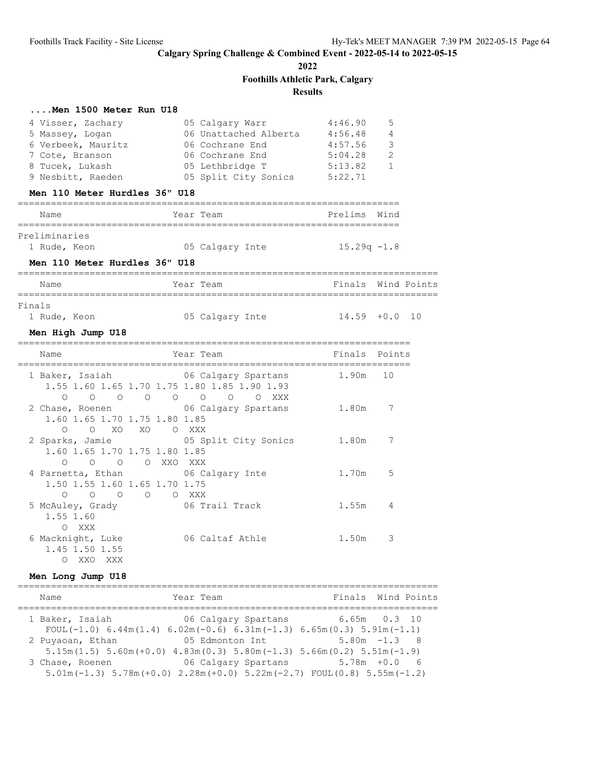**2022**

### **Foothills Athletic Park, Calgary**

# **Results**

### **....Men 1500 Meter Run U18**

|        | 4 Visser, Zachary<br>5 Massey, Logan<br>6 Verbeek, Mauritz<br>7 Cote, Branson<br>8 Tucek, Lukash<br>9 Nesbitt, Raeden<br>Men 110 Meter Hurdles 36" U18 | 05 Calgary Warr<br>06 Unattached Alberta 4:56.48<br>06 Cochrane End<br>06 Cochrane End<br>05 Lethbridge T<br>05 Split City Sonics 5:22.71 | 4:46.90<br>4:57.56<br>5:04.28<br>5:13.82 | 5<br>4<br>3<br>2<br>$\mathbf{1}$ |  |
|--------|--------------------------------------------------------------------------------------------------------------------------------------------------------|-------------------------------------------------------------------------------------------------------------------------------------------|------------------------------------------|----------------------------------|--|
|        | Name                                                                                                                                                   | Year Team                                                                                                                                 | Prelims Wind                             |                                  |  |
|        | Preliminaries<br>1 Rude, Keon<br>Men 110 Meter Hurdles 36" U18                                                                                         | 05 Calgary Inte 15.29q -1.8                                                                                                               |                                          |                                  |  |
|        | Name                                                                                                                                                   | Year Team                                                                                                                                 | Finals Wind Points                       |                                  |  |
| Finals | 1 Rude, Keon<br>Men High Jump U18                                                                                                                      | 05 Calgary Inte                                                                                                                           | $14.59 + 0.0 10$                         |                                  |  |
|        | Name                                                                                                                                                   | Year Team                                                                                                                                 | Finals Points                            |                                  |  |
|        | 1 Baker, Isaiah 16 06 Calgary Spartans<br>1.55 1.60 1.65 1.70 1.75 1.80 1.85 1.90 1.93<br>$\circ$                                                      | 0 0 0 0 0 0 0 XXX                                                                                                                         | 1.90m 10                                 |                                  |  |
|        | 2 Chase, Roenen<br>1.60 1.65 1.70 1.75 1.80 1.85<br>O XO XO O XXX<br>$\circ$                                                                           | 06 Calgary Spartans                                                                                                                       | 1.80m                                    | 7                                |  |
|        | 2 Sparks, Jamie 65 Split City Sonics 1.80m<br>1.60 1.65 1.70 1.75 1.80 1.85<br>O O O XXO XXX<br>$\circ$                                                |                                                                                                                                           |                                          | 7                                |  |
|        | 4 Parnetta, Ethan<br>1.50 1.55 1.60 1.65 1.70 1.75<br>0 0 0 0 0 XXX                                                                                    | 06 Calgary Inte                                                                                                                           | 1.70m                                    | 5                                |  |
|        | 5 McAuley, Grady<br>1.55 1.60<br>O XXX                                                                                                                 | 06 Trail Track                                                                                                                            | 1.55m                                    | 4                                |  |
|        | 6 Macknight, Luke<br>1.45 1.50 1.55                                                                                                                    | 06 Caltaf Athle                                                                                                                           | 1.50m                                    | 3                                |  |

### **Men Long Jump U18**

============================================================================ Name Tear Team Team Finals Wind Points ============================================================================ 1 Baker, Isaiah 06 Calgary Spartans 6.65m 0.3 10 FOUL(-1.0)  $6.44m(1.4)$   $6.02m(-0.6)$   $6.31m(-1.3)$   $6.65m(0.3)$   $5.91m(-1.1)$  2 Puyaoan, Ethan 05 Edmonton Int 5.80m -1.3 8 5.15m(1.5) 5.60m(+0.0) 4.83m(0.3) 5.80m(-1.3) 5.66m(0.2) 5.51m(-1.9) 3 Chase, Roenen 06 Calgary Spartans 5.78m +0.0 6 5.01m(-1.3) 5.78m(+0.0) 2.28m(+0.0) 5.22m(-2.7) FOUL(0.8) 5.55m(-1.2)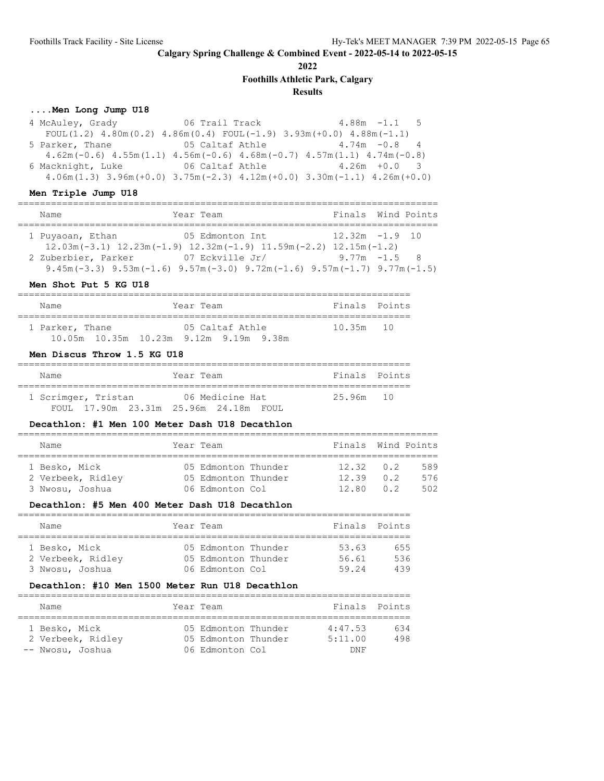**2022**

**Foothills Athletic Park, Calgary**

# **Results**

### **....Men Long Jump U18**

| 4 McAuley, Grady                                                                              | 06 Trail Track the Contract of the Contract of the Contract of the Contract of the Contract of the Contract of |                 | $4.88m - 1.1$ 5 |  |
|-----------------------------------------------------------------------------------------------|----------------------------------------------------------------------------------------------------------------|-----------------|-----------------|--|
| FOUL $(1.2)$ 4.80m $(0.2)$ 4.86m $(0.4)$ FOUL $(-1.9)$ 3.93m $(+0.0)$ 4.88m $(-1.1)$          |                                                                                                                |                 |                 |  |
| 5 Parker, Thane 65 Caltaf Athle 4.74m -0.8 4                                                  |                                                                                                                |                 |                 |  |
| $4.62$ m (-0.6) $4.55$ m (1.1) $4.56$ m (-0.6) $4.68$ m (-0.7) $4.57$ m (1.1) $4.74$ m (-0.8) |                                                                                                                |                 |                 |  |
| 6 Macknight, Luke 6 06 Caltaf Athle                                                           |                                                                                                                | $4.26m + 0.0$ 3 |                 |  |
| $4.06m(1.3)$ $3.96m(+0.0)$ $3.75m(-2.3)$ $4.12m(+0.0)$ $3.30m(-1.1)$ $4.26m(+0.0)$            |                                                                                                                |                 |                 |  |

### **Men Triple Jump U18**

| Name                | Year Team                                                                                      | Finals Wind Points |  |
|---------------------|------------------------------------------------------------------------------------------------|--------------------|--|
|                     |                                                                                                |                    |  |
| 1 Puyaoan, Ethan    | 05 Edmonton Int                                                                                | $12.32m - 1.9$ 10  |  |
|                     | $12.03$ m $(-3.1)$ $12.23$ m $(-1.9)$ $12.32$ m $(-1.9)$ $11.59$ m $(-2.2)$ $12.15$ m $(-1.2)$ |                    |  |
| 2 Zuberbier, Parker | 07 Eckville Jr/                                                                                | $9.77m - 1.5$ 8    |  |
|                     | 9.45m (-3.3) 9.53m (-1.6) 9.57m (-3.0) 9.72m (-1.6) 9.57m (-1.7) 9.77m (-1.5)                  |                    |  |

### **Men Shot Put 5 KG U18**

| Name |                 |                                                    | Year Team       | Finals Points |  |
|------|-----------------|----------------------------------------------------|-----------------|---------------|--|
|      | 1 Parker, Thane |                                                    | 05 Caltaf Athle | $10.35m$ 10   |  |
|      |                 | $10.05m$ $10.35m$ $10.23m$ $9.12m$ $9.19m$ $9.38m$ |                 |               |  |

#### **Men Discus Throw 1.5 KG U18**

| Name |                     | Year Team |                                       |  | Finals Points |  |
|------|---------------------|-----------|---------------------------------------|--|---------------|--|
|      | 1 Scrimger, Tristan |           | 06 Medicine Hat                       |  | 25.96m 10     |  |
|      |                     |           | FOUL 17.90m 23.31m 25.96m 24.18m FOUL |  |               |  |

#### **Decathlon: #1 Men 100 Meter Dash U18 Decathlon**

| Name              |  | Year Team           |  | Finals Wind Points |     |      |  |  |
|-------------------|--|---------------------|--|--------------------|-----|------|--|--|
|                   |  |                     |  |                    |     |      |  |  |
| 1 Besko, Mick     |  | 05 Edmonton Thunder |  | $12.32 \t 0.2$     |     | 589  |  |  |
| 2 Verbeek, Ridley |  | 05 Edmonton Thunder |  | 12.39              | 0 2 | 576  |  |  |
| 3 Nwosu, Joshua   |  | 06 Edmonton Col     |  | 12 RO              | 0 2 | 502. |  |  |

#### **Decathlon: #5 Men 400 Meter Dash U18 Decathlon**

| Name              |  | Year Team           |  | Finals Points |     |  |  |  |
|-------------------|--|---------------------|--|---------------|-----|--|--|--|
|                   |  |                     |  |               |     |  |  |  |
| 1 Besko, Mick     |  | 05 Edmonton Thunder |  | 53.63         | 655 |  |  |  |
| 2 Verbeek, Ridley |  | 05 Edmonton Thunder |  | 56.61         | 536 |  |  |  |
| 3 Nwosu, Joshua   |  | 06 Edmonton Col     |  | 59.24         | 439 |  |  |  |

### **Decathlon: #10 Men 1500 Meter Run U18 Decathlon**

| Name                               | Year Team                                  | Finals Points      |            |
|------------------------------------|--------------------------------------------|--------------------|------------|
| 1 Besko, Mick<br>2 Verbeek, Ridley | 05 Edmonton Thunder<br>05 Edmonton Thunder | 4:47.53<br>5:11.00 | 634<br>498 |
| -- Nwosu, Joshua                   | 06 Edmonton Col                            | DNF                |            |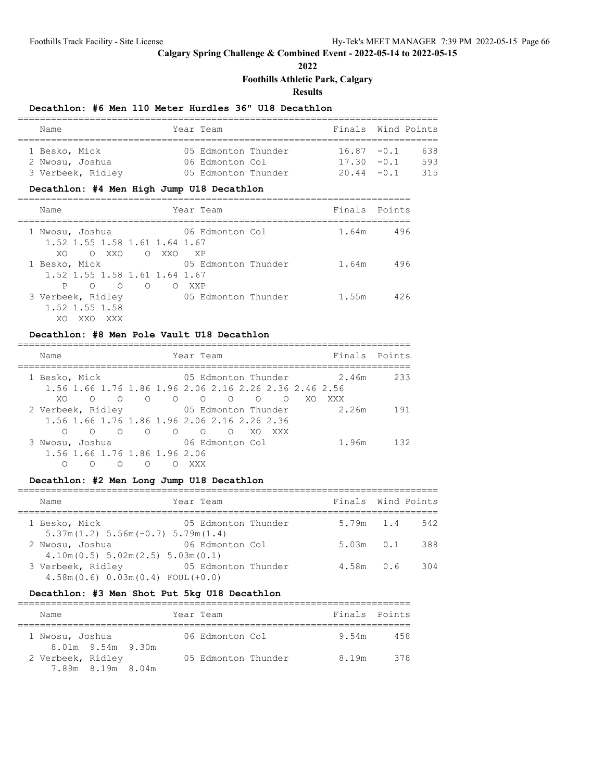**2022**

**Foothills Athletic Park, Calgary**

**Results**

### **Decathlon: #6 Men 110 Meter Hurdles 36" U18 Decathlon**

| Name              | Year Team           | Finals Wind Points |     |
|-------------------|---------------------|--------------------|-----|
| 1 Besko, Mick     | 05 Edmonton Thunder | $16.87 - 0.1$      | 638 |
| 2 Nwosu, Joshua   | 06 Edmonton Col     | $17.30 - 0.1$      | 593 |
| 3 Verbeek, Ridley | 05 Edmonton Thunder | $20.44 - 0.1$      | 315 |

### **Decathlon: #4 Men High Jump U18 Decathlon**

| Name                                                                                           |       |       | Year Team               | Finals Points |       |     |
|------------------------------------------------------------------------------------------------|-------|-------|-------------------------|---------------|-------|-----|
| 1 Nwosu, Joshua<br>1.52 1.55 1.58 1.61 1.64 1.67<br>O XXO<br>XO.                               | O XXO |       | 06 Edmonton Col<br>XP X |               | 1.64m | 496 |
| 1 Besko, Mick<br>1.52 1.55 1.58 1.61 1.64 1.67<br>$\begin{matrix} 0 & 0 & 0 \end{matrix}$<br>P |       | O XXP | 05 Edmonton Thunder     |               | 1.64m | 496 |
| 3 Verbeek, Ridley<br>1.52 1.55 1.58<br>XO.<br>XXX                                              |       |       | 05 Edmonton Thunder     |               | 1.55m | 426 |

#### **Decathlon: #8 Men Pole Vault U18 Decathlon**

#### =======================================================================

| Name                                  |            |   |   |                                                                                                                                                                                                                                                                                                                                                                                                                                                        | Year Team |                     |     |     |     |       | Finals Points |
|---------------------------------------|------------|---|---|--------------------------------------------------------------------------------------------------------------------------------------------------------------------------------------------------------------------------------------------------------------------------------------------------------------------------------------------------------------------------------------------------------------------------------------------------------|-----------|---------------------|-----|-----|-----|-------|---------------|
| 1 Besko, Mick                         |            |   |   |                                                                                                                                                                                                                                                                                                                                                                                                                                                        |           | 05 Edmonton Thunder |     |     |     | 2.46m | 233           |
|                                       |            |   |   | 1.56 1.66 1.76 1.86 1.96 2.06 2.16 2.26 2.36 2.46 2.56                                                                                                                                                                                                                                                                                                                                                                                                 |           |                     |     |     |     |       |               |
| XO.                                   | $\circ$    |   |   | $\begin{array}{ccccccccccccccccccccc} \multicolumn{4}{c }{0} & \multicolumn{4}{c }{0} & \multicolumn{4}{c }{0} & \multicolumn{4}{c }{0} & \multicolumn{4}{c }{0} & \multicolumn{4}{c }{0} & \multicolumn{4}{c }{0} & \multicolumn{4}{c }{0} & \multicolumn{4}{c }{0} & \multicolumn{4}{c }{0} & \multicolumn{4}{c }{0} & \multicolumn{4}{c }{0} & \multicolumn{4}{c }{0} & \multicolumn{4}{c }{0} & \multicolumn{4}{c }{0} & \multicolumn{4}{c }{0} &$ |           |                     |     |     | XO. | XXX   |               |
| 2 Verbeek, Ridley 65 Edmonton Thunder |            |   |   |                                                                                                                                                                                                                                                                                                                                                                                                                                                        |           |                     |     |     |     | 2.26m | 191           |
|                                       |            |   |   | 1,56 1,66 1,76 1,86 1,96 2,06 2,16 2,26 2,36                                                                                                                                                                                                                                                                                                                                                                                                           |           |                     |     |     |     |       |               |
| ∩                                     | $\bigcirc$ |   |   |                                                                                                                                                                                                                                                                                                                                                                                                                                                        |           |                     | XO. | XXX |     |       |               |
| 3 Nwosu, Joshua                       |            |   |   |                                                                                                                                                                                                                                                                                                                                                                                                                                                        |           | 06 Edmonton Col     |     |     |     | 1.96m | 132           |
|                                       |            |   |   | 1.56 1.66 1.76 1.86 1.96 2.06                                                                                                                                                                                                                                                                                                                                                                                                                          |           |                     |     |     |     |       |               |
| Ω                                     | ∩          | ∩ | ∩ |                                                                                                                                                                                                                                                                                                                                                                                                                                                        | xxx       |                     |     |     |     |       |               |

# **Decathlon: #2 Men Long Jump U18 Decathlon**

| Name                                                        | Year Team           | Finals Wind Points |     |
|-------------------------------------------------------------|---------------------|--------------------|-----|
| 1 Besko, Mick<br>$5.37m(1.2) 5.56m(-0.7) 5.79m(1.4)$        | 05 Edmonton Thunder | 5.79m 1.4          | 542 |
| 2 Nwosu, Joshua<br>$4.10m(0.5)$ 5.02m $(2.5)$ 5.03m $(0.1)$ | 06 Edmonton Col     | $5.03m$ $0.1$      | 388 |
| 3 Verbeek, Ridley<br>$4.58m(0.6) 0.03m(0.4) F0UL(+0.0)$     | 05 Edmonton Thunder | 4.58m 0.6          | 304 |

#### **Decathlon: #3 Men Shot Put 5kg U18 Decathlon**

| Name              |                   |  | Year Team |                     |  | Finals Points |     |  |
|-------------------|-------------------|--|-----------|---------------------|--|---------------|-----|--|
| 1 Nwosu, Joshua   | 8.01m 9.54m 9.30m |  |           | 06 Edmonton Col     |  | 9.54m         | 458 |  |
| 2 Verbeek, Ridley | 7.89m 8.19m 8.04m |  |           | 05 Edmonton Thunder |  | 8.19m         | 378 |  |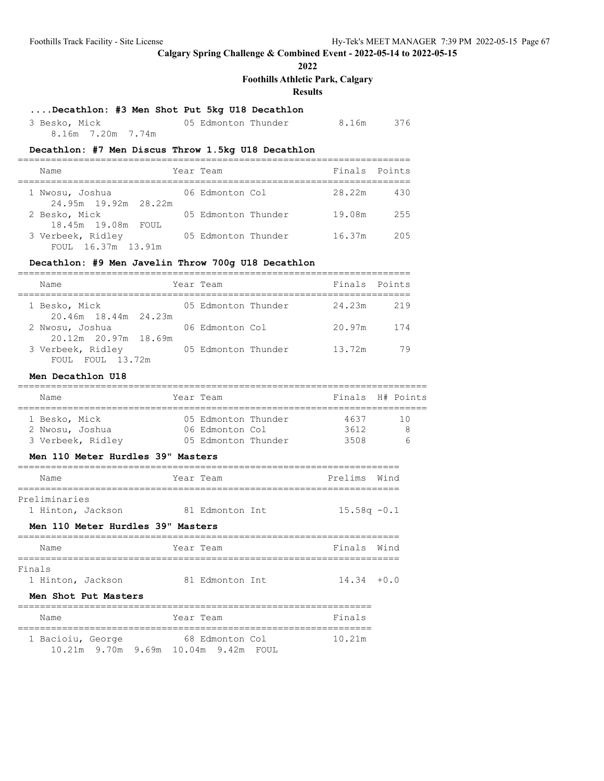**2022**

# **Foothills Athletic Park, Calgary**

**Results**

# **....Decathlon: #3 Men Shot Put 5kg U18 Decathlon**

| 3 Besko, Mick     |  | 05 Edmonton Thunder |  | 8.16m 376 |
|-------------------|--|---------------------|--|-----------|
| 8.16m 7.20m 7.74m |  |                     |  |           |

### **Decathlon: #7 Men Discus Throw 1.5kg U18 Decathlon**

| Name                                    | Year Team           | Finals Points |     |
|-----------------------------------------|---------------------|---------------|-----|
| 1 Nwosu, Joshua<br>24.95m 19.92m 28.22m | 06 Edmonton Col     | 28.22m        | 430 |
| 2 Besko, Mick<br>18.45m 19.08m FOUL     | 05 Edmonton Thunder | 19.08m        | 255 |
| 3 Verbeek, Ridley<br>FOUL 16.37m 13.91m | 05 Edmonton Thunder | 16.37m        | 205 |

# **Decathlon: #9 Men Javelin Throw 700g U18 Decathlon**

| Name                                    | Year Team           | Finals Points |     |
|-----------------------------------------|---------------------|---------------|-----|
| 1 Besko, Mick<br>20.46m 18.44m 24.23m   | 05 Edmonton Thunder | 24.23m        | 219 |
| 2 Nwosu, Joshua<br>20.12m 20.97m 18.69m | 06 Edmonton Col     | 20.97m        | 174 |
| 3 Verbeek, Ridley<br>FOUL FOUL 13.72m   | 05 Edmonton Thunder | 13.72m        | 79  |

#### **Men Decathlon U18**

| Name                                                                                                              | Year Team                              | Finals H# Points |      |              |
|-------------------------------------------------------------------------------------------------------------------|----------------------------------------|------------------|------|--------------|
|                                                                                                                   |                                        |                  |      |              |
| 1 Besko, Mick<br>2 Nwosu, Joshua<br>3 Verbeek, Ridley                  05 Edmonton Thunder                   3508 | 05 Edmonton Thunder<br>06 Edmonton Col | 4637<br>3612     |      | 10<br>8<br>6 |
| Men 110 Meter Hurdles 39" Masters                                                                                 |                                        |                  |      |              |
| Name                                                                                                              | Year Team                              | Prelims          | Wind |              |
| Preliminaries<br>1 Hinton, Jackson<br>Men 110 Meter Hurdles 39" Masters                                           | 81 Edmonton Int                        | $15.58q - 0.1$   |      |              |
| Name                                                                                                              | Year Team                              | Finals           | Wind |              |
| Finals<br>1 Hinton, Jackson 81 Edmonton Int<br>Men Shot Put Masters                                               |                                        | $14.34 + 0.0$    |      |              |
| Name                                                                                                              | Year Team                              | Finals           |      |              |
| 1 Bacioiu, George 68 Edmonton Col<br>10.21m 9.70m 9.69m 10.04m 9.42m FOUL                                         |                                        | 10.21m           |      |              |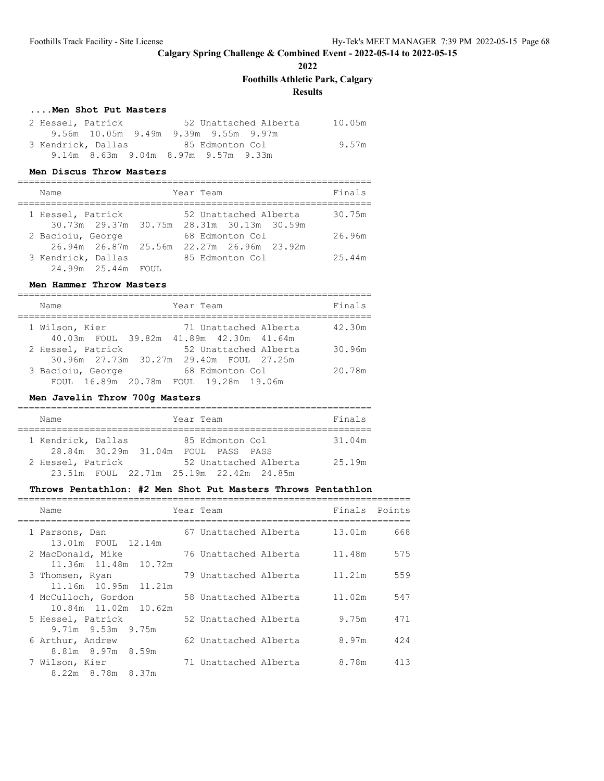**2022**

**Foothills Athletic Park, Calgary**

**Results**

### **....Men Shot Put Masters**

| 2 Hessel, Patrick                   | 52 Unattached Alberta                | 10.05m |
|-------------------------------------|--------------------------------------|--------|
|                                     | 9.56m 10.05m 9.49m 9.39m 9.55m 9.97m |        |
| 3 Kendrick, Dallas                  | 85 Edmonton Col                      | 9.57m  |
| 9.14m 8.63m 9.04m 8.97m 9.57m 9.33m |                                      |        |

#### **Men Discus Throw Masters**

| Name               |                      | Year Team                                                          | Finals |
|--------------------|----------------------|--------------------------------------------------------------------|--------|
| 1 Hessel, Patrick  |                      | 52 Unattached Alberta<br>30.73m 29.37m 30.75m 28.31m 30.13m 30.59m | 30.75m |
| 2 Bacioiu, George  | 26.94m 26.87m 25.56m | 68 Edmonton Col<br>22.27m 26.96m 23.92m                            | 26.96m |
| 3 Kendrick, Dallas | 24.99m 25.44m FOUL   | 85 Edmonton Col                                                    | 25.44m |

### **Men Hammer Throw Masters**

| Year Team<br>Name                                                                     | Finals |
|---------------------------------------------------------------------------------------|--------|
| 1 Wilson, Kier<br>71 Unattached Alberta<br>40.03m FOUL 39.82m 41.89m 42.30m 41.64m    | 42.30m |
| 2 Hessel, Patrick<br>52 Unattached Alberta<br>30.96m 27.73m 30.27m 29.40m FOUL 27.25m | 30.96m |
| 3 Bacioiu, George<br>68 Edmonton Col<br>FOUL 16.89m 20.78m FOUL 19.28m 19.06m         | 20.78m |

### **Men Javelin Throw 700g Masters**

| Name                 |  | Year Team |                 |                                         | Finals |
|----------------------|--|-----------|-----------------|-----------------------------------------|--------|
|                      |  |           |                 |                                         |        |
| 1 Kendrick, Dallas   |  |           | 85 Edmonton Col |                                         | 31.04m |
| 28.84m 30.29m 31.04m |  |           | FOUL PASS PASS  |                                         |        |
| 2 Hessel, Patrick    |  |           |                 | 52 Unattached Alberta                   | 25.19m |
|                      |  |           |                 | 23.51m FOUL 22.71m 25.19m 22.42m 24.85m |        |

#### **Throws Pentathlon: #2 Men Shot Put Masters Throws Pentathlon**

| Name                                        | Year Team             | Finals | Points |
|---------------------------------------------|-----------------------|--------|--------|
| 1 Parsons, Dan<br>13.01m FOUL 12.14m        | 67 Unattached Alberta | 13.01m | 668    |
| 2 MacDonald, Mike<br>11.36m 11.48m 10.72m   | 76 Unattached Alberta | 11.48m | 575    |
| 3 Thomsen, Ryan<br>11.16m 10.95m 11.21m     | 79 Unattached Alberta | 11.21m | 559    |
| 4 McCulloch, Gordon<br>10.84m 11.02m 10.62m | 58 Unattached Alberta | 11.02m | 547    |
| 5 Hessel, Patrick                           | 52 Unattached Alberta | 9.75m  | 471    |
| $9.71m$ $9.53m$ $9.75m$<br>6 Arthur, Andrew | 62 Unattached Alberta | 8.97m  | 424    |
| 8.81m 8.97m 8.59m<br>7 Wilson, Kier         | 71 Unattached Alberta | 8.78m  | 413    |
| 8.22m 8.78m 8.37m                           |                       |        |        |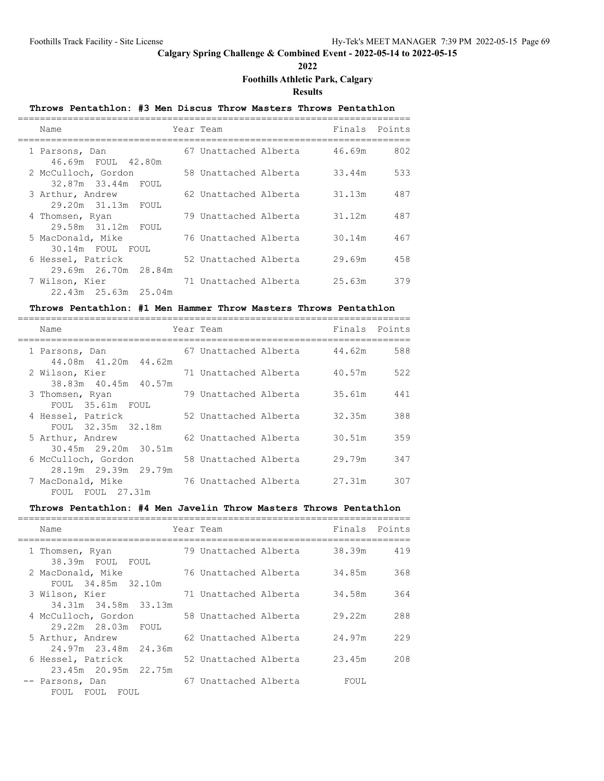**2022**

#### **Foothills Athletic Park, Calgary**

**Results**

### **Throws Pentathlon: #3 Men Discus Throw Masters Throws Pentathlon** ======================================================================= Name **Team** Year Team **Finals** Points ======================================================================= 1 Parsons, Dan 67 Unattached Alberta 46.69m 802 46.69m FOUL 42.80m 2 McCulloch, Gordon 58 Unattached Alberta 33.44m 533 32.87m 33.44m FOUL 3 Arthur, Andrew 62 Unattached Alberta 31.13m 487 29.20m 31.13m FOUL 4 Thomsen, Ryan 79 Unattached Alberta 31.12m 487 29.58m 31.12m FOUL<br>5 MacDonald, Mike 76 Unattached Alberta 30.14m 467 30.14m FOUL FOUL 6 Hessel, Patrick 52 Unattached Alberta 29.69m 458 29.69m 26.70m 28.84m 7 Wilson, Kier 71 Unattached Alberta 25.63m 379 22.43m 25.63m 25.04m

#### **Throws Pentathlon: #1 Men Hammer Throw Masters Throws Pentathlon**

| Name                                                          | Year Team             | Finals | Points |
|---------------------------------------------------------------|-----------------------|--------|--------|
| 1 Parsons, Dan<br>44.08m 41.20m 44.62m                        | 67 Unattached Alberta | 44.62m | 588    |
| 2 Wilson, Kier<br>38.83m 40.45m 40.57m                        | 71 Unattached Alberta | 40.57m | 522    |
| 3 Thomsen, Ryan<br>FOUL 35.61m FOUL                           | 79 Unattached Alberta | 35.61m | 441    |
| 4 Hessel, Patrick<br>FOUL 32.35m 32.18m                       | 52 Unattached Alberta | 32.35m | 388    |
| 5 Arthur, Andrew                                              | 62 Unattached Alberta | 30.51m | 359    |
| 30.45m 29.20m 30.51m<br>6 McCulloch, Gordon                   | 58 Unattached Alberta | 29.79m | 347    |
| 28.19m 29.39m 29.79m<br>7 MacDonald, Mike<br>FOUL FOUL 27.31m | 76 Unattached Alberta | 27.31m | 307    |
|                                                               |                       |        |        |

#### **Throws Pentathlon: #4 Men Javelin Throw Masters Throws Pentathlon**

| Name                                      | Year Team             | Finals | Points |
|-------------------------------------------|-----------------------|--------|--------|
| 1 Thomsen, Ryan<br>38.39m FOUL FOUL       | 79 Unattached Alberta | 38.39m | 419    |
| 2 MacDonald, Mike<br>FOUL 34.85m 32.10m   | 76 Unattached Alberta | 34.85m | 368    |
| 3 Wilson, Kier<br>34.31m 34.58m 33.13m    | 71 Unattached Alberta | 34.58m | 364    |
| 4 McCulloch, Gordon<br>29.22m 28.03m FOUL | 58 Unattached Alberta | 29.22m | 288    |
| 5 Arthur, Andrew<br>24.97m 23.48m 24.36m  | 62 Unattached Alberta | 24.97m | 229    |
| 6 Hessel, Patrick<br>23.45m 20.95m 22.75m | 52 Unattached Alberta | 23.45m | 208    |
| -- Parsons, Dan<br>FOUL FOUL<br>FOUL      | 67 Unattached Alberta | FOUL   |        |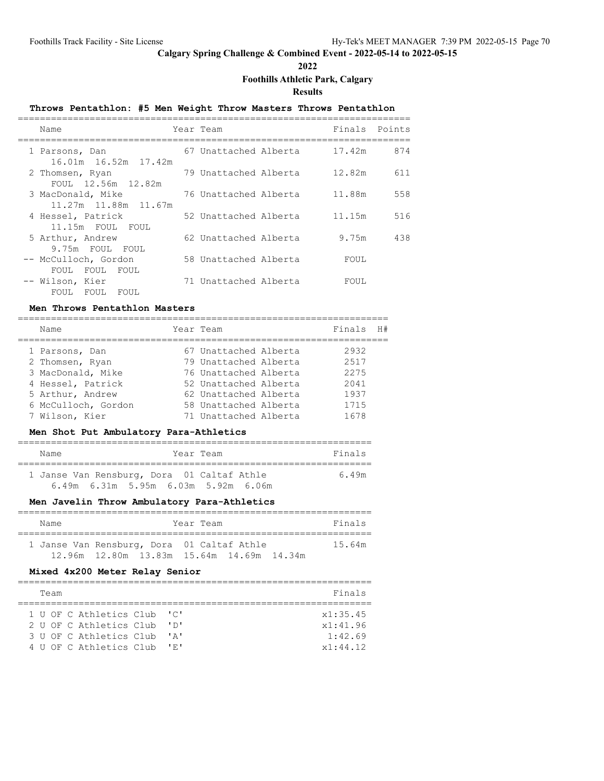**2022**

# **Foothills Athletic Park, Calgary**

**Results**

# **Throws Pentathlon: #5 Men Weight Throw Masters Throws Pentathlon**

| Name                                         | Year Team             | Finals Points |     |
|----------------------------------------------|-----------------------|---------------|-----|
| 1 Parsons, Dan<br>16.01m  16.52m  17.42m     | 67 Unattached Alberta | 17.42m        | 874 |
| 2 Thomsen, Ryan<br>FOUL 12.56m 12.82m        | 79 Unattached Alberta | 12.82m        | 611 |
| 3 MacDonald, Mike<br>11.27m 11.88m 11.67m    | 76 Unattached Alberta | 11.88m        | 558 |
| 4 Hessel, Patrick<br>11.15m FOUL FOUL        | 52 Unattached Alberta | 11.15m        | 516 |
| 5 Arthur, Andrew<br>9.75m FOUL FOUL          | 62 Unattached Alberta | 9.75m         | 438 |
| -- McCulloch, Gordon<br>FOUL<br>FOUL<br>FOUL | 58 Unattached Alberta | FOUL          |     |
| -- Wilson, Kier<br>FOUL<br>FOUL<br>FOUL      | 71 Unattached Alberta | FOUL          |     |

### **Men Throws Pentathlon Masters**

| Name                | Year Team             | Finals | H# |
|---------------------|-----------------------|--------|----|
| 1 Parsons, Dan      | 67 Unattached Alberta | 2932   |    |
| 2 Thomsen, Ryan     | 79 Unattached Alberta | 2517   |    |
| 3 MacDonald, Mike   | 76 Unattached Alberta | 2275   |    |
| 4 Hessel, Patrick   | 52 Unattached Alberta | 2041   |    |
| 5 Arthur, Andrew    | 62 Unattached Alberta | 1937   |    |
| 6 McCulloch, Gordon | 58 Unattached Alberta | 1715   |    |
| 7 Wilson, Kier      | 71 Unattached Alberta | 1678   |    |

#### **Men Shot Put Ambulatory Para-Athletics**

| Name                                       |                                                 | Year Team |  | Finals |
|--------------------------------------------|-------------------------------------------------|-----------|--|--------|
| 1 Janse Van Rensburg, Dora 01 Caltaf Athle |                                                 |           |  | 6.49m  |
|                                            | $6.49m$ $6.31m$ $5.95m$ $6.03m$ $5.92m$ $6.06m$ |           |  |        |

### **Men Javelin Throw Ambulatory Para-Athletics**

| Name | Year Team                                  | Finals |
|------|--------------------------------------------|--------|
|      | 1 Janse Van Rensburg, Dora 01 Caltaf Athle | 15.64m |
|      | 12.96m 12.80m 13.83m 15.64m 14.69m 14.34m  |        |

### **Mixed 4x200 Meter Relay Senior**

|  | Team |                             |                           | Finals   |
|--|------|-----------------------------|---------------------------|----------|
|  |      |                             |                           |          |
|  |      | 1 U OF C Athletics Club 'C' |                           | x1:35.45 |
|  |      | 2 U OF C Athletics Club     | י חי                      | x1:41.96 |
|  |      | 3 U OF C Athletics Club     | $\mathsf{r}_{\mathsf{A}}$ | 1:42.69  |
|  |      | 4 U OF C Athletics Club     | 부모부                       | x1:44.12 |